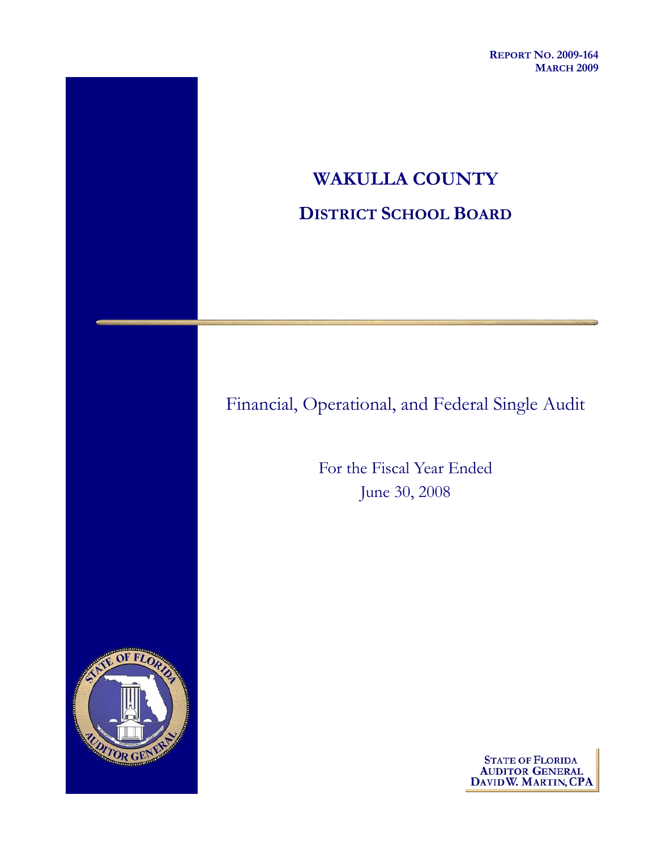**REPORT NO. 2009-164 MARCH 2009** 

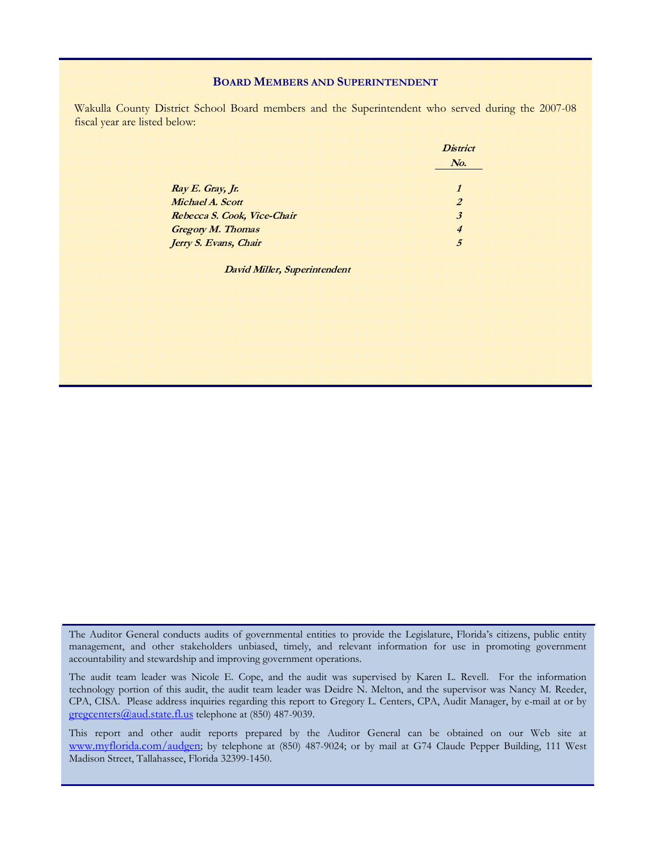#### **BOARD MEMBERS AND SUPERINTENDENT**

Wakulla County District School Board members and the Superintendent who served during the 2007-08 fiscal year are listed below:

|                             | <b>District</b>      |
|-----------------------------|----------------------|
|                             | No.                  |
| Ray E. Gray, Jr.            | $\boldsymbol{\eta}$  |
| Michael A. Scott            | $\overline{2}$       |
| Rebecca S. Cook, Vice-Chair | $\boldsymbol{\beta}$ |
| <b>Gregory M. Thomas</b>    | $\overline{4}$       |
| Jerry S. Evans, Chair       | $\sqrt{2}$           |

**David Miller, Superintendent**

The Auditor General conducts audits of governmental entities to provide the Legislature, Florida's citizens, public entity management, and other stakeholders unbiased, timely, and relevant information for use in promoting government accountability and stewardship and improving government operations.

The audit team leader was Nicole E. Cope, and the audit was supervised by Karen L. Revell. For the information technology portion of this audit, the audit team leader was Deidre N. Melton, and the supervisor was Nancy M. Reeder, CPA, CISA. Please address inquiries regarding this report to Gregory L. Centers, CPA, Audit Manager, by e-mail at or by gregcenters@aud.state.fl.us telephone at (850) 487-9039.

This report and other audit reports prepared by the Auditor General can be obtained on our Web site at www.myflorida.com/audgen; by telephone at (850) 487-9024; or by mail at G74 Claude Pepper Building, 111 West Madison Street, Tallahassee, Florida 32399-1450.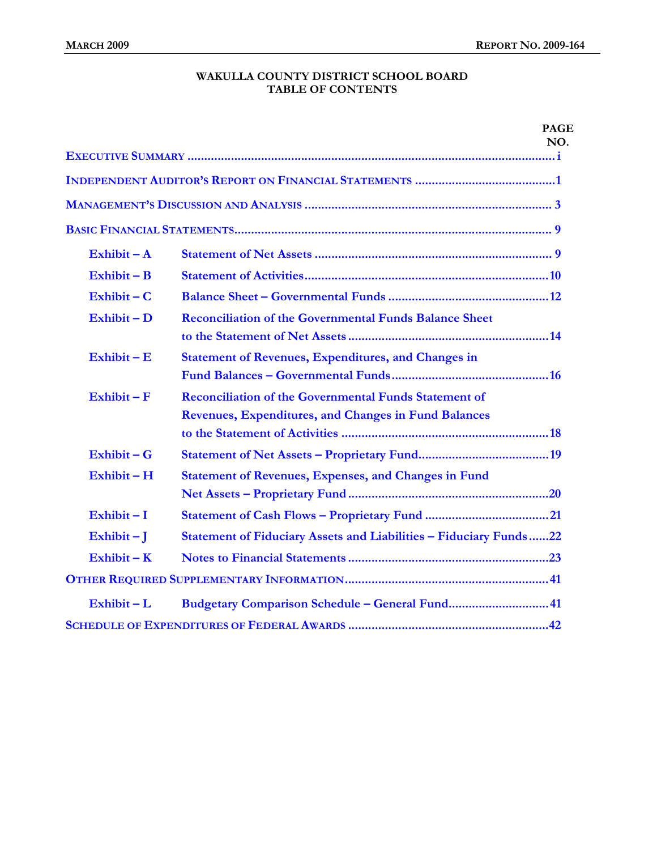## **WAKULLA COUNTY DISTRICT SCHOOL BOARD TABLE OF CONTENTS**

|                         | <b>PAGE</b><br>NO.                                                                                                          |  |
|-------------------------|-----------------------------------------------------------------------------------------------------------------------------|--|
|                         |                                                                                                                             |  |
|                         |                                                                                                                             |  |
|                         |                                                                                                                             |  |
|                         |                                                                                                                             |  |
| Exhibit $-A$            |                                                                                                                             |  |
| Exhibit $- B$           |                                                                                                                             |  |
| $Exhibit - C$           |                                                                                                                             |  |
| $Exhibit - D$           | <b>Reconciliation of the Governmental Funds Balance Sheet</b>                                                               |  |
| $Exhibit - E$           | <b>Statement of Revenues, Expenditures, and Changes in</b>                                                                  |  |
| $Exhibit - F$           | <b>Reconciliation of the Governmental Funds Statement of</b><br><b>Revenues, Expenditures, and Changes in Fund Balances</b> |  |
| $Exhibit - G$           |                                                                                                                             |  |
| $Exhibit - H$           | <b>Statement of Revenues, Expenses, and Changes in Fund</b>                                                                 |  |
| $Exhibit - I$           |                                                                                                                             |  |
| Exhibit $ \overline{ }$ | <b>Statement of Fiduciary Assets and Liabilities - Fiduciary Funds22</b>                                                    |  |
| $Exhibit - K$           |                                                                                                                             |  |
|                         |                                                                                                                             |  |
| $Exhibit-L$             | Budgetary Comparison Schedule - General Fund41                                                                              |  |
|                         |                                                                                                                             |  |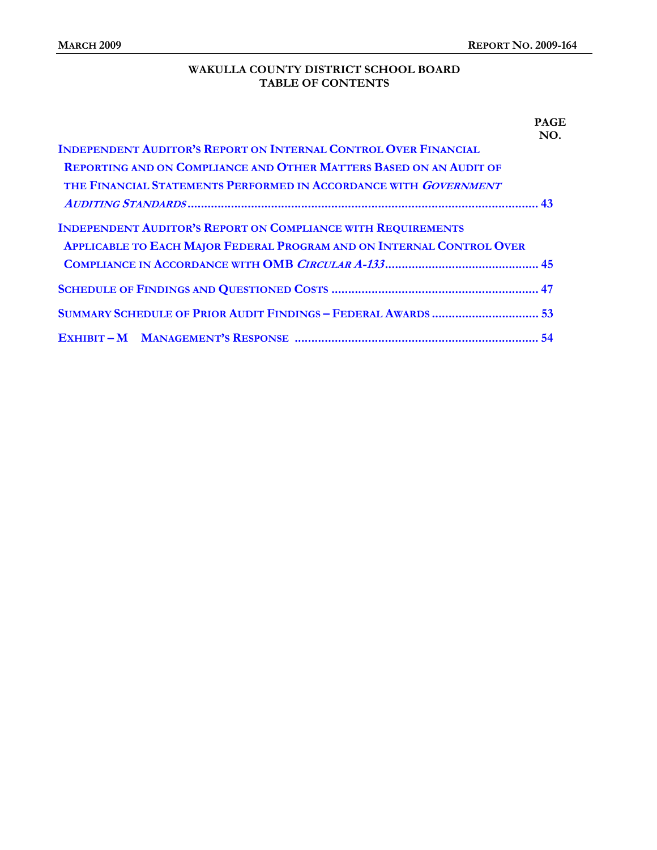## **WAKULLA COUNTY DISTRICT SCHOOL BOARD TABLE OF CONTENTS**

|                                                                              | <b>PAGE</b><br>NO. |
|------------------------------------------------------------------------------|--------------------|
| <b>INDEPENDENT AUDITOR'S REPORT ON INTERNAL CONTROL OVER FINANCIAL</b>       |                    |
| <b>REPORTING AND ON COMPLIANCE AND OTHER MATTERS BASED ON AN AUDIT OF</b>    |                    |
| THE FINANCIAL STATEMENTS PERFORMED IN ACCORDANCE WITH GOVERNMENT             |                    |
|                                                                              |                    |
| <b>INDEPENDENT AUDITOR'S REPORT ON COMPLIANCE WITH REQUIREMENTS</b>          |                    |
| <b>APPLICABLE TO EACH MAJOR FEDERAL PROGRAM AND ON INTERNAL CONTROL OVER</b> |                    |
|                                                                              |                    |
|                                                                              |                    |
| SUMMARY SCHEDULE OF PRIOR AUDIT FINDINGS - FEDERAL AWARDS  53                |                    |
|                                                                              |                    |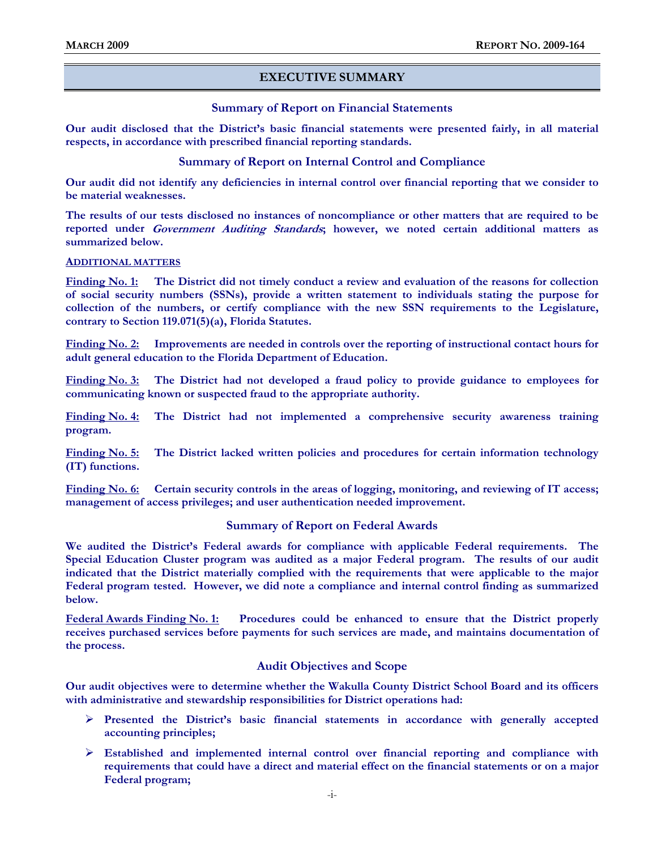## **EXECUTIVE SUMMARY**

#### **Summary of Report on Financial Statements**

<span id="page-4-0"></span>**Our audit disclosed that the District's basic financial statements were presented fairly, in all material respects, in accordance with prescribed financial reporting standards.** 

### **Summary of Report on Internal Control and Compliance**

**Our audit did not identify any deficiencies in internal control over financial reporting that we consider to be material weaknesses.** 

**The results of our tests disclosed no instances of noncompliance or other matters that are required to be reported under Government Auditing Standards; however, we noted certain additional matters as summarized below.** 

#### **ADDITIONAL MATTERS**

**Finding No. 1: The District did not timely conduct a review and evaluation of the reasons for collection of social security numbers (SSNs), provide a written statement to individuals stating the purpose for collection of the numbers, or certify compliance with the new SSN requirements to the Legislature, contrary to Section 119.071(5)(a), Florida Statutes.** 

**Finding No. 2: Improvements are needed in controls over the reporting of instructional contact hours for adult general education to the Florida Department of Education.** 

**Finding No. 3: The District had not developed a fraud policy to provide guidance to employees for communicating known or suspected fraud to the appropriate authority.** 

**Finding No. 4: The District had not implemented a comprehensive security awareness training program.** 

**Finding No. 5: The District lacked written policies and procedures for certain information technology (IT) functions.** 

**Finding No. 6: Certain security controls in the areas of logging, monitoring, and reviewing of IT access; management of access privileges; and user authentication needed improvement.** 

#### **Summary of Report on Federal Awards**

**We audited the District's Federal awards for compliance with applicable Federal requirements. The Special Education Cluster program was audited as a major Federal program. The results of our audit indicated that the District materially complied with the requirements that were applicable to the major Federal program tested. However, we did note a compliance and internal control finding as summarized below.** 

**Federal Awards Finding No. 1: Procedures could be enhanced to ensure that the District properly receives purchased services before payments for such services are made, and maintains documentation of the process.** 

#### **Audit Objectives and Scope**

**Our audit objectives were to determine whether the Wakulla County District School Board and its officers with administrative and stewardship responsibilities for District operations had:** 

- ¾ **Presented the District's basic financial statements in accordance with generally accepted accounting principles;**
- ¾ **Established and implemented internal control over financial reporting and compliance with requirements that could have a direct and material effect on the financial statements or on a major Federal program;**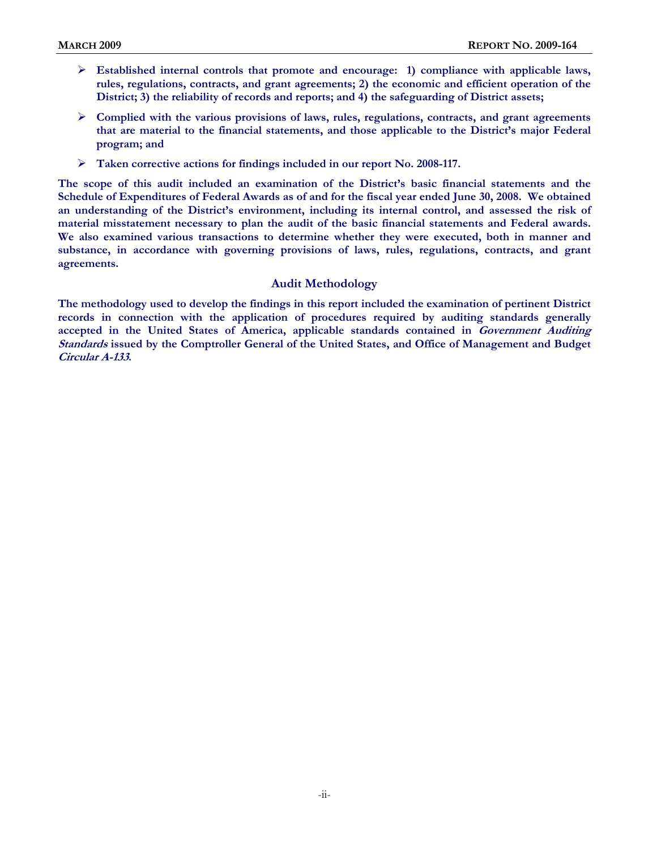- ¾ **Established internal controls that promote and encourage: 1) compliance with applicable laws, rules, regulations, contracts, and grant agreements; 2) the economic and efficient operation of the District; 3) the reliability of records and reports; and 4) the safeguarding of District assets;**
- ¾ **Complied with the various provisions of laws, rules, regulations, contracts, and grant agreements that are material to the financial statements, and those applicable to the District's major Federal program; and**
- ¾ **Taken corrective actions for findings included in our report No. 2008-117.**

**The scope of this audit included an examination of the District's basic financial statements and the Schedule of Expenditures of Federal Awards as of and for the fiscal year ended June 30, 2008. We obtained an understanding of the District's environment, including its internal control, and assessed the risk of material misstatement necessary to plan the audit of the basic financial statements and Federal awards. We also examined various transactions to determine whether they were executed, both in manner and substance, in accordance with governing provisions of laws, rules, regulations, contracts, and grant agreements.** 

#### **Audit Methodology**

**The methodology used to develop the findings in this report included the examination of pertinent District records in connection with the application of procedures required by auditing standards generally accepted in the United States of America, applicable standards contained in Government Auditing Standards issued by the Comptroller General of the United States, and Office of Management and Budget Circular A-133.**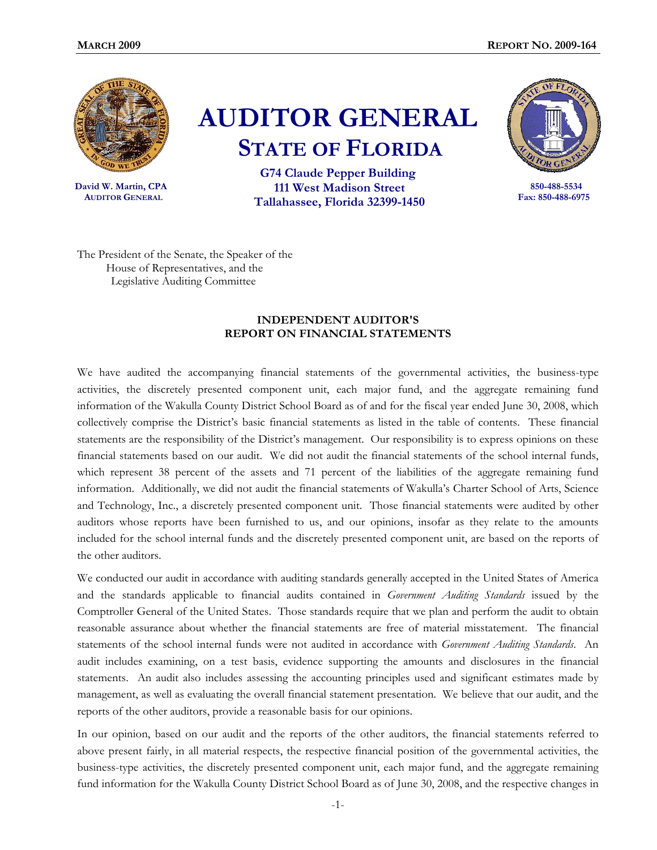<span id="page-6-0"></span>

**David W. Martin, CPA AUDITOR GENERAL**

**AUDITOR GENERAL STATE OF FLORIDA**

> **G74 Claude Pepper Building 111 West Madison Street Tallahassee, Florida 32399-1450**



**850-488-5534 Fax: 850-488-6975** 

The President of the Senate, the Speaker of the House of Representatives, and the Legislative Auditing Committee

## **INDEPENDENT AUDITOR'S REPORT ON FINANCIAL STATEMENTS**

We have audited the accompanying financial statements of the governmental activities, the business-type activities, the discretely presented component unit, each major fund, and the aggregate remaining fund information of the Wakulla County District School Board as of and for the fiscal year ended June 30, 2008, which collectively comprise the District's basic financial statements as listed in the table of contents. These financial statements are the responsibility of the District's management. Our responsibility is to express opinions on these financial statements based on our audit. We did not audit the financial statements of the school internal funds, which represent 38 percent of the assets and 71 percent of the liabilities of the aggregate remaining fund information. Additionally, we did not audit the financial statements of Wakulla's Charter School of Arts, Science and Technology, Inc., a discretely presented component unit. Those financial statements were audited by other auditors whose reports have been furnished to us, and our opinions, insofar as they relate to the amounts included for the school internal funds and the discretely presented component unit, are based on the reports of the other auditors.

We conducted our audit in accordance with auditing standards generally accepted in the United States of America and the standards applicable to financial audits contained in *Government Auditing Standards* issued by the Comptroller General of the United States. Those standards require that we plan and perform the audit to obtain reasonable assurance about whether the financial statements are free of material misstatement. The financial statements of the school internal funds were not audited in accordance with *Government Auditing Standards*. An audit includes examining, on a test basis, evidence supporting the amounts and disclosures in the financial statements. An audit also includes assessing the accounting principles used and significant estimates made by management, as well as evaluating the overall financial statement presentation. We believe that our audit, and the reports of the other auditors, provide a reasonable basis for our opinions.

In our opinion, based on our audit and the reports of the other auditors, the financial statements referred to above present fairly, in all material respects, the respective financial position of the governmental activities, the business-type activities, the discretely presented component unit, each major fund, and the aggregate remaining fund information for the Wakulla County District School Board as of June 30, 2008, and the respective changes in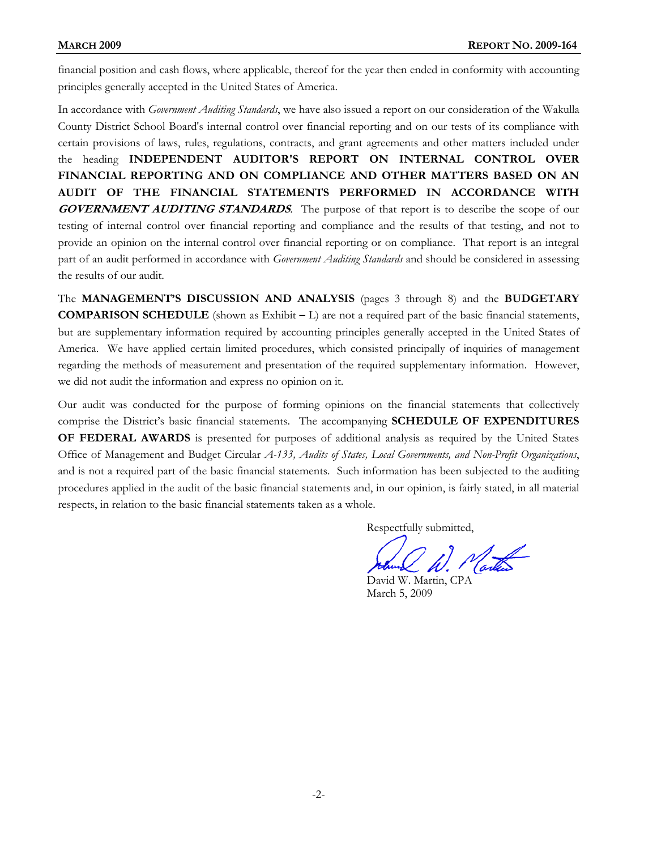financial position and cash flows, where applicable, thereof for the year then ended in conformity with accounting principles generally accepted in the United States of America.

In accordance with *Government Auditing Standards*, we have also issued a report on our consideration of the Wakulla County District School Board's internal control over financial reporting and on our tests of its compliance with certain provisions of laws, rules, regulations, contracts, and grant agreements and other matters included under the heading **INDEPENDENT AUDITOR'S REPORT ON INTERNAL CONTROL OVER FINANCIAL REPORTING AND ON COMPLIANCE AND OTHER MATTERS BASED ON AN AUDIT OF THE FINANCIAL STATEMENTS PERFORMED IN ACCORDANCE WITH GOVERNMENT AUDITING STANDARDS**. The purpose of that report is to describe the scope of our testing of internal control over financial reporting and compliance and the results of that testing, and not to provide an opinion on the internal control over financial reporting or on compliance. That report is an integral part of an audit performed in accordance with *Government Auditing Standards* and should be considered in assessing the results of our audit.

The **MANAGEMENT'S DISCUSSION AND ANALYSIS** (pages 3 through 8) and the **BUDGETARY COMPARISON SCHEDULE** (shown as Exhibit  $- L$ ) are not a required part of the basic financial statements, but are supplementary information required by accounting principles generally accepted in the United States of America. We have applied certain limited procedures, which consisted principally of inquiries of management regarding the methods of measurement and presentation of the required supplementary information. However, we did not audit the information and express no opinion on it.

Our audit was conducted for the purpose of forming opinions on the financial statements that collectively comprise the District's basic financial statements. The accompanying **SCHEDULE OF EXPENDITURES OF FEDERAL AWARDS** is presented for purposes of additional analysis as required by the United States Office of Management and Budget Circular *A-133, Audits of States, Local Governments, and Non-Profit Organizations*, and is not a required part of the basic financial statements. Such information has been subjected to the auditing procedures applied in the audit of the basic financial statements and, in our opinion, is fairly stated, in all material respects, in relation to the basic financial statements taken as a whole.

Respectfully submitted,

David W. Martin, CPA March 5, 2009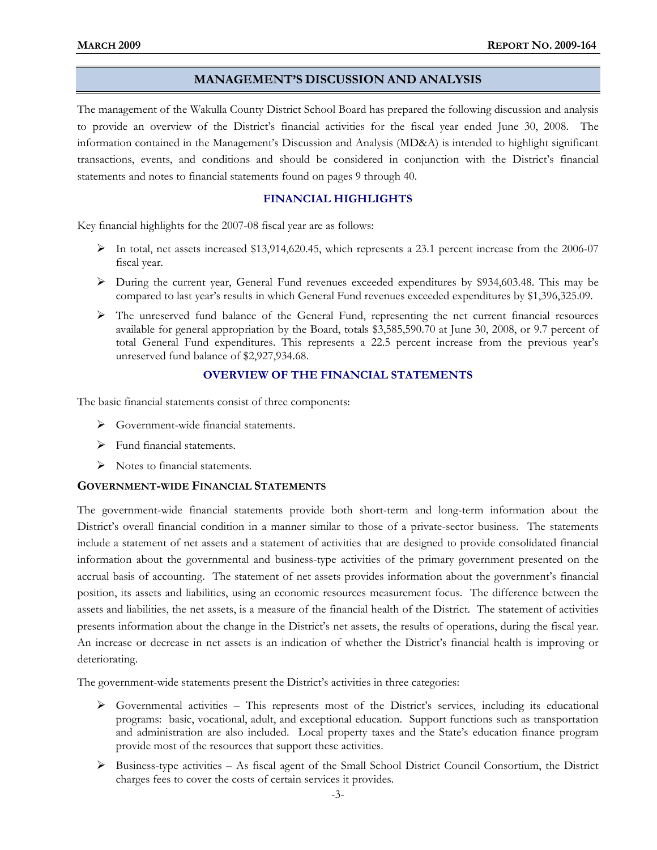## **MANAGEMENT'S DISCUSSION AND ANALYSIS**

<span id="page-8-0"></span>The management of the Wakulla County District School Board has prepared the following discussion and analysis to provide an overview of the District's financial activities for the fiscal year ended June 30, 2008. The information contained in the Management's Discussion and Analysis (MD&A) is intended to highlight significant transactions, events, and conditions and should be considered in conjunction with the District's financial statements and notes to financial statements found on pages 9 through 40.

#### **FINANCIAL HIGHLIGHTS**

Key financial highlights for the 2007-08 fiscal year are as follows:

- $\blacktriangleright$  In total, net assets increased \$13,914,620.45, which represents a 23.1 percent increase from the 2006-07 fiscal year.
- $\triangleright$  During the current year, General Fund revenues exceeded expenditures by \$934,603.48. This may be compared to last year's results in which General Fund revenues exceeded expenditures by \$1,396,325.09.
- ¾ The unreserved fund balance of the General Fund, representing the net current financial resources available for general appropriation by the Board, totals \$3,585,590.70 at June 30, 2008, or 9.7 percent of total General Fund expenditures. This represents a 22.5 percent increase from the previous year's unreserved fund balance of \$2,927,934.68.

#### **OVERVIEW OF THE FINANCIAL STATEMENTS**

The basic financial statements consist of three components:

- $\triangleright$  Government-wide financial statements.
- $\triangleright$  Fund financial statements.
- $\triangleright$  Notes to financial statements.

#### **GOVERNMENT-WIDE FINANCIAL STATEMENTS**

The government-wide financial statements provide both short-term and long-term information about the District's overall financial condition in a manner similar to those of a private-sector business. The statements include a statement of net assets and a statement of activities that are designed to provide consolidated financial information about the governmental and business-type activities of the primary government presented on the accrual basis of accounting. The statement of net assets provides information about the government's financial position, its assets and liabilities, using an economic resources measurement focus. The difference between the assets and liabilities, the net assets, is a measure of the financial health of the District. The statement of activities presents information about the change in the District's net assets, the results of operations, during the fiscal year. An increase or decrease in net assets is an indication of whether the District's financial health is improving or deteriorating.

The government-wide statements present the District's activities in three categories:

- $\triangleright$  Governmental activities This represents most of the District's services, including its educational programs: basic, vocational, adult, and exceptional education. Support functions such as transportation and administration are also included. Local property taxes and the State's education finance program provide most of the resources that support these activities.
- $\triangleright$  Business-type activities As fiscal agent of the Small School District Council Consortium, the District charges fees to cover the costs of certain services it provides.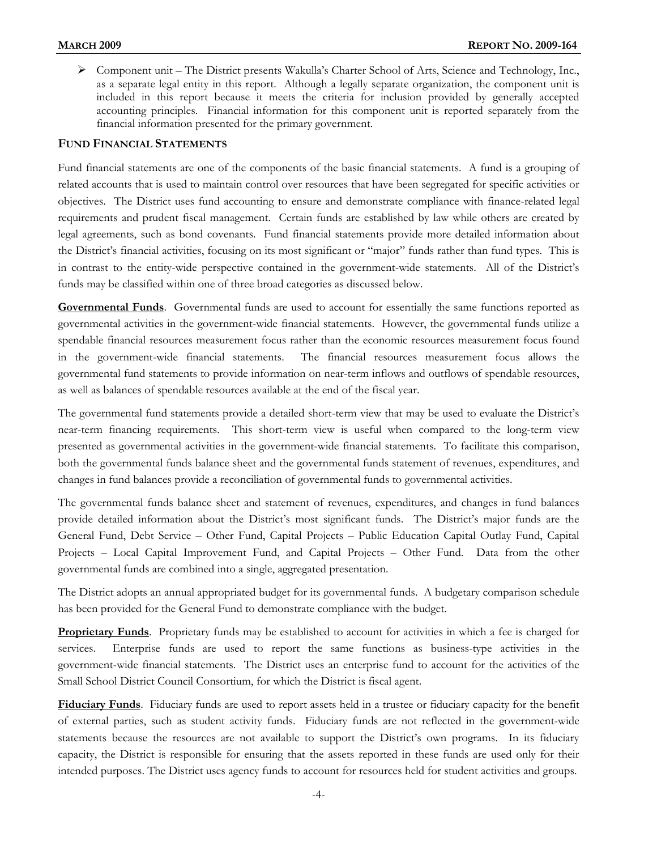¾ Component unit – The District presents Wakulla's Charter School of Arts, Science and Technology, Inc., as a separate legal entity in this report. Although a legally separate organization, the component unit is included in this report because it meets the criteria for inclusion provided by generally accepted accounting principles. Financial information for this component unit is reported separately from the financial information presented for the primary government.

#### **FUND FINANCIAL STATEMENTS**

Fund financial statements are one of the components of the basic financial statements. A fund is a grouping of related accounts that is used to maintain control over resources that have been segregated for specific activities or objectives. The District uses fund accounting to ensure and demonstrate compliance with finance-related legal requirements and prudent fiscal management. Certain funds are established by law while others are created by legal agreements, such as bond covenants. Fund financial statements provide more detailed information about the District's financial activities, focusing on its most significant or "major" funds rather than fund types. This is in contrast to the entity-wide perspective contained in the government-wide statements. All of the District's funds may be classified within one of three broad categories as discussed below.

**Governmental Funds**. Governmental funds are used to account for essentially the same functions reported as governmental activities in the government-wide financial statements. However, the governmental funds utilize a spendable financial resources measurement focus rather than the economic resources measurement focus found in the government-wide financial statements. The financial resources measurement focus allows the governmental fund statements to provide information on near-term inflows and outflows of spendable resources, as well as balances of spendable resources available at the end of the fiscal year.

The governmental fund statements provide a detailed short-term view that may be used to evaluate the District's near-term financing requirements. This short-term view is useful when compared to the long-term view presented as governmental activities in the government-wide financial statements. To facilitate this comparison, both the governmental funds balance sheet and the governmental funds statement of revenues, expenditures, and changes in fund balances provide a reconciliation of governmental funds to governmental activities.

The governmental funds balance sheet and statement of revenues, expenditures, and changes in fund balances provide detailed information about the District's most significant funds. The District's major funds are the General Fund, Debt Service – Other Fund, Capital Projects – Public Education Capital Outlay Fund, Capital Projects – Local Capital Improvement Fund, and Capital Projects – Other Fund. Data from the other governmental funds are combined into a single, aggregated presentation.

The District adopts an annual appropriated budget for its governmental funds. A budgetary comparison schedule has been provided for the General Fund to demonstrate compliance with the budget.

**Proprietary Funds**. Proprietary funds may be established to account for activities in which a fee is charged for services. Enterprise funds are used to report the same functions as business-type activities in the government-wide financial statements. The District uses an enterprise fund to account for the activities of the Small School District Council Consortium, for which the District is fiscal agent.

**Fiduciary Funds**. Fiduciary funds are used to report assets held in a trustee or fiduciary capacity for the benefit of external parties, such as student activity funds. Fiduciary funds are not reflected in the government-wide statements because the resources are not available to support the District's own programs. In its fiduciary capacity, the District is responsible for ensuring that the assets reported in these funds are used only for their intended purposes. The District uses agency funds to account for resources held for student activities and groups.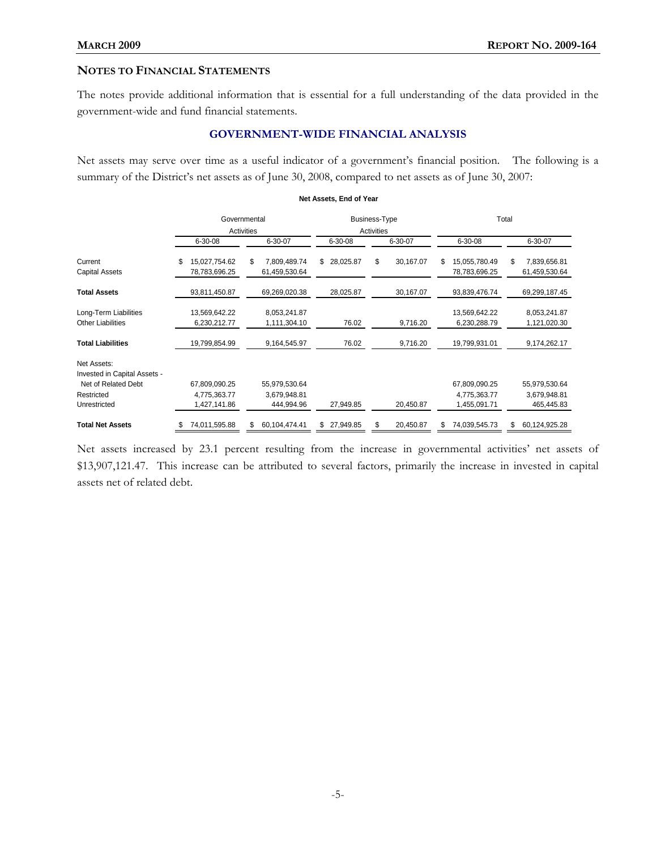#### **NOTES TO FINANCIAL STATEMENTS**

The notes provide additional information that is essential for a full understanding of the data provided in the government-wide and fund financial statements.

## **GOVERNMENT-WIDE FINANCIAL ANALYSIS**

Net assets may serve over time as a useful indicator of a government's financial position. The following is a summary of the District's net assets as of June 30, 2008, compared to net assets as of June 30, 2007:

**Net Assets, End of Year**

|                                                                                                  |                                               | Governmental<br>Activities                  |                 | Business-Type<br><b>Activities</b> | Total                                         |                                             |  |
|--------------------------------------------------------------------------------------------------|-----------------------------------------------|---------------------------------------------|-----------------|------------------------------------|-----------------------------------------------|---------------------------------------------|--|
|                                                                                                  | 6-30-08                                       | 6-30-07                                     | 6-30-08         | 6-30-07                            | $6 - 30 - 08$                                 | 6-30-07                                     |  |
| Current<br><b>Capital Assets</b>                                                                 | 15,027,754.62<br>S<br>78,783,696.25           | \$<br>7,809,489.74<br>61,459,530.64         | 28,025.87<br>S. | \$<br>30,167.07                    | 15,055,780.49<br>S<br>78,783,696.25           | 7,839,656.81<br>S<br>61,459,530.64          |  |
| <b>Total Assets</b>                                                                              | 93,811,450.87                                 | 69,269,020.38                               | 28,025.87       | 30,167.07                          | 93,839,476.74                                 | 69,299,187.45                               |  |
| Long-Term Liabilities<br><b>Other Liabilities</b>                                                | 13,569,642.22<br>6,230,212.77                 | 8,053,241.87<br>1,111,304.10                | 76.02           | 9,716.20                           | 13,569,642.22<br>6,230,288.79                 | 8,053,241.87<br>1,121,020.30                |  |
| <b>Total Liabilities</b>                                                                         | 19,799,854.99                                 | 9,164,545.97                                | 76.02           | 9,716.20                           | 19,799,931.01                                 | 9,174,262.17                                |  |
| Net Assets:<br>Invested in Capital Assets -<br>Net of Related Debt<br>Restricted<br>Unrestricted | 67,809,090.25<br>4,775,363.77<br>1,427,141.86 | 55,979,530.64<br>3,679,948.81<br>444,994.96 | 27,949.85       | 20,450.87                          | 67,809,090.25<br>4,775,363.77<br>1,455,091.71 | 55,979,530.64<br>3,679,948.81<br>465,445.83 |  |
| <b>Total Net Assets</b>                                                                          | 74,011,595.88                                 | 60,104,474.41<br>S                          | 27,949.85<br>\$ | 20,450.87                          | 74,039,545.73<br>S                            | 60,124,925.28<br>S                          |  |

Net assets increased by 23.1 percent resulting from the increase in governmental activities' net assets of \$13,907,121.47. This increase can be attributed to several factors, primarily the increase in invested in capital assets net of related debt.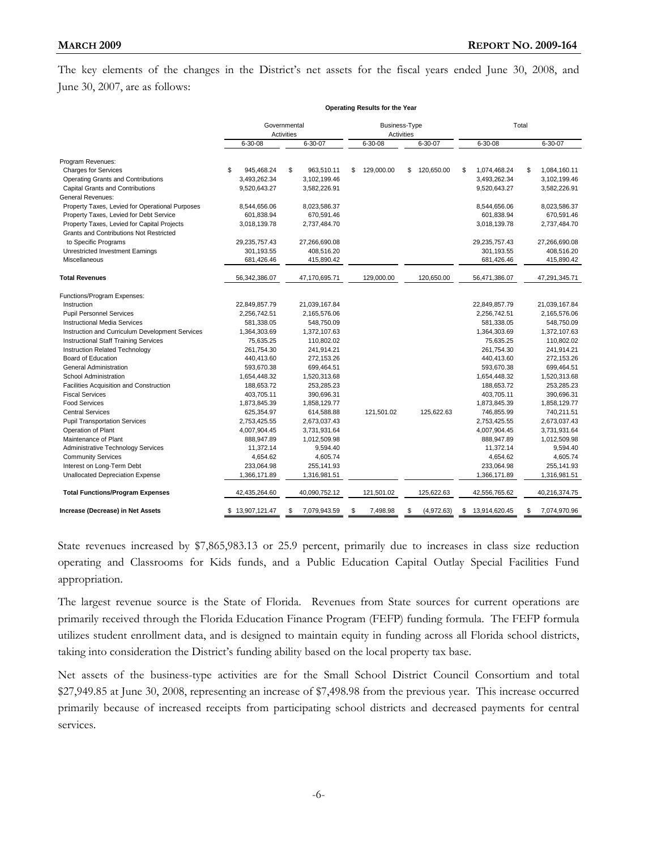The key elements of the changes in the District's net assets for the fiscal years ended June 30, 2008, and June 30, 2007, are as follows:

|                                                 | Operating Results for the Year    |                    |                                           |                  |                     |                    |  |
|-------------------------------------------------|-----------------------------------|--------------------|-------------------------------------------|------------------|---------------------|--------------------|--|
|                                                 | Governmental<br><b>Activities</b> |                    | <b>Business-Type</b><br><b>Activities</b> |                  | Total               |                    |  |
|                                                 | 6-30-08                           | $6 - 30 - 07$      | $6 - 30 - 08$                             | 6-30-07          | 6-30-08             | $6 - 30 - 07$      |  |
| Program Revenues:                               |                                   |                    |                                           |                  |                     |                    |  |
| <b>Charges for Services</b>                     | \$<br>945,468.24                  | \$<br>963,510.11   | 129,000.00<br>\$                          | 120,650.00<br>\$ | 1,074,468.24<br>\$  | 1,084,160.11<br>\$ |  |
| Operating Grants and Contributions              | 3,493,262.34                      | 3,102,199.46       |                                           |                  | 3,493,262.34        | 3,102,199.46       |  |
| <b>Capital Grants and Contributions</b>         | 9,520,643.27                      | 3,582,226.91       |                                           |                  | 9,520,643.27        | 3,582,226.91       |  |
| <b>General Revenues:</b>                        |                                   |                    |                                           |                  |                     |                    |  |
| Property Taxes, Levied for Operational Purposes | 8,544,656.06                      | 8,023,586.37       |                                           |                  | 8,544,656.06        | 8,023,586.37       |  |
| Property Taxes, Levied for Debt Service         | 601,838.94                        | 670,591.46         |                                           |                  | 601.838.94          | 670,591.46         |  |
| Property Taxes, Levied for Capital Projects     | 3,018,139.78                      | 2,737,484.70       |                                           |                  | 3,018,139.78        | 2,737,484.70       |  |
| Grants and Contributions Not Restricted         |                                   |                    |                                           |                  |                     |                    |  |
| to Specific Programs                            | 29,235,757.43                     | 27,266,690.08      |                                           |                  | 29,235,757.43       | 27,266,690.08      |  |
| <b>Unrestricted Investment Earnings</b>         | 301,193.55                        | 408,516.20         |                                           |                  | 301,193.55          | 408,516.20         |  |
| Miscellaneous                                   | 681,426.46                        | 415,890.42         |                                           |                  | 681,426.46          | 415,890.42         |  |
|                                                 |                                   |                    |                                           |                  |                     |                    |  |
| <b>Total Revenues</b>                           | 56,342,386.07                     | 47,170,695.71      | 129,000.00                                | 120,650.00       | 56,471,386.07       | 47,291,345.71      |  |
| Functions/Program Expenses:                     |                                   |                    |                                           |                  |                     |                    |  |
| Instruction                                     | 22,849,857.79                     | 21,039,167.84      |                                           |                  | 22,849,857.79       | 21,039,167.84      |  |
| <b>Pupil Personnel Services</b>                 | 2,256,742.51                      | 2,165,576.06       |                                           |                  | 2,256,742.51        | 2,165,576.06       |  |
| <b>Instructional Media Services</b>             | 581,338.05                        | 548,750.09         |                                           |                  | 581,338.05          | 548,750.09         |  |
| Instruction and Curriculum Development Services | 1,364,303.69                      | 1,372,107.63       |                                           |                  | 1,364,303.69        | 1,372,107.63       |  |
| <b>Instructional Staff Training Services</b>    | 75,635.25                         | 110,802.02         |                                           |                  | 75,635.25           | 110,802.02         |  |
| <b>Instruction Related Technology</b>           | 261,754.30                        | 241,914.21         |                                           |                  | 261,754.30          | 241,914.21         |  |
| <b>Board of Education</b>                       | 440,413.60                        | 272,153.26         |                                           |                  | 440,413.60          | 272,153.26         |  |
| <b>General Administration</b>                   | 593,670.38                        | 699,464.51         |                                           |                  | 593,670.38          | 699,464.51         |  |
| School Administration                           | 1,654,448.32                      | 1,520,313.68       |                                           |                  | 1,654,448.32        | 1,520,313.68       |  |
| Facilities Acquisition and Construction         | 188,653.72                        | 253,285.23         |                                           |                  | 188,653.72          | 253,285.23         |  |
| <b>Fiscal Services</b>                          | 403,705.11                        | 390,696.31         |                                           |                  | 403,705.11          | 390,696.31         |  |
| <b>Food Services</b>                            | 1,873,845.39                      | 1,858,129.77       |                                           |                  | 1,873,845.39        | 1,858,129.77       |  |
| <b>Central Services</b>                         | 625,354.97                        | 614,588.88         | 121,501.02                                | 125,622.63       | 746,855.99          | 740,211.51         |  |
| <b>Pupil Transportation Services</b>            | 2,753,425.55                      | 2,673,037.43       |                                           |                  | 2,753,425.55        | 2,673,037.43       |  |
| Operation of Plant                              | 4,007,904.45                      | 3,731,931.64       |                                           |                  | 4,007,904.45        | 3,731,931.64       |  |
| Maintenance of Plant                            | 888,947.89                        | 1,012,509.98       |                                           |                  | 888,947.89          | 1,012,509.98       |  |
| Administrative Technology Services              | 11,372.14                         | 9,594.40           |                                           |                  | 11,372.14           | 9,594.40           |  |
| <b>Community Services</b>                       | 4,654.62                          | 4,605.74           |                                           |                  | 4,654.62            | 4,605.74           |  |
| Interest on Long-Term Debt                      | 233.064.98                        | 255,141.93         |                                           |                  | 233.064.98          | 255.141.93         |  |
| <b>Unallocated Depreciation Expense</b>         | 1,366,171.89                      | 1,316,981.51       |                                           |                  | 1,366,171.89        | 1,316,981.51       |  |
| <b>Total Functions/Program Expenses</b>         | 42,435,264.60                     | 40,090,752.12      | 121,501.02                                | 125,622.63       | 42,556,765.62       | 40,216,374.75      |  |
| Increase (Decrease) in Net Assets               | \$13,907,121.47                   | 7,079,943.59<br>\$ | 7,498.98<br>\$                            | (4,972.63)<br>\$ | 13,914,620.45<br>\$ | 7,074,970.96<br>\$ |  |

State revenues increased by \$7,865,983.13 or 25.9 percent, primarily due to increases in class size reduction operating and Classrooms for Kids funds, and a Public Education Capital Outlay Special Facilities Fund appropriation.

The largest revenue source is the State of Florida. Revenues from State sources for current operations are primarily received through the Florida Education Finance Program (FEFP) funding formula. The FEFP formula utilizes student enrollment data, and is designed to maintain equity in funding across all Florida school districts, taking into consideration the District's funding ability based on the local property tax base.

Net assets of the business-type activities are for the Small School District Council Consortium and total \$27,949.85 at June 30, 2008, representing an increase of \$7,498.98 from the previous year. This increase occurred primarily because of increased receipts from participating school districts and decreased payments for central services.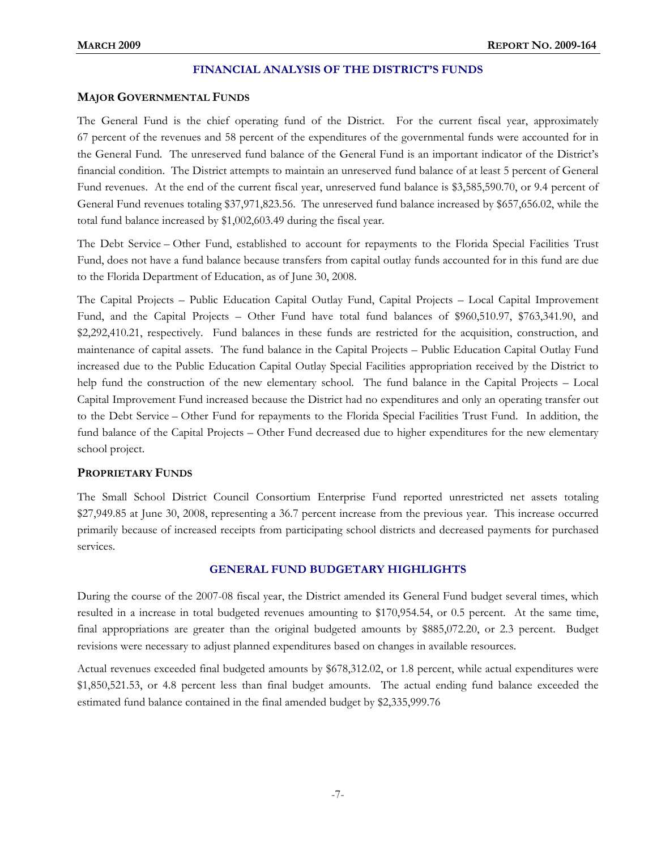#### **FINANCIAL ANALYSIS OF THE DISTRICT'S FUNDS**

#### **MAJOR GOVERNMENTAL FUNDS**

The General Fund is the chief operating fund of the District. For the current fiscal year, approximately 67 percent of the revenues and 58 percent of the expenditures of the governmental funds were accounted for in the General Fund. The unreserved fund balance of the General Fund is an important indicator of the District's financial condition. The District attempts to maintain an unreserved fund balance of at least 5 percent of General Fund revenues. At the end of the current fiscal year, unreserved fund balance is \$3,585,590.70, or 9.4 percent of General Fund revenues totaling \$37,971,823.56. The unreserved fund balance increased by \$657,656.02, while the total fund balance increased by \$1,002,603.49 during the fiscal year.

The Debt Service – Other Fund, established to account for repayments to the Florida Special Facilities Trust Fund, does not have a fund balance because transfers from capital outlay funds accounted for in this fund are due to the Florida Department of Education, as of June 30, 2008.

The Capital Projects – Public Education Capital Outlay Fund, Capital Projects – Local Capital Improvement Fund, and the Capital Projects – Other Fund have total fund balances of \$960,510.97, \$763,341.90, and \$2,292,410.21, respectively. Fund balances in these funds are restricted for the acquisition, construction, and maintenance of capital assets. The fund balance in the Capital Projects – Public Education Capital Outlay Fund increased due to the Public Education Capital Outlay Special Facilities appropriation received by the District to help fund the construction of the new elementary school. The fund balance in the Capital Projects – Local Capital Improvement Fund increased because the District had no expenditures and only an operating transfer out to the Debt Service – Other Fund for repayments to the Florida Special Facilities Trust Fund. In addition, the fund balance of the Capital Projects – Other Fund decreased due to higher expenditures for the new elementary school project.

#### **PROPRIETARY FUNDS**

The Small School District Council Consortium Enterprise Fund reported unrestricted net assets totaling \$27,949.85 at June 30, 2008, representing a 36.7 percent increase from the previous year. This increase occurred primarily because of increased receipts from participating school districts and decreased payments for purchased services.

#### **GENERAL FUND BUDGETARY HIGHLIGHTS**

During the course of the 2007-08 fiscal year, the District amended its General Fund budget several times, which resulted in a increase in total budgeted revenues amounting to \$170,954.54, or 0.5 percent. At the same time, final appropriations are greater than the original budgeted amounts by \$885,072.20, or 2.3 percent. Budget revisions were necessary to adjust planned expenditures based on changes in available resources.

Actual revenues exceeded final budgeted amounts by \$678,312.02, or 1.8 percent, while actual expenditures were \$1,850,521.53, or 4.8 percent less than final budget amounts. The actual ending fund balance exceeded the estimated fund balance contained in the final amended budget by \$2,335,999.76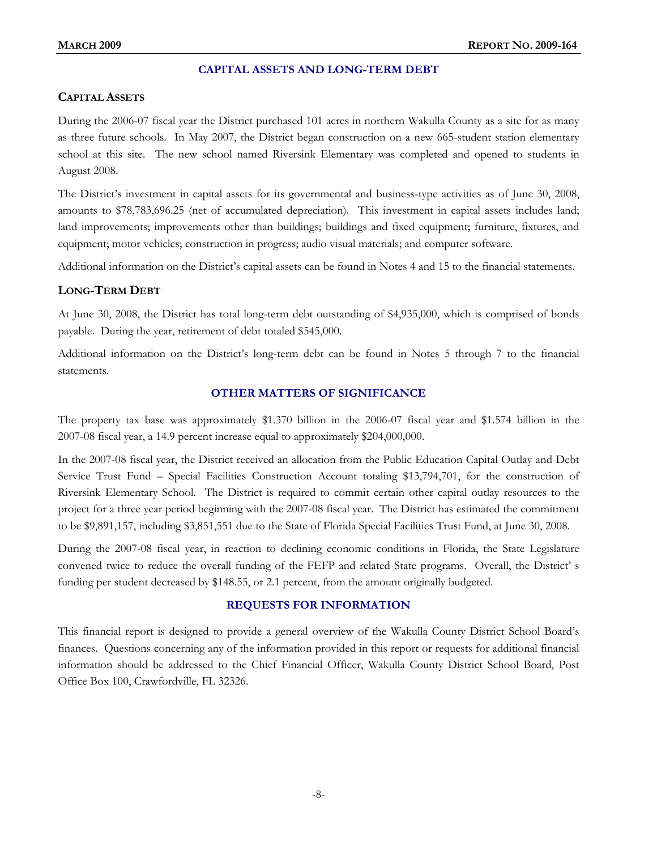#### **CAPITAL ASSETS AND LONG-TERM DEBT**

## **CAPITAL ASSETS**

During the 2006-07 fiscal year the District purchased 101 acres in northern Wakulla County as a site for as many as three future schools. In May 2007, the District began construction on a new 665-student station elementary school at this site. The new school named Riversink Elementary was completed and opened to students in August 2008.

The District's investment in capital assets for its governmental and business-type activities as of June 30, 2008, amounts to \$78,783,696.25 (net of accumulated depreciation). This investment in capital assets includes land; land improvements; improvements other than buildings; buildings and fixed equipment; furniture, fixtures, and equipment; motor vehicles; construction in progress; audio visual materials; and computer software.

Additional information on the District's capital assets can be found in Notes 4 and 15 to the financial statements.

## **LONG-TERM DEBT**

At June 30, 2008, the District has total long-term debt outstanding of \$4,935,000, which is comprised of bonds payable. During the year, retirement of debt totaled \$545,000.

Additional information on the District's long-term debt can be found in Notes 5 through 7 to the financial statements.

## **OTHER MATTERS OF SIGNIFICANCE**

The property tax base was approximately \$1.370 billion in the 2006-07 fiscal year and \$1.574 billion in the 2007-08 fiscal year, a 14.9 percent increase equal to approximately \$204,000,000.

In the 2007-08 fiscal year, the District received an allocation from the Public Education Capital Outlay and Debt Service Trust Fund – Special Facilities Construction Account totaling \$13,794,701, for the construction of Riversink Elementary School. The District is required to commit certain other capital outlay resources to the project for a three year period beginning with the 2007-08 fiscal year. The District has estimated the commitment to be \$9,891,157, including \$3,851,551 due to the State of Florida Special Facilities Trust Fund, at June 30, 2008.

During the 2007-08 fiscal year, in reaction to declining economic conditions in Florida, the State Legislature convened twice to reduce the overall funding of the FEFP and related State programs. Overall, the District' s funding per student decreased by \$148.55, or 2.1 percent, from the amount originally budgeted.

## **REQUESTS FOR INFORMATION**

This financial report is designed to provide a general overview of the Wakulla County District School Board's finances. Questions concerning any of the information provided in this report or requests for additional financial information should be addressed to the Chief Financial Officer, Wakulla County District School Board, Post Office Box 100, Crawfordville, FL 32326.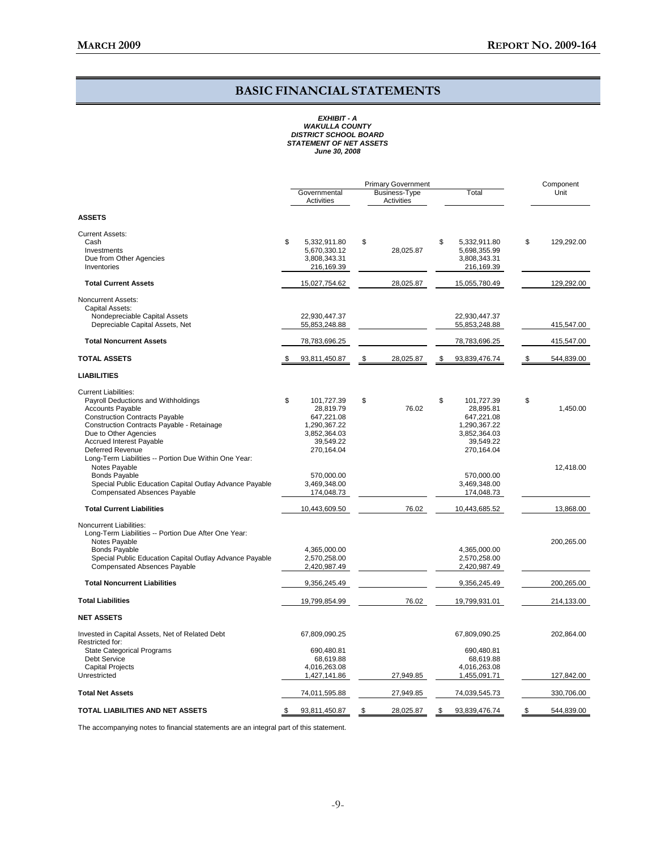## **BASIC FINANCIAL STATEMENTS**

*EXHIBIT - A STATEMENT OF NET ASSETS June 30, 2008 WAKULLA COUNTY DISTRICT SCHOOL BOARD*

<span id="page-14-0"></span>

|                                                                                                                                                                                                                                                                      | <b>Primary Government</b>                                                                              |    |                                           |    | Component                                                                                        |                  |
|----------------------------------------------------------------------------------------------------------------------------------------------------------------------------------------------------------------------------------------------------------------------|--------------------------------------------------------------------------------------------------------|----|-------------------------------------------|----|--------------------------------------------------------------------------------------------------|------------------|
|                                                                                                                                                                                                                                                                      | Governmental<br>Activities                                                                             |    | <b>Business-Type</b><br><b>Activities</b> |    | Total                                                                                            | Unit             |
| <b>ASSETS</b>                                                                                                                                                                                                                                                        |                                                                                                        |    |                                           |    |                                                                                                  |                  |
| <b>Current Assets:</b><br>Cash<br>Investments<br>Due from Other Agencies                                                                                                                                                                                             | \$<br>5,332,911.80<br>5,670,330.12<br>3,808,343.31                                                     | \$ | 28,025.87                                 | \$ | 5,332,911.80<br>5,698,355.99<br>3,808,343.31                                                     | \$<br>129,292.00 |
| Inventories                                                                                                                                                                                                                                                          | 216,169.39                                                                                             |    |                                           |    | 216,169.39                                                                                       |                  |
| <b>Total Current Assets</b>                                                                                                                                                                                                                                          | 15,027,754.62                                                                                          |    | 28,025.87                                 |    | 15,055,780.49                                                                                    | 129,292.00       |
| Noncurrent Assets:<br>Capital Assets:<br>Nondepreciable Capital Assets<br>Depreciable Capital Assets, Net                                                                                                                                                            | 22,930,447.37<br>55,853,248.88                                                                         |    |                                           |    | 22,930,447.37<br>55,853,248.88                                                                   | 415,547.00       |
|                                                                                                                                                                                                                                                                      |                                                                                                        |    |                                           |    |                                                                                                  |                  |
| <b>Total Noncurrent Assets</b>                                                                                                                                                                                                                                       | 78,783,696.25                                                                                          |    |                                           |    | 78,783,696.25                                                                                    | 415,547.00       |
| <b>TOTAL ASSETS</b>                                                                                                                                                                                                                                                  | \$<br>93,811,450.87                                                                                    | \$ | 28,025.87                                 | \$ | 93,839,476.74                                                                                    | \$<br>544,839.00 |
| <b>LIABILITIES</b>                                                                                                                                                                                                                                                   |                                                                                                        |    |                                           |    |                                                                                                  |                  |
| <b>Current Liabilities:</b><br>Payroll Deductions and Withholdings<br>Accounts Payable<br><b>Construction Contracts Payable</b><br>Construction Contracts Payable - Retainage<br>Due to Other Agencies<br><b>Accrued Interest Payable</b><br><b>Deferred Revenue</b> | \$<br>101,727.39<br>28,819.79<br>647,221.08<br>1,290,367.22<br>3,852,364.03<br>39,549.22<br>270,164.04 | \$ | 76.02                                     | \$ | 101,727.39<br>28,895.81<br>647,221.08<br>1,290,367.22<br>3,852,364.03<br>39,549.22<br>270,164.04 | \$<br>1,450.00   |
| Long-Term Liabilities -- Portion Due Within One Year:<br>Notes Payable<br><b>Bonds Payable</b><br>Special Public Education Capital Outlay Advance Payable<br><b>Compensated Absences Payable</b>                                                                     | 570,000.00<br>3,469,348.00<br>174,048.73                                                               |    |                                           |    | 570,000.00<br>3,469,348.00<br>174,048.73                                                         | 12,418.00        |
| <b>Total Current Liabilities</b>                                                                                                                                                                                                                                     | 10,443,609.50                                                                                          |    | 76.02                                     |    | 10,443,685.52                                                                                    | 13,868.00        |
| Noncurrent Liabilities:<br>Long-Term Liabilities -- Portion Due After One Year:<br>Notes Payable<br><b>Bonds Payable</b><br>Special Public Education Capital Outlay Advance Payable<br><b>Compensated Absences Payable</b>                                           | 4,365,000.00<br>2,570,258.00<br>2,420,987.49                                                           |    |                                           |    | 4,365,000.00<br>2,570,258.00<br>2,420,987.49                                                     | 200,265.00       |
| <b>Total Noncurrent Liabilities</b>                                                                                                                                                                                                                                  | 9,356,245.49                                                                                           |    |                                           |    | 9,356,245.49                                                                                     | 200,265.00       |
| <b>Total Liabilities</b>                                                                                                                                                                                                                                             | 19,799,854.99                                                                                          |    | 76.02                                     |    | 19,799,931.01                                                                                    | 214,133.00       |
| <b>NET ASSETS</b>                                                                                                                                                                                                                                                    |                                                                                                        |    |                                           |    |                                                                                                  |                  |
| Invested in Capital Assets, Net of Related Debt<br>Restricted for:<br><b>State Categorical Programs</b><br><b>Debt Service</b>                                                                                                                                       | 67,809,090.25<br>690,480.81<br>68,619.88                                                               |    |                                           |    | 67,809,090.25<br>690,480.81<br>68,619.88                                                         | 202,864.00       |
| <b>Capital Projects</b><br>Unrestricted                                                                                                                                                                                                                              | 4,016,263.08<br>1,427,141.86                                                                           |    | 27,949.85                                 |    | 4,016,263.08<br>1,455,091.71                                                                     | 127,842.00       |
| <b>Total Net Assets</b>                                                                                                                                                                                                                                              | 74,011,595.88                                                                                          |    | 27,949.85                                 |    | 74,039,545.73                                                                                    | 330,706.00       |
| TOTAL LIABILITIES AND NET ASSETS                                                                                                                                                                                                                                     | \$<br>93,811,450.87                                                                                    | \$ | 28,025.87                                 | \$ | 93,839,476.74                                                                                    | \$<br>544,839.00 |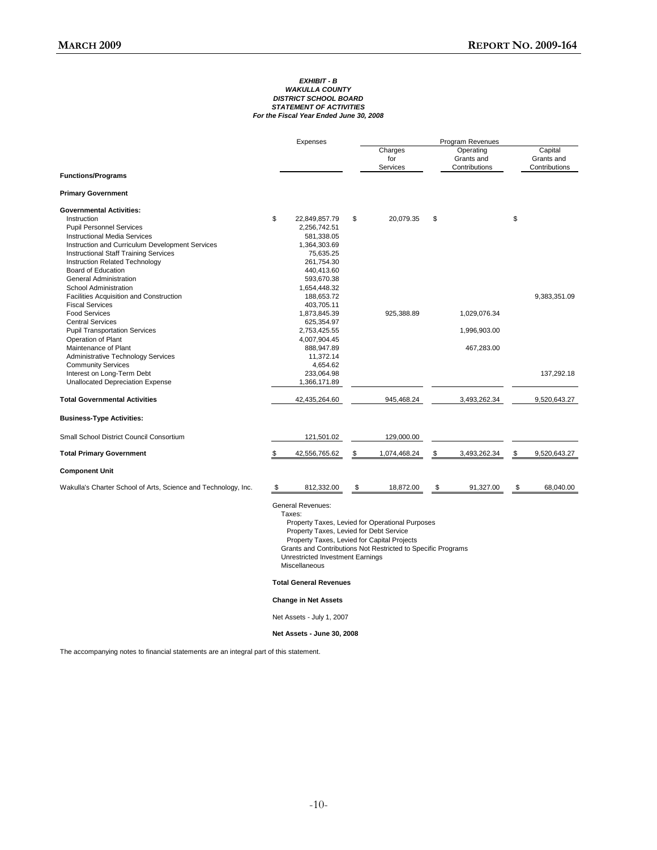#### *EXHIBIT - B WAKULLA COUNTY DISTRICT SCHOOL BOARD STATEMENT OF ACTIVITIES For the Fiscal Year Ended June 30, 2008*

<span id="page-15-0"></span>

|                                                                | Expenses                           |    |                |    | Program Revenues        |    |                       |  |
|----------------------------------------------------------------|------------------------------------|----|----------------|----|-------------------------|----|-----------------------|--|
|                                                                |                                    |    | Charges<br>for |    | Operating<br>Grants and |    | Capital<br>Grants and |  |
| <b>Functions/Programs</b>                                      |                                    |    | Services       |    | Contributions           |    | Contributions         |  |
| <b>Primary Government</b>                                      |                                    |    |                |    |                         |    |                       |  |
| <b>Governmental Activities:</b>                                |                                    |    |                |    |                         |    |                       |  |
| Instruction                                                    | \$<br>22,849,857.79                | \$ | 20,079.35      | \$ |                         | \$ |                       |  |
| <b>Pupil Personnel Services</b>                                | 2,256,742.51                       |    |                |    |                         |    |                       |  |
| <b>Instructional Media Services</b>                            | 581,338.05                         |    |                |    |                         |    |                       |  |
| Instruction and Curriculum Development Services                | 1,364,303.69                       |    |                |    |                         |    |                       |  |
| <b>Instructional Staff Training Services</b>                   | 75,635.25                          |    |                |    |                         |    |                       |  |
| Instruction Related Technology                                 | 261,754.30                         |    |                |    |                         |    |                       |  |
| <b>Board of Education</b>                                      | 440,413.60                         |    |                |    |                         |    |                       |  |
| <b>General Administration</b>                                  | 593,670.38                         |    |                |    |                         |    |                       |  |
| School Administration                                          | 1,654,448.32                       |    |                |    |                         |    |                       |  |
| Facilities Acquisition and Construction                        | 188,653.72                         |    |                |    |                         |    | 9,383,351.09          |  |
| <b>Fiscal Services</b>                                         | 403,705.11                         |    |                |    |                         |    |                       |  |
| <b>Food Services</b>                                           | 1,873,845.39                       |    | 925,388.89     |    | 1,029,076.34            |    |                       |  |
| <b>Central Services</b>                                        | 625,354.97                         |    |                |    |                         |    |                       |  |
| <b>Pupil Transportation Services</b>                           | 2,753,425.55                       |    |                |    | 1,996,903.00            |    |                       |  |
| Operation of Plant                                             | 4,007,904.45                       |    |                |    |                         |    |                       |  |
| Maintenance of Plant                                           | 888,947.89                         |    |                |    | 467,283.00              |    |                       |  |
| <b>Administrative Technology Services</b>                      | 11,372.14                          |    |                |    |                         |    |                       |  |
| <b>Community Services</b>                                      | 4,654.62                           |    |                |    |                         |    |                       |  |
| Interest on Long-Term Debt                                     | 233,064.98                         |    |                |    |                         |    | 137,292.18            |  |
| <b>Unallocated Depreciation Expense</b>                        | 1,366,171.89                       |    |                |    |                         |    |                       |  |
| <b>Total Governmental Activities</b>                           | 42,435,264.60                      |    | 945,468.24     |    | 3,493,262.34            |    | 9,520,643.27          |  |
| <b>Business-Type Activities:</b>                               |                                    |    |                |    |                         |    |                       |  |
| Small School District Council Consortium                       | 121,501.02                         |    | 129,000.00     |    |                         |    |                       |  |
| <b>Total Primary Government</b>                                | 42,556,765.62                      | \$ | 1,074,468.24   | \$ | 3,493,262.34            | S  | 9,520,643.27          |  |
| <b>Component Unit</b>                                          |                                    |    |                |    |                         |    |                       |  |
| Wakulla's Charter School of Arts, Science and Technology, Inc. | 812,332.00                         | \$ | 18,872.00      | \$ | 91,327.00               | \$ | 68,040.00             |  |
|                                                                | <b>General Revenues:</b><br>Taxes: |    |                |    |                         |    |                       |  |

Property Taxes, Levied for Operational Purposes

Property Taxes, Levied for Debt Service Property Taxes, Levied for Capital Projects

Grants and Contributions Not Restricted to Specific Programs Unrestricted Investment Earnings

Miscellaneous

#### **Total General Revenues**

#### **Change in Net Assets**

#### Net Assets - July 1, 2007

#### **Net Assets - June 30, 2008**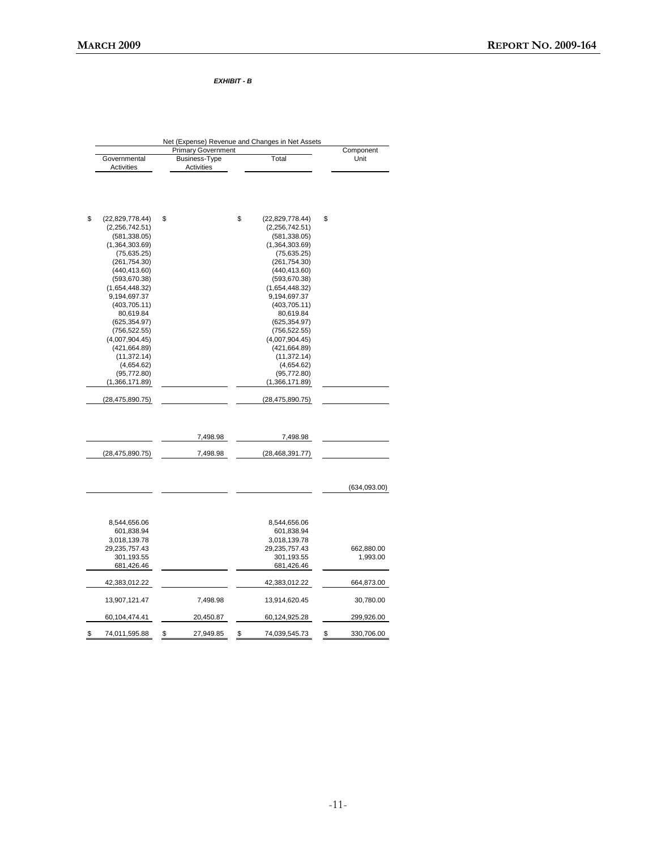*EXHIBIT - B*

|                            | Net (Expense) Revenue and Changes in Net Assets |                            |                   |
|----------------------------|-------------------------------------------------|----------------------------|-------------------|
| Governmental               | <b>Primary Government</b><br>Business-Type      | Total                      | Component<br>Unit |
| Activities                 | <b>Activities</b>                               |                            |                   |
|                            |                                                 |                            |                   |
| \$<br>(22, 829, 778.44)    | \$                                              | \$<br>(22, 829, 778.44)    | \$                |
| (2,256,742.51)             |                                                 | (2,256,742.51)             |                   |
| (581, 338.05)              |                                                 | (581, 338.05)              |                   |
| (1,364,303.69)             |                                                 | (1,364,303.69)             |                   |
| (75, 635.25)               |                                                 | (75, 635.25)               |                   |
| (261, 754.30)              |                                                 | (261, 754.30)              |                   |
| (440, 413.60)              |                                                 | (440, 413.60)              |                   |
| (593, 670.38)              |                                                 | (593, 670.38)              |                   |
| (1,654,448.32)             |                                                 | (1,654,448.32)             |                   |
| 9,194,697.37               |                                                 | 9,194,697.37               |                   |
| (403, 705.11)              |                                                 | (403, 705.11)              |                   |
| 80,619.84                  |                                                 | 80,619.84                  |                   |
| (625, 354.97)              |                                                 | (625, 354.97)              |                   |
| (756, 522.55)              |                                                 | (756, 522.55)              |                   |
| (4,007,904.45)             |                                                 | (4,007,904.45)             |                   |
| (421, 664.89)              |                                                 | (421, 664.89)              |                   |
| (11, 372.14)<br>(4,654.62) |                                                 | (11, 372.14)<br>(4,654.62) |                   |
| (95, 772.80)               |                                                 | (95, 772.80)               |                   |
| (1,366,171.89)             |                                                 | (1,366,171.89)             |                   |
|                            |                                                 |                            |                   |
| (28, 475, 890.75)          |                                                 | (28, 475, 890.75)          |                   |
|                            | 7,498.98                                        | 7,498.98                   |                   |
| (28, 475, 890.75)          | 7,498.98                                        | (28, 468, 391.77)          |                   |
|                            |                                                 |                            | (634,093.00)      |
|                            |                                                 |                            |                   |
| 8,544,656.06               |                                                 | 8,544,656.06               |                   |
| 601,838.94                 |                                                 | 601,838.94                 |                   |
| 3,018,139.78               |                                                 | 3,018,139.78               |                   |
| 29,235,757.43              |                                                 | 29,235,757.43              | 662,880.00        |
| 301,193.55                 |                                                 | 301,193.55                 | 1,993.00          |
| 681,426.46                 |                                                 | 681,426.46                 |                   |
| 42,383,012.22              |                                                 | 42,383,012.22              | 664,873.00        |
| 13,907,121.47              | 7,498.98                                        | 13,914,620.45              | 30,780.00         |
| 60,104,474.41              | 20,450.87                                       | 60,124,925.28              | 299,926.00        |
| \$<br>74,011,595.88        | \$<br>27,949.85                                 | \$<br>74,039,545.73        | \$<br>330,706.00  |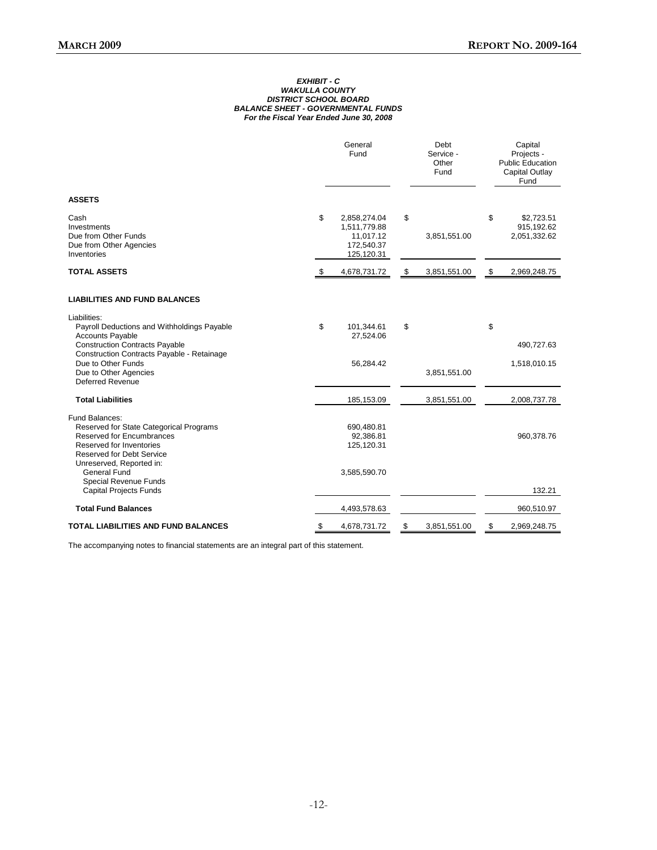#### *BALANCE SHEET - GOVERNMENTAL FUNDS For the Fiscal Year Ended June 30, 2008 EXHIBIT - C WAKULLA COUNTY DISTRICT SCHOOL BOARD*

<span id="page-17-0"></span>

|                                                                                                                                                                                                     | General<br>Fund                                                             |      | Debt<br>Service -<br>Other<br>Fund | Capital<br>Projects -<br><b>Public Education</b><br>Capital Outlay<br>Fund |
|-----------------------------------------------------------------------------------------------------------------------------------------------------------------------------------------------------|-----------------------------------------------------------------------------|------|------------------------------------|----------------------------------------------------------------------------|
| <b>ASSETS</b>                                                                                                                                                                                       |                                                                             |      |                                    |                                                                            |
| Cash<br>Investments<br>Due from Other Funds<br>Due from Other Agencies<br>Inventories                                                                                                               | \$<br>2,858,274.04<br>1,511,779.88<br>11,017.12<br>172,540.37<br>125,120.31 | \$   | 3,851,551.00                       | \$<br>\$2,723.51<br>915,192.62<br>2,051,332.62                             |
| <b>TOTAL ASSETS</b>                                                                                                                                                                                 | \$<br>4,678,731.72                                                          | - \$ | 3,851,551.00                       | \$<br>2,969,248.75                                                         |
| <b>LIABILITIES AND FUND BALANCES</b>                                                                                                                                                                |                                                                             |      |                                    |                                                                            |
| Liabilities:<br>Payroll Deductions and Withholdings Payable<br><b>Accounts Payable</b><br><b>Construction Contracts Payable</b><br>Construction Contracts Payable - Retainage<br>Due to Other Funds | \$<br>101,344.61<br>27,524.06<br>56,284.42                                  | \$   |                                    | \$<br>490,727.63<br>1,518,010.15                                           |
| Due to Other Agencies<br><b>Deferred Revenue</b>                                                                                                                                                    |                                                                             |      | 3,851,551.00                       |                                                                            |
| <b>Total Liabilities</b>                                                                                                                                                                            | 185,153.09                                                                  |      | 3,851,551.00                       | 2,008,737.78                                                               |
| Fund Balances:<br>Reserved for State Categorical Programs<br>Reserved for Encumbrances<br>Reserved for Inventories<br>Reserved for Debt Service                                                     | 690,480.81<br>92,386.81<br>125,120.31                                       |      |                                    | 960,378.76                                                                 |
| Unreserved, Reported in:<br>General Fund<br>Special Revenue Funds<br><b>Capital Projects Funds</b>                                                                                                  | 3,585,590.70                                                                |      |                                    | 132.21                                                                     |
| <b>Total Fund Balances</b>                                                                                                                                                                          | 4,493,578.63                                                                |      |                                    | 960,510.97                                                                 |
| <b>TOTAL LIABILITIES AND FUND BALANCES</b>                                                                                                                                                          | \$<br>4,678,731.72                                                          | \$   | 3,851,551.00                       | \$<br>2,969,248.75                                                         |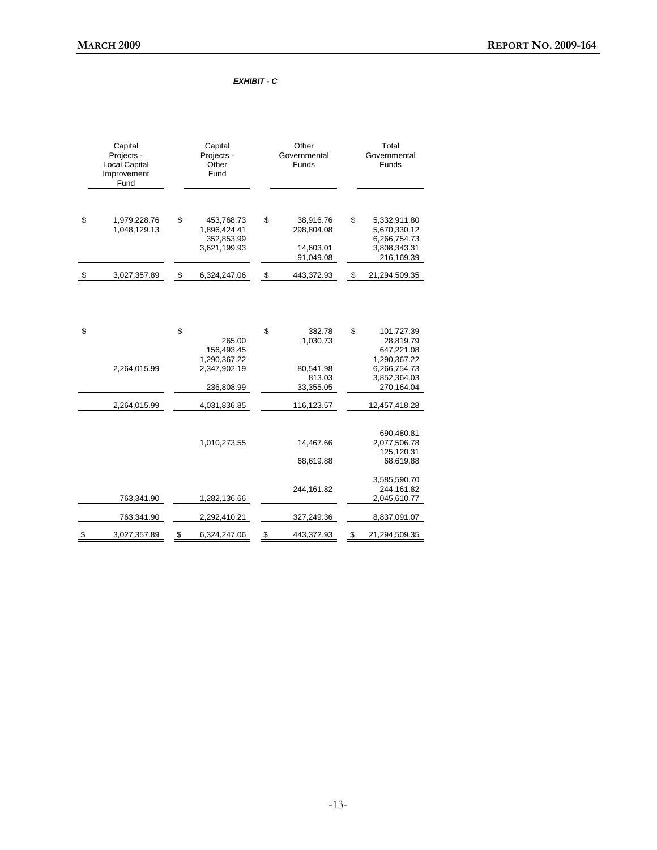*EXHIBIT - C*

| Capital<br>Projects -<br><b>Local Capital</b><br>Improvement<br>Fund | Capital<br>Projects -<br>Other<br>Fund                         |    | Other<br>Governmental<br>Funds                    |    | Total<br>Governmental<br>Funds                                             |
|----------------------------------------------------------------------|----------------------------------------------------------------|----|---------------------------------------------------|----|----------------------------------------------------------------------------|
| \$<br>1,979,228.76<br>1,048,129.13                                   | \$<br>453,768.73<br>1,896,424.41<br>352,853.99<br>3,621,199.93 | \$ | 38,916.76<br>298,804.08<br>14,603.01<br>91,049.08 | \$ | 5,332,911.80<br>5,670,330.12<br>6,266,754.73<br>3,808,343.31<br>216,169.39 |
| \$<br>3,027,357.89                                                   | \$<br>6,324,247.06                                             | \$ | 443,372.93                                        | \$ | 21,294,509.35                                                              |
| \$                                                                   | \$<br>265.00                                                   | \$ | 382.78<br>1,030.73                                | \$ | 101,727.39<br>28,819.79                                                    |
| 2,264,015.99                                                         | 156,493.45<br>1,290,367.22<br>2,347,902.19<br>236,808.99       |    | 80,541.98<br>813.03<br>33,355.05                  |    | 647,221.08<br>1,290,367.22<br>6,266,754.73<br>3,852,364.03<br>270,164.04   |
| 2,264,015.99                                                         | 4,031,836.85                                                   |    | 116,123.57                                        |    | 12,457,418.28                                                              |
|                                                                      | 1,010,273.55                                                   |    | 14,467.66<br>68,619.88                            |    | 690,480.81<br>2,077,506.78<br>125,120.31<br>68,619.88                      |
| 763,341.90                                                           | 1,282,136.66                                                   |    | 244,161.82                                        |    | 3,585,590.70<br>244,161.82<br>2,045,610.77                                 |
| 763,341.90                                                           | 2,292,410.21                                                   |    | 327,249.36                                        |    | 8,837,091.07                                                               |
| \$<br>3,027,357.89                                                   | \$<br>6,324,247.06                                             | \$ | 443,372.93                                        | \$ | 21,294,509.35                                                              |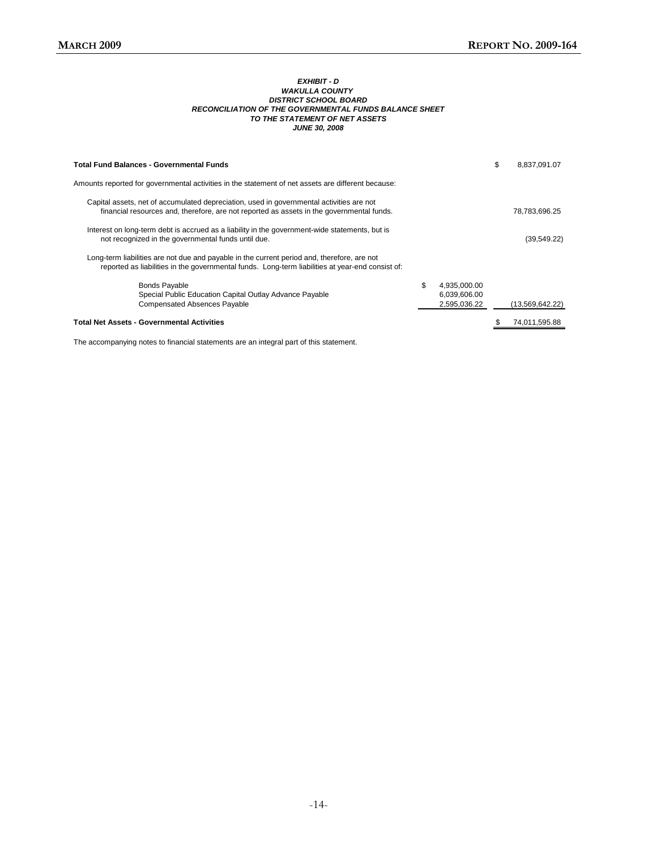#### *JUNE 30, 2008 DISTRICT SCHOOL BOARD EXHIBIT - D WAKULLA COUNTY RECONCILIATION OF THE GOVERNMENTAL FUNDS BALANCE SHEET TO THE STATEMENT OF NET ASSETS*

<span id="page-19-0"></span>

| <b>Total Fund Balances - Governmental Funds</b>                                                                                                                                                 |   |                                              | \$<br>8,837,091.07 |
|-------------------------------------------------------------------------------------------------------------------------------------------------------------------------------------------------|---|----------------------------------------------|--------------------|
| Amounts reported for governmental activities in the statement of net assets are different because:                                                                                              |   |                                              |                    |
| Capital assets, net of accumulated depreciation, used in governmental activities are not<br>financial resources and, therefore, are not reported as assets in the governmental funds.           |   |                                              | 78,783,696.25      |
| Interest on long-term debt is accrued as a liability in the government-wide statements, but is<br>not recognized in the governmental funds until due.                                           |   |                                              | (39, 549.22)       |
| Long-term liabilities are not due and payable in the current period and, therefore, are not<br>reported as liabilities in the governmental funds. Long-term liabilities at year-end consist of: |   |                                              |                    |
| <b>Bonds Payable</b><br>Special Public Education Capital Outlay Advance Payable<br><b>Compensated Absences Payable</b>                                                                          | S | 4,935,000.00<br>6,039,606.00<br>2,595,036.22 | (13,569,642.22)    |
| <b>Total Net Assets - Governmental Activities</b>                                                                                                                                               |   |                                              | 74.011.595.88      |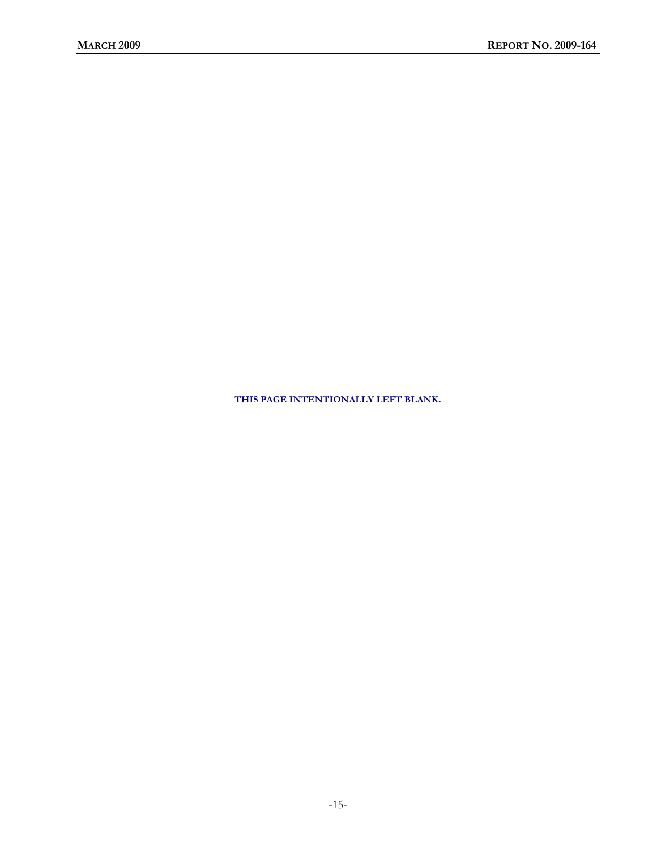## **THIS PAGE INTENTIONALLY LEFT BLANK.**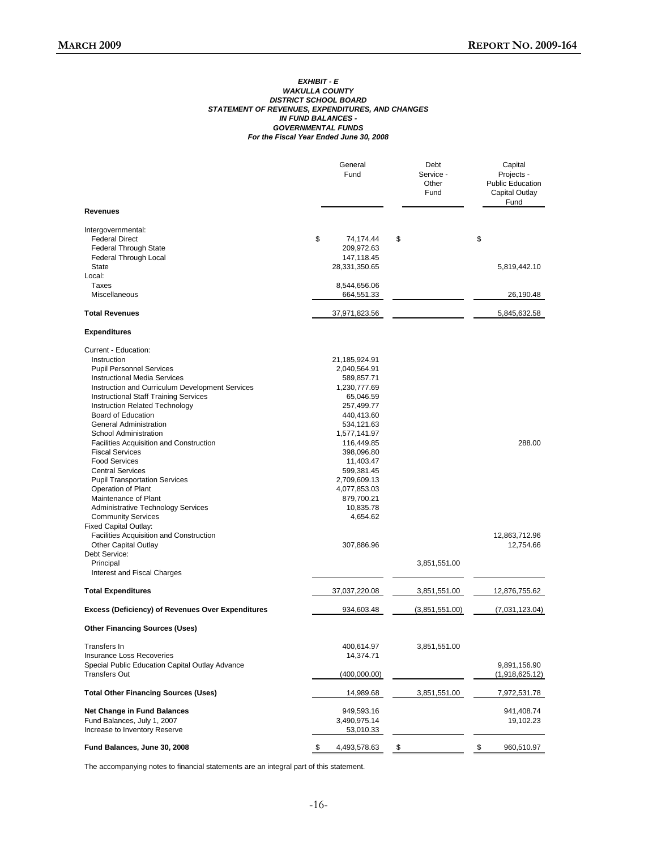#### *EXHIBIT - E WAKULLA COUNTY For the Fiscal Year Ended June 30, 2008 DISTRICT SCHOOL BOARD STATEMENT OF REVENUES, EXPENDITURES, AND CHANGES IN FUND BALANCES - GOVERNMENTAL FUNDS*

<span id="page-21-0"></span>

|                                                                                                                      | General<br>Fund                                              | Debt<br>Service -<br>Other<br>Fund | Capital<br>Projects -<br><b>Public Education</b><br>Capital Outlay<br>Fund |
|----------------------------------------------------------------------------------------------------------------------|--------------------------------------------------------------|------------------------------------|----------------------------------------------------------------------------|
| <b>Revenues</b>                                                                                                      |                                                              |                                    |                                                                            |
| Intergovernmental:<br><b>Federal Direct</b><br><b>Federal Through State</b><br>Federal Through Local<br><b>State</b> | \$<br>74,174.44<br>209,972.63<br>147,118.45<br>28,331,350.65 | \$                                 | \$<br>5,819,442.10                                                         |
| Local:                                                                                                               |                                                              |                                    |                                                                            |
| Taxes<br>Miscellaneous                                                                                               | 8,544,656.06<br>664,551.33                                   |                                    | 26,190.48                                                                  |
| <b>Total Revenues</b>                                                                                                | 37,971,823.56                                                |                                    | 5,845,632.58                                                               |
| <b>Expenditures</b>                                                                                                  |                                                              |                                    |                                                                            |
| Current - Education:                                                                                                 |                                                              |                                    |                                                                            |
| Instruction                                                                                                          | 21,185,924.91                                                |                                    |                                                                            |
| <b>Pupil Personnel Services</b>                                                                                      | 2,040,564.91                                                 |                                    |                                                                            |
| <b>Instructional Media Services</b>                                                                                  | 589,857.71                                                   |                                    |                                                                            |
| Instruction and Curriculum Development Services                                                                      | 1,230,777.69                                                 |                                    |                                                                            |
| <b>Instructional Staff Training Services</b>                                                                         | 65,046.59                                                    |                                    |                                                                            |
| Instruction Related Technology                                                                                       | 257,499.77                                                   |                                    |                                                                            |
| Board of Education<br><b>General Administration</b>                                                                  | 440,413.60                                                   |                                    |                                                                            |
| School Administration                                                                                                | 534,121.63                                                   |                                    |                                                                            |
| Facilities Acquisition and Construction                                                                              | 1,577,141.97                                                 |                                    | 288.00                                                                     |
| <b>Fiscal Services</b>                                                                                               | 116,449.85                                                   |                                    |                                                                            |
| <b>Food Services</b>                                                                                                 | 398,096.80                                                   |                                    |                                                                            |
| <b>Central Services</b>                                                                                              | 11,403.47                                                    |                                    |                                                                            |
|                                                                                                                      | 599,381.45                                                   |                                    |                                                                            |
| <b>Pupil Transportation Services</b><br><b>Operation of Plant</b>                                                    | 2,709,609.13                                                 |                                    |                                                                            |
| Maintenance of Plant                                                                                                 | 4,077,853.03<br>879,700.21                                   |                                    |                                                                            |
| Administrative Technology Services                                                                                   | 10,835.78                                                    |                                    |                                                                            |
|                                                                                                                      |                                                              |                                    |                                                                            |
| <b>Community Services</b><br><b>Fixed Capital Outlay:</b>                                                            | 4,654.62                                                     |                                    |                                                                            |
| Facilities Acquisition and Construction                                                                              |                                                              |                                    | 12,863,712.96                                                              |
| Other Capital Outlay                                                                                                 | 307,886.96                                                   |                                    | 12,754.66                                                                  |
| Debt Service:                                                                                                        |                                                              |                                    |                                                                            |
| Principal                                                                                                            |                                                              | 3,851,551.00                       |                                                                            |
| Interest and Fiscal Charges                                                                                          |                                                              |                                    |                                                                            |
| <b>Total Expenditures</b>                                                                                            | 37,037,220.08                                                | 3,851,551.00                       | 12,876,755.62                                                              |
| <b>Excess (Deficiency) of Revenues Over Expenditures</b>                                                             | 934,603.48                                                   | (3,851,551.00)                     | (7,031,123.04)                                                             |
| <b>Other Financing Sources (Uses)</b>                                                                                |                                                              |                                    |                                                                            |
| Transfers In                                                                                                         | 400,614.97                                                   | 3,851,551.00                       |                                                                            |
| Insurance Loss Recoveries                                                                                            | 14,374.71                                                    |                                    |                                                                            |
| Special Public Education Capital Outlay Advance                                                                      |                                                              |                                    | 9,891,156.90                                                               |
| <b>Transfers Out</b>                                                                                                 | (400,000.00)                                                 |                                    | (1,918,625.12)                                                             |
| <b>Total Other Financing Sources (Uses)</b>                                                                          | 14,989.68                                                    | 3,851,551.00                       | 7,972,531.78                                                               |
| Net Change in Fund Balances                                                                                          | 949,593.16                                                   |                                    | 941,408.74                                                                 |
| Fund Balances, July 1, 2007                                                                                          | 3,490,975.14                                                 |                                    | 19,102.23                                                                  |
| Increase to Inventory Reserve                                                                                        | 53,010.33                                                    |                                    |                                                                            |
|                                                                                                                      |                                                              |                                    |                                                                            |
| Fund Balances, June 30, 2008                                                                                         | \$<br>4,493,578.63                                           | \$                                 | \$<br>960,510.97                                                           |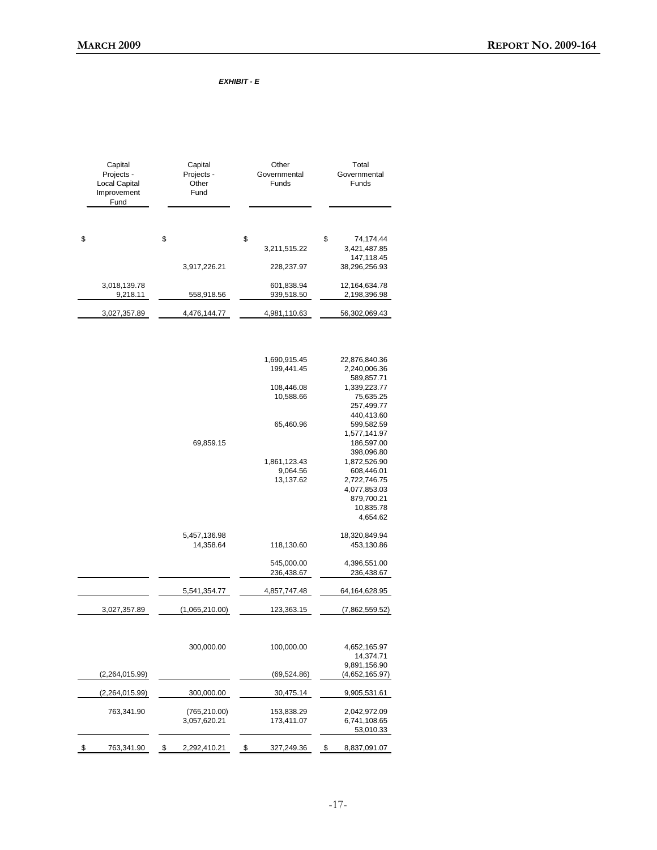*EXHIBIT - E*

| Capital<br>Projects -<br>Local Capital<br>Improvement<br>Fund | Capital<br>Projects -<br>Other<br>Fund | Other<br>Governmental<br>Funds | Total<br>Governmental<br>Funds  |
|---------------------------------------------------------------|----------------------------------------|--------------------------------|---------------------------------|
| \$                                                            | \$                                     | \$<br>3,211,515.22             | \$<br>74,174.44<br>3,421,487.85 |
|                                                               |                                        |                                | 147,118.45                      |
|                                                               | 3,917,226.21                           | 228,237.97                     | 38,296,256.93                   |
| 3,018,139.78<br>9,218.11                                      | 558,918.56                             | 601,838.94<br>939,518.50       | 12,164,634.78<br>2,198,396.98   |
|                                                               |                                        |                                |                                 |
| 3,027,357.89                                                  | 4,476,144.77                           | 4,981,110.63                   | 56,302,069.43                   |
|                                                               |                                        |                                |                                 |
|                                                               |                                        | 1,690,915.45                   | 22,876,840.36                   |
|                                                               |                                        | 199,441.45                     | 2,240,006.36                    |
|                                                               |                                        | 108,446.08                     | 589,857.71<br>1,339,223.77      |
|                                                               |                                        | 10,588.66                      | 75,635.25                       |
|                                                               |                                        |                                | 257,499.77                      |
|                                                               |                                        |                                | 440,413.60                      |
|                                                               |                                        | 65,460.96                      | 599,582.59                      |
|                                                               | 69,859.15                              |                                | 1,577,141.97<br>186,597.00      |
|                                                               |                                        |                                | 398,096.80                      |
|                                                               |                                        | 1,861,123.43                   | 1,872,526.90                    |
|                                                               |                                        | 9,064.56                       | 608,446.01                      |
|                                                               |                                        | 13,137.62                      | 2,722,746.75                    |
|                                                               |                                        |                                | 4,077,853.03<br>879,700.21      |
|                                                               |                                        |                                | 10,835.78                       |
|                                                               |                                        |                                | 4,654.62                        |
|                                                               | 5,457,136.98                           |                                | 18,320,849.94                   |
|                                                               | 14,358.64                              | 118,130.60                     | 453,130.86                      |
|                                                               |                                        | 545,000.00                     | 4,396,551.00                    |
|                                                               |                                        | 236,438.67                     | 236,438.67                      |
|                                                               | 5,541,354.77                           | 4,857,747.48                   | 64, 164, 628. 95                |
| 3,027,357.89                                                  | (1,065,210.00)                         | 123,363.15                     | (7,862,559.52)                  |
|                                                               | 300,000.00                             | 100,000.00                     | 4,652,165.97                    |
|                                                               |                                        |                                | 14,374.71                       |
|                                                               |                                        |                                | 9,891,156.90                    |
| (2,264,015.99)                                                |                                        | (69,524.86)                    | (4,652,165.97)                  |
| (2,264,015.99)                                                | 300,000.00                             | 30,475.14                      | 9,905,531.61                    |
| 763,341.90                                                    | (765, 210.00)                          | 153,838.29                     | 2,042,972.09                    |
|                                                               | 3,057,620.21                           | 173,411.07                     | 6,741,108.65                    |
|                                                               |                                        |                                | 53,010.33                       |
| \$<br>763,341.90                                              | \$<br>2,292,410.21                     | \$<br>327,249.36               | \$<br>8,837,091.07              |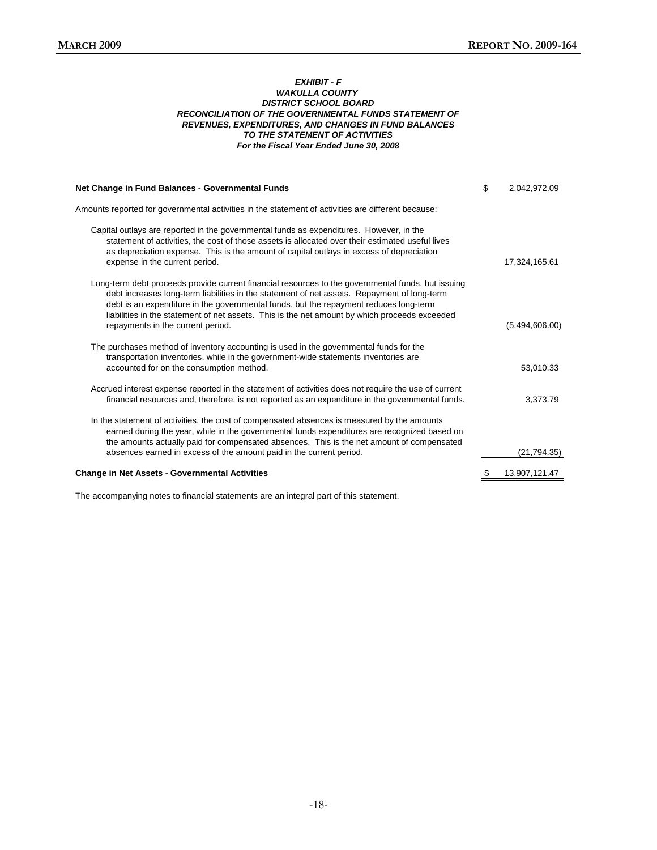#### <span id="page-23-0"></span>*For the Fiscal Year Ended June 30, 2008 REVENUES, EXPENDITURES, AND CHANGES IN FUND BALANCES DISTRICT SCHOOL BOARD EXHIBIT - F WAKULLA COUNTY RECONCILIATION OF THE GOVERNMENTAL FUNDS STATEMENT OF TO THE STATEMENT OF ACTIVITIES*

| Net Change in Fund Balances - Governmental Funds                                                                                                                                                                                                                                                                                                                                                                                 | \$<br>2,042,972.09 |
|----------------------------------------------------------------------------------------------------------------------------------------------------------------------------------------------------------------------------------------------------------------------------------------------------------------------------------------------------------------------------------------------------------------------------------|--------------------|
| Amounts reported for governmental activities in the statement of activities are different because:                                                                                                                                                                                                                                                                                                                               |                    |
| Capital outlays are reported in the governmental funds as expenditures. However, in the<br>statement of activities, the cost of those assets is allocated over their estimated useful lives<br>as depreciation expense. This is the amount of capital outlays in excess of depreciation<br>expense in the current period.                                                                                                        | 17,324,165.61      |
| Long-term debt proceeds provide current financial resources to the governmental funds, but issuing<br>debt increases long-term liabilities in the statement of net assets. Repayment of long-term<br>debt is an expenditure in the governmental funds, but the repayment reduces long-term<br>liabilities in the statement of net assets. This is the net amount by which proceeds exceeded<br>repayments in the current period. | (5,494,606.00)     |
| The purchases method of inventory accounting is used in the governmental funds for the<br>transportation inventories, while in the government-wide statements inventories are<br>accounted for on the consumption method.                                                                                                                                                                                                        | 53,010.33          |
| Accrued interest expense reported in the statement of activities does not require the use of current<br>financial resources and, therefore, is not reported as an expenditure in the governmental funds.                                                                                                                                                                                                                         | 3,373.79           |
| In the statement of activities, the cost of compensated absences is measured by the amounts<br>earned during the year, while in the governmental funds expenditures are recognized based on<br>the amounts actually paid for compensated absences. This is the net amount of compensated<br>absences earned in excess of the amount paid in the current period.                                                                  | (21, 794.35)       |
| <b>Change in Net Assets - Governmental Activities</b>                                                                                                                                                                                                                                                                                                                                                                            | 13,907,121.47      |
|                                                                                                                                                                                                                                                                                                                                                                                                                                  |                    |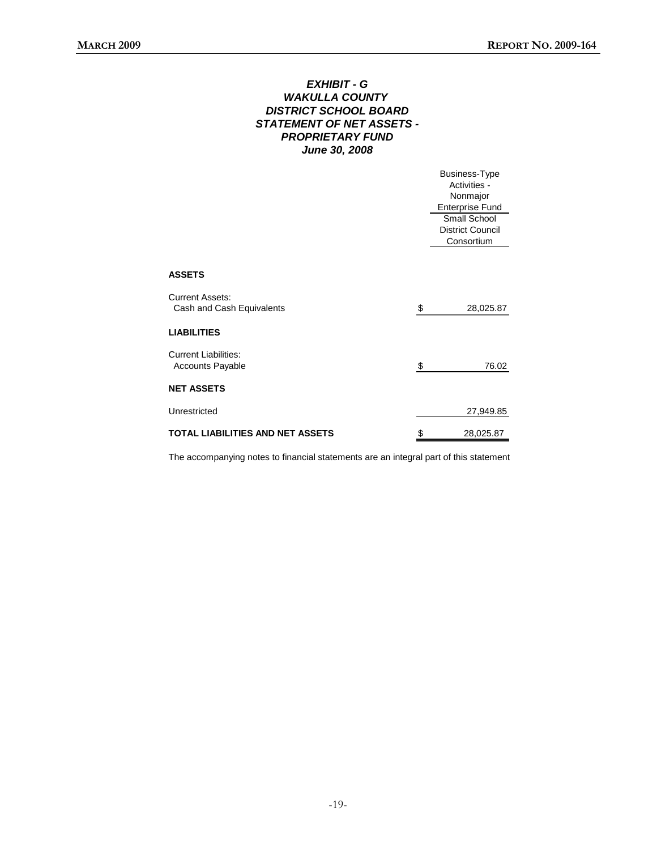## *June 30, 2008 DISTRICT SCHOOL BOARD EXHIBIT - G WAKULLA COUNTY STATEMENT OF NET ASSETS - PROPRIETARY FUND*

<span id="page-24-0"></span>

|                                                        | Business-Type<br>Activities -<br>Nonmajor<br><b>Enterprise Fund</b><br>Small School<br><b>District Council</b><br>Consortium |
|--------------------------------------------------------|------------------------------------------------------------------------------------------------------------------------------|
| <b>ASSETS</b>                                          |                                                                                                                              |
| <b>Current Assets:</b><br>Cash and Cash Equivalents    | 28,025.87                                                                                                                    |
| <b>LIABILITIES</b>                                     |                                                                                                                              |
| <b>Current Liabilities:</b><br><b>Accounts Payable</b> | \$<br>76.02                                                                                                                  |
| <b>NET ASSETS</b>                                      |                                                                                                                              |
| Unrestricted                                           | 27,949.85                                                                                                                    |
| <b>TOTAL LIABILITIES AND NET ASSETS</b>                | \$<br>28,025.87                                                                                                              |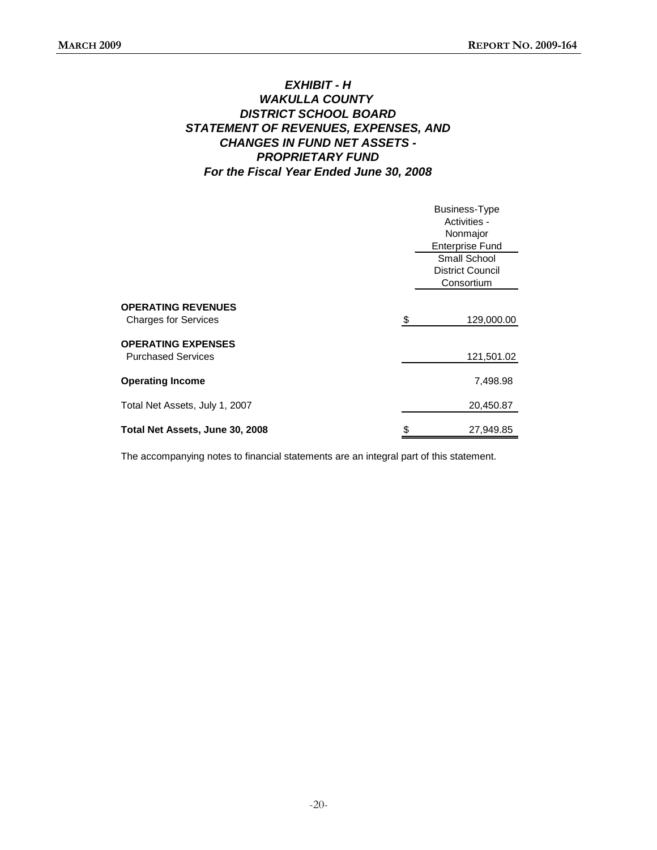## <span id="page-25-0"></span>*PROPRIETARY FUND For the Fiscal Year Ended June 30, 2008 DISTRICT SCHOOL BOARD EXHIBIT - H WAKULLA COUNTY STATEMENT OF REVENUES, EXPENSES, AND CHANGES IN FUND NET ASSETS -*

|                                 | <b>Business-Type</b>    |  |
|---------------------------------|-------------------------|--|
|                                 | Activities -            |  |
|                                 | Nonmajor                |  |
|                                 | <b>Enterprise Fund</b>  |  |
|                                 | Small School            |  |
|                                 | <b>District Council</b> |  |
|                                 | Consortium              |  |
|                                 |                         |  |
| <b>OPERATING REVENUES</b>       |                         |  |
| <b>Charges for Services</b>     | \$<br>129,000.00        |  |
|                                 |                         |  |
| <b>OPERATING EXPENSES</b>       |                         |  |
| <b>Purchased Services</b>       | 121,501.02              |  |
|                                 |                         |  |
| <b>Operating Income</b>         | 7,498.98                |  |
| Total Net Assets, July 1, 2007  | 20,450.87               |  |
|                                 |                         |  |
| Total Net Assets, June 30, 2008 | 27,949.85               |  |
|                                 |                         |  |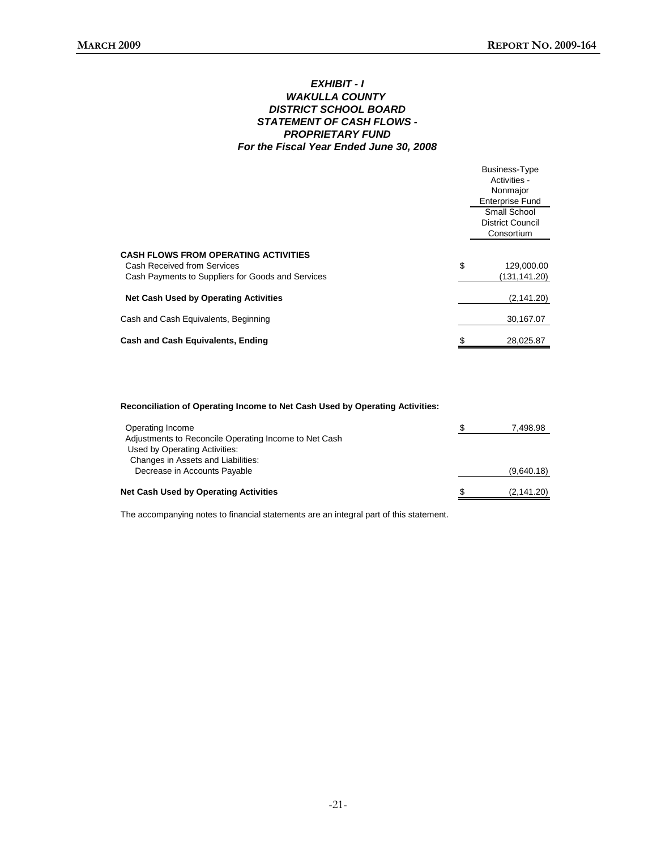#### *For the Fiscal Year Ended June 30, 2008 DISTRICT SCHOOL BOARD EXHIBIT - I WAKULLA COUNTY STATEMENT OF CASH FLOWS - PROPRIETARY FUND*

<span id="page-26-0"></span>

|                                                                                                                                 | <b>Business-Type</b><br>Activities -<br>Nonmajor<br><b>Enterprise Fund</b> |
|---------------------------------------------------------------------------------------------------------------------------------|----------------------------------------------------------------------------|
|                                                                                                                                 | Small School<br><b>District Council</b><br>Consortium                      |
| <b>CASH FLOWS FROM OPERATING ACTIVITIES</b><br>Cash Received from Services<br>Cash Payments to Suppliers for Goods and Services | \$<br>129,000.00<br>(131, 141.20)                                          |
| <b>Net Cash Used by Operating Activities</b>                                                                                    | (2, 141.20)                                                                |
| Cash and Cash Equivalents, Beginning                                                                                            | 30,167.07                                                                  |
| <b>Cash and Cash Equivalents, Ending</b>                                                                                        | 28,025.87                                                                  |

#### **Reconciliation of Operating Income to Net Cash Used by Operating Activities:**

| Operating Income                                      | 7,498.98    |
|-------------------------------------------------------|-------------|
| Adjustments to Reconcile Operating Income to Net Cash |             |
| Used by Operating Activities:                         |             |
| Changes in Assets and Liabilities:                    |             |
| Decrease in Accounts Payable                          | (9,640.18)  |
| Net Cash Used by Operating Activities                 | (2, 141.20) |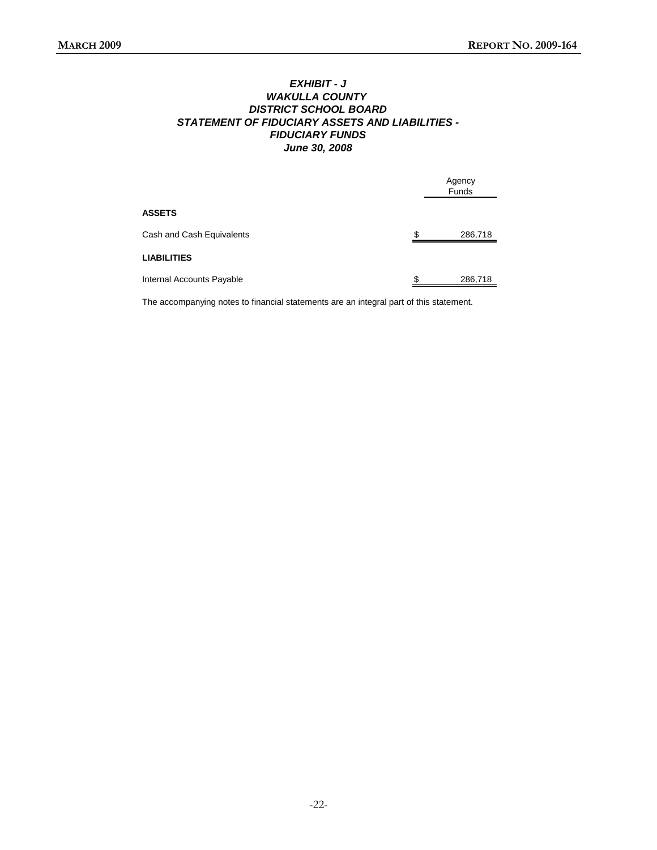#### <span id="page-27-0"></span>*June 30, 2008 DISTRICT SCHOOL BOARD EXHIBIT - J WAKULLA COUNTY STATEMENT OF FIDUCIARY ASSETS AND LIABILITIES - FIDUCIARY FUNDS*

|                           | Agency<br>Funds |
|---------------------------|-----------------|
| <b>ASSETS</b>             |                 |
| Cash and Cash Equivalents | \$<br>286,718   |
| <b>LIABILITIES</b>        |                 |
| Internal Accounts Payable | 286,718         |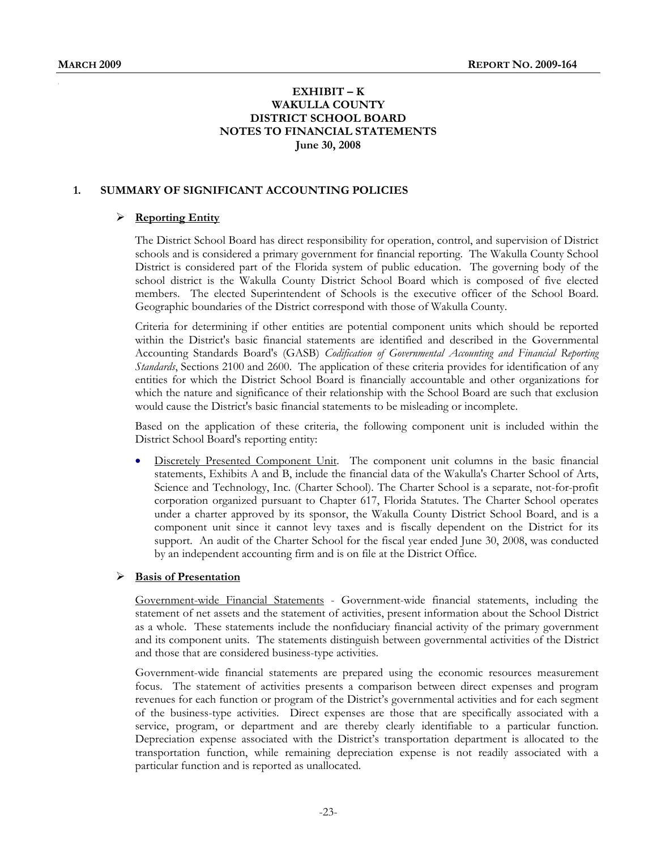#### <span id="page-28-0"></span>**1. SUMMARY OF SIGNIFICANT ACCOUNTING POLICIES**

#### ¾ **Reporting Entity**

The District School Board has direct responsibility for operation, control, and supervision of District schools and is considered a primary government for financial reporting. The Wakulla County School District is considered part of the Florida system of public education. The governing body of the school district is the Wakulla County District School Board which is composed of five elected members. The elected Superintendent of Schools is the executive officer of the School Board. Geographic boundaries of the District correspond with those of Wakulla County.

Criteria for determining if other entities are potential component units which should be reported within the District's basic financial statements are identified and described in the Governmental Accounting Standards Board's (GASB) *Codification of Governmental Accounting and Financial Reporting Standards*, Sections 2100 and 2600. The application of these criteria provides for identification of any entities for which the District School Board is financially accountable and other organizations for which the nature and significance of their relationship with the School Board are such that exclusion would cause the District's basic financial statements to be misleading or incomplete.

Based on the application of these criteria, the following component unit is included within the District School Board's reporting entity:

• Discretely Presented Component Unit. The component unit columns in the basic financial statements, Exhibits A and B, include the financial data of the Wakulla's Charter School of Arts, Science and Technology, Inc. (Charter School). The Charter School is a separate, not-for-profit corporation organized pursuant to Chapter 617, Florida Statutes. The Charter School operates under a charter approved by its sponsor, the Wakulla County District School Board, and is a component unit since it cannot levy taxes and is fiscally dependent on the District for its support. An audit of the Charter School for the fiscal year ended June 30, 2008, was conducted by an independent accounting firm and is on file at the District Office.

#### ¾ **Basis of Presentation**

Government-wide Financial Statements - Government-wide financial statements, including the statement of net assets and the statement of activities, present information about the School District as a whole. These statements include the nonfiduciary financial activity of the primary government and its component units. The statements distinguish between governmental activities of the District and those that are considered business-type activities.

Government-wide financial statements are prepared using the economic resources measurement focus. The statement of activities presents a comparison between direct expenses and program revenues for each function or program of the District's governmental activities and for each segment of the business-type activities. Direct expenses are those that are specifically associated with a service, program, or department and are thereby clearly identifiable to a particular function. Depreciation expense associated with the District's transportation department is allocated to the transportation function, while remaining depreciation expense is not readily associated with a particular function and is reported as unallocated.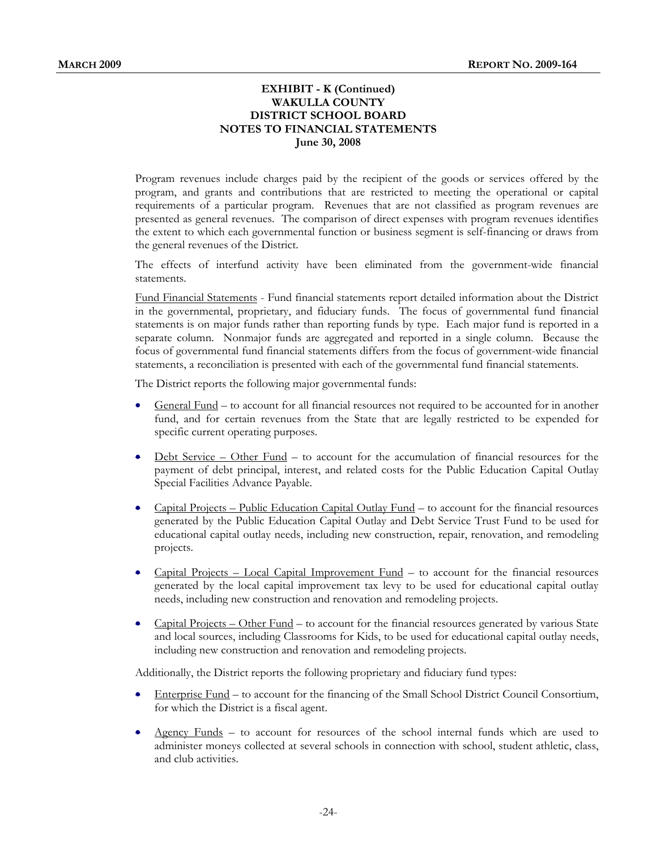Program revenues include charges paid by the recipient of the goods or services offered by the program, and grants and contributions that are restricted to meeting the operational or capital requirements of a particular program. Revenues that are not classified as program revenues are presented as general revenues. The comparison of direct expenses with program revenues identifies the extent to which each governmental function or business segment is self-financing or draws from the general revenues of the District.

The effects of interfund activity have been eliminated from the government-wide financial statements.

Fund Financial Statements - Fund financial statements report detailed information about the District in the governmental, proprietary, and fiduciary funds. The focus of governmental fund financial statements is on major funds rather than reporting funds by type. Each major fund is reported in a separate column. Nonmajor funds are aggregated and reported in a single column. Because the focus of governmental fund financial statements differs from the focus of government-wide financial statements, a reconciliation is presented with each of the governmental fund financial statements.

The District reports the following major governmental funds:

- General Fund to account for all financial resources not required to be accounted for in another fund, and for certain revenues from the State that are legally restricted to be expended for specific current operating purposes.
- Debt Service Other Fund to account for the accumulation of financial resources for the payment of debt principal, interest, and related costs for the Public Education Capital Outlay Special Facilities Advance Payable.
- Capital Projects Public Education Capital Outlay Fund to account for the financial resources generated by the Public Education Capital Outlay and Debt Service Trust Fund to be used for educational capital outlay needs, including new construction, repair, renovation, and remodeling projects.
- Capital Projects Local Capital Improvement Fund to account for the financial resources generated by the local capital improvement tax levy to be used for educational capital outlay needs, including new construction and renovation and remodeling projects.
- Capital Projects Other Fund to account for the financial resources generated by various State and local sources, including Classrooms for Kids, to be used for educational capital outlay needs, including new construction and renovation and remodeling projects.

Additionally, the District reports the following proprietary and fiduciary fund types:

- Enterprise Fund to account for the financing of the Small School District Council Consortium, for which the District is a fiscal agent.
- Agency Funds to account for resources of the school internal funds which are used to administer moneys collected at several schools in connection with school, student athletic, class, and club activities.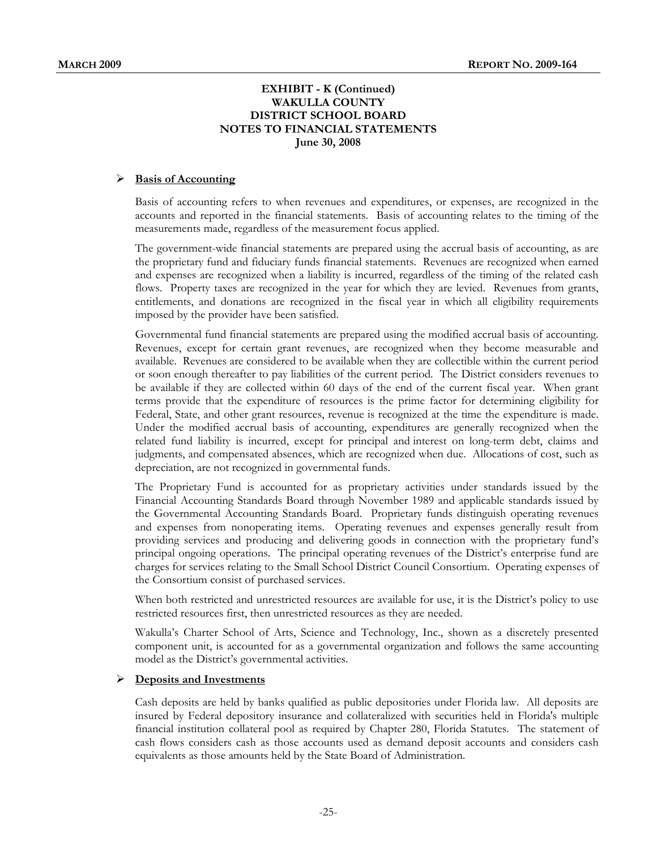#### ¾ **Basis of Accounting**

Basis of accounting refers to when revenues and expenditures, or expenses, are recognized in the accounts and reported in the financial statements. Basis of accounting relates to the timing of the measurements made, regardless of the measurement focus applied.

The government-wide financial statements are prepared using the accrual basis of accounting, as are the proprietary fund and fiduciary funds financial statements. Revenues are recognized when earned and expenses are recognized when a liability is incurred, regardless of the timing of the related cash flows. Property taxes are recognized in the year for which they are levied. Revenues from grants, entitlements, and donations are recognized in the fiscal year in which all eligibility requirements imposed by the provider have been satisfied.

Governmental fund financial statements are prepared using the modified accrual basis of accounting. Revenues, except for certain grant revenues, are recognized when they become measurable and available. Revenues are considered to be available when they are collectible within the current period or soon enough thereafter to pay liabilities of the current period. The District considers revenues to be available if they are collected within 60 days of the end of the current fiscal year. When grant terms provide that the expenditure of resources is the prime factor for determining eligibility for Federal, State, and other grant resources, revenue is recognized at the time the expenditure is made. Under the modified accrual basis of accounting, expenditures are generally recognized when the related fund liability is incurred, except for principal and interest on long-term debt, claims and judgments, and compensated absences, which are recognized when due. Allocations of cost, such as depreciation, are not recognized in governmental funds.

The Proprietary Fund is accounted for as proprietary activities under standards issued by the Financial Accounting Standards Board through November 1989 and applicable standards issued by the Governmental Accounting Standards Board. Proprietary funds distinguish operating revenues and expenses from nonoperating items. Operating revenues and expenses generally result from providing services and producing and delivering goods in connection with the proprietary fund's principal ongoing operations. The principal operating revenues of the District's enterprise fund are charges for services relating to the Small School District Council Consortium. Operating expenses of the Consortium consist of purchased services.

When both restricted and unrestricted resources are available for use, it is the District's policy to use restricted resources first, then unrestricted resources as they are needed.

Wakulla's Charter School of Arts, Science and Technology, Inc., shown as a discretely presented component unit, is accounted for as a governmental organization and follows the same accounting model as the District's governmental activities.

#### ¾ **Deposits and Investments**

Cash deposits are held by banks qualified as public depositories under Florida law. All deposits are insured by Federal depository insurance and collateralized with securities held in Florida's multiple financial institution collateral pool as required by Chapter 280, Florida Statutes. The statement of cash flows considers cash as those accounts used as demand deposit accounts and considers cash equivalents as those amounts held by the State Board of Administration.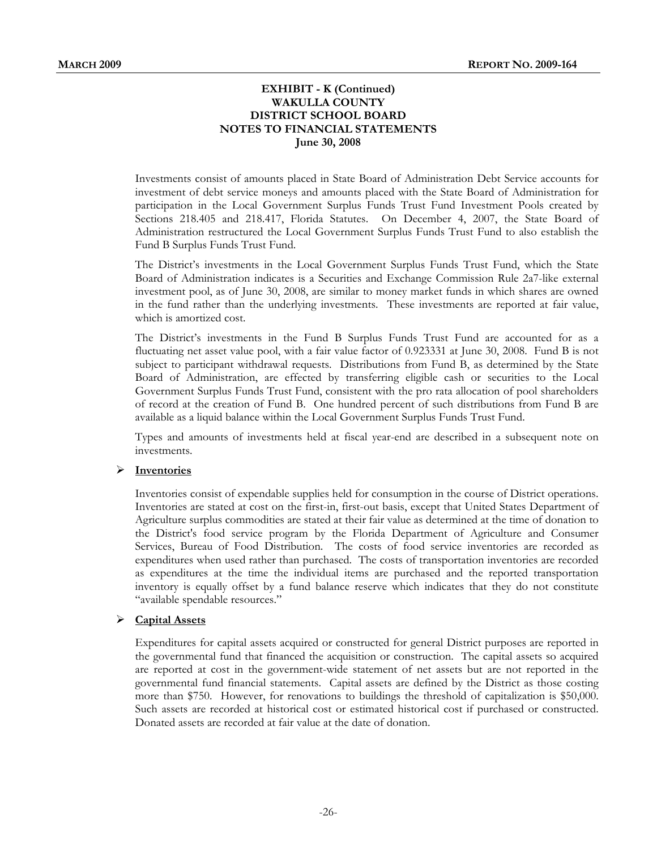Investments consist of amounts placed in State Board of Administration Debt Service accounts for investment of debt service moneys and amounts placed with the State Board of Administration for participation in the Local Government Surplus Funds Trust Fund Investment Pools created by Sections 218.405 and 218.417, Florida Statutes. On December 4, 2007, the State Board of Administration restructured the Local Government Surplus Funds Trust Fund to also establish the Fund B Surplus Funds Trust Fund.

The District's investments in the Local Government Surplus Funds Trust Fund, which the State Board of Administration indicates is a Securities and Exchange Commission Rule 2a7-like external investment pool, as of June 30, 2008, are similar to money market funds in which shares are owned in the fund rather than the underlying investments. These investments are reported at fair value, which is amortized cost.

The District's investments in the Fund B Surplus Funds Trust Fund are accounted for as a fluctuating net asset value pool, with a fair value factor of 0.923331 at June 30, 2008. Fund B is not subject to participant withdrawal requests. Distributions from Fund B, as determined by the State Board of Administration, are effected by transferring eligible cash or securities to the Local Government Surplus Funds Trust Fund, consistent with the pro rata allocation of pool shareholders of record at the creation of Fund B. One hundred percent of such distributions from Fund B are available as a liquid balance within the Local Government Surplus Funds Trust Fund.

Types and amounts of investments held at fiscal year-end are described in a subsequent note on investments.

## ¾ **Inventories**

Inventories consist of expendable supplies held for consumption in the course of District operations. Inventories are stated at cost on the first-in, first-out basis, except that United States Department of Agriculture surplus commodities are stated at their fair value as determined at the time of donation to the District's food service program by the Florida Department of Agriculture and Consumer Services, Bureau of Food Distribution. The costs of food service inventories are recorded as expenditures when used rather than purchased. The costs of transportation inventories are recorded as expenditures at the time the individual items are purchased and the reported transportation inventory is equally offset by a fund balance reserve which indicates that they do not constitute "available spendable resources."

## ¾ **Capital Assets**

Expenditures for capital assets acquired or constructed for general District purposes are reported in the governmental fund that financed the acquisition or construction. The capital assets so acquired are reported at cost in the government-wide statement of net assets but are not reported in the governmental fund financial statements. Capital assets are defined by the District as those costing more than \$750. However, for renovations to buildings the threshold of capitalization is \$50,000. Such assets are recorded at historical cost or estimated historical cost if purchased or constructed. Donated assets are recorded at fair value at the date of donation.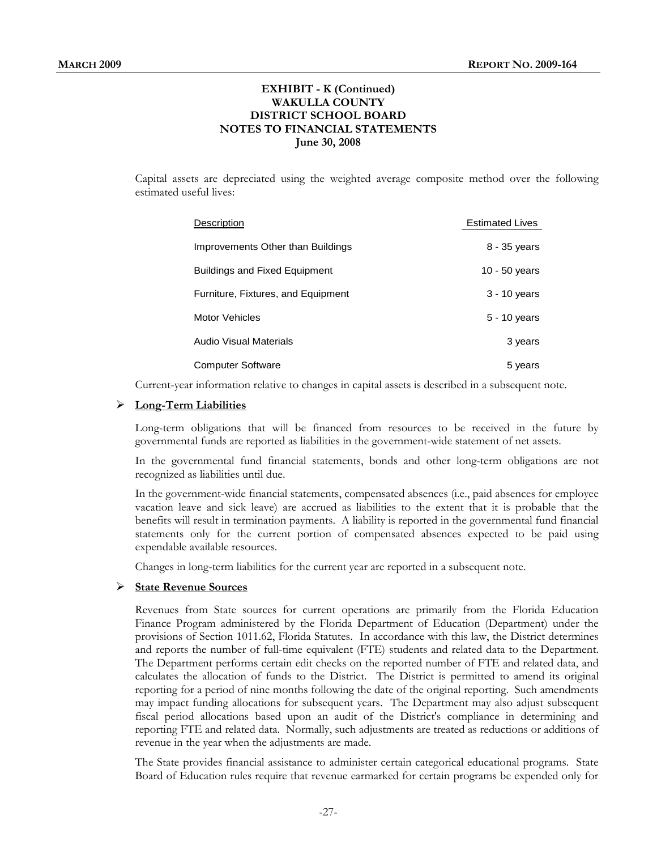Capital assets are depreciated using the weighted average composite method over the following estimated useful lives:

| Description                          | <b>Estimated Lives</b> |
|--------------------------------------|------------------------|
| Improvements Other than Buildings    | 8 - 35 years           |
| <b>Buildings and Fixed Equipment</b> | 10 - 50 years          |
| Furniture, Fixtures, and Equipment   | 3 - 10 years           |
| <b>Motor Vehicles</b>                | $5 - 10$ years         |
| Audio Visual Materials               | 3 years                |
| <b>Computer Software</b>             | 5 years                |

Current-year information relative to changes in capital assets is described in a subsequent note.

#### ¾ **Long-Term Liabilities**

Long-term obligations that will be financed from resources to be received in the future by governmental funds are reported as liabilities in the government-wide statement of net assets.

In the governmental fund financial statements, bonds and other long-term obligations are not recognized as liabilities until due.

In the government-wide financial statements, compensated absences (i.e., paid absences for employee vacation leave and sick leave) are accrued as liabilities to the extent that it is probable that the benefits will result in termination payments. A liability is reported in the governmental fund financial statements only for the current portion of compensated absences expected to be paid using expendable available resources.

Changes in long-term liabilities for the current year are reported in a subsequent note.

#### ¾ **State Revenue Sources**

Revenues from State sources for current operations are primarily from the Florida Education Finance Program administered by the Florida Department of Education (Department) under the provisions of Section 1011.62, Florida Statutes. In accordance with this law, the District determines and reports the number of full-time equivalent (FTE) students and related data to the Department. The Department performs certain edit checks on the reported number of FTE and related data, and calculates the allocation of funds to the District. The District is permitted to amend its original reporting for a period of nine months following the date of the original reporting. Such amendments may impact funding allocations for subsequent years. The Department may also adjust subsequent fiscal period allocations based upon an audit of the District's compliance in determining and reporting FTE and related data. Normally, such adjustments are treated as reductions or additions of revenue in the year when the adjustments are made.

The State provides financial assistance to administer certain categorical educational programs. State Board of Education rules require that revenue earmarked for certain programs be expended only for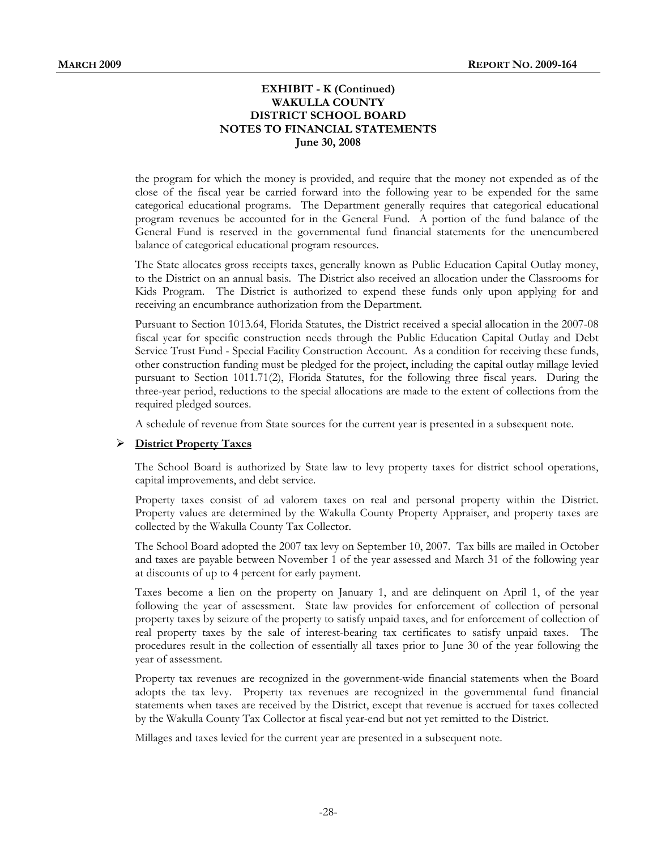the program for which the money is provided, and require that the money not expended as of the close of the fiscal year be carried forward into the following year to be expended for the same categorical educational programs. The Department generally requires that categorical educational program revenues be accounted for in the General Fund. A portion of the fund balance of the General Fund is reserved in the governmental fund financial statements for the unencumbered balance of categorical educational program resources.

The State allocates gross receipts taxes, generally known as Public Education Capital Outlay money, to the District on an annual basis. The District also received an allocation under the Classrooms for Kids Program. The District is authorized to expend these funds only upon applying for and receiving an encumbrance authorization from the Department.

Pursuant to Section 1013.64, Florida Statutes, the District received a special allocation in the 2007-08 fiscal year for specific construction needs through the Public Education Capital Outlay and Debt Service Trust Fund - Special Facility Construction Account. As a condition for receiving these funds, other construction funding must be pledged for the project, including the capital outlay millage levied pursuant to Section 1011.71(2), Florida Statutes, for the following three fiscal years. During the three-year period, reductions to the special allocations are made to the extent of collections from the required pledged sources.

A schedule of revenue from State sources for the current year is presented in a subsequent note.

#### ¾ **District Property Taxes**

The School Board is authorized by State law to levy property taxes for district school operations, capital improvements, and debt service.

Property taxes consist of ad valorem taxes on real and personal property within the District. Property values are determined by the Wakulla County Property Appraiser, and property taxes are collected by the Wakulla County Tax Collector.

The School Board adopted the 2007 tax levy on September 10, 2007. Tax bills are mailed in October and taxes are payable between November 1 of the year assessed and March 31 of the following year at discounts of up to 4 percent for early payment.

Taxes become a lien on the property on January 1, and are delinquent on April 1, of the year following the year of assessment. State law provides for enforcement of collection of personal property taxes by seizure of the property to satisfy unpaid taxes, and for enforcement of collection of real property taxes by the sale of interest-bearing tax certificates to satisfy unpaid taxes. The procedures result in the collection of essentially all taxes prior to June 30 of the year following the year of assessment.

Property tax revenues are recognized in the government-wide financial statements when the Board adopts the tax levy. Property tax revenues are recognized in the governmental fund financial statements when taxes are received by the District, except that revenue is accrued for taxes collected by the Wakulla County Tax Collector at fiscal year-end but not yet remitted to the District.

Millages and taxes levied for the current year are presented in a subsequent note.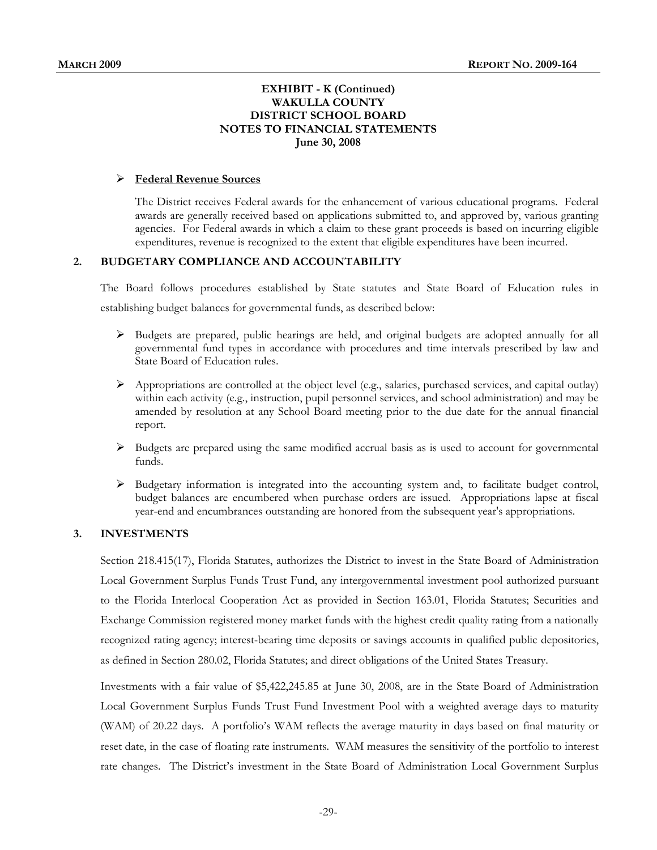#### ¾ **Federal Revenue Sources**

The District receives Federal awards for the enhancement of various educational programs. Federal awards are generally received based on applications submitted to, and approved by, various granting agencies. For Federal awards in which a claim to these grant proceeds is based on incurring eligible expenditures, revenue is recognized to the extent that eligible expenditures have been incurred.

#### **2. BUDGETARY COMPLIANCE AND ACCOUNTABILITY**

The Board follows procedures established by State statutes and State Board of Education rules in establishing budget balances for governmental funds, as described below:

- $\triangleright$  Budgets are prepared, public hearings are held, and original budgets are adopted annually for all governmental fund types in accordance with procedures and time intervals prescribed by law and State Board of Education rules.
- $\triangleright$  Appropriations are controlled at the object level (e.g., salaries, purchased services, and capital outlay) within each activity (e.g., instruction, pupil personnel services, and school administration) and may be amended by resolution at any School Board meeting prior to the due date for the annual financial report.
- ¾ Budgets are prepared using the same modified accrual basis as is used to account for governmental funds.
- $\triangleright$  Budgetary information is integrated into the accounting system and, to facilitate budget control, budget balances are encumbered when purchase orders are issued. Appropriations lapse at fiscal year-end and encumbrances outstanding are honored from the subsequent year's appropriations.

#### **3. INVESTMENTS**

Section 218.415(17), Florida Statutes, authorizes the District to invest in the State Board of Administration Local Government Surplus Funds Trust Fund, any intergovernmental investment pool authorized pursuant to the Florida Interlocal Cooperation Act as provided in Section 163.01, Florida Statutes; Securities and Exchange Commission registered money market funds with the highest credit quality rating from a nationally recognized rating agency; interest-bearing time deposits or savings accounts in qualified public depositories, as defined in Section 280.02, Florida Statutes; and direct obligations of the United States Treasury.

Investments with a fair value of \$5,422,245.85 at June 30, 2008, are in the State Board of Administration Local Government Surplus Funds Trust Fund Investment Pool with a weighted average days to maturity (WAM) of 20.22 days. A portfolio's WAM reflects the average maturity in days based on final maturity or reset date, in the case of floating rate instruments. WAM measures the sensitivity of the portfolio to interest rate changes. The District's investment in the State Board of Administration Local Government Surplus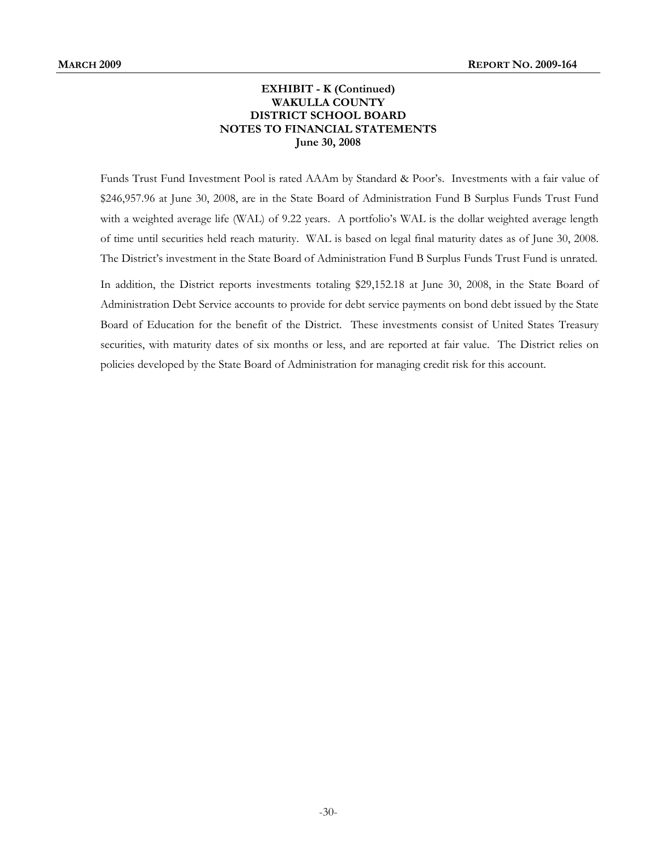Funds Trust Fund Investment Pool is rated AAAm by Standard & Poor's. Investments with a fair value of \$246,957.96 at June 30, 2008, are in the State Board of Administration Fund B Surplus Funds Trust Fund with a weighted average life (WAL) of 9.22 years. A portfolio's WAL is the dollar weighted average length of time until securities held reach maturity. WAL is based on legal final maturity dates as of June 30, 2008. The District's investment in the State Board of Administration Fund B Surplus Funds Trust Fund is unrated.

In addition, the District reports investments totaling \$29,152.18 at June 30, 2008, in the State Board of Administration Debt Service accounts to provide for debt service payments on bond debt issued by the State Board of Education for the benefit of the District. These investments consist of United States Treasury securities, with maturity dates of six months or less, and are reported at fair value. The District relies on policies developed by the State Board of Administration for managing credit risk for this account.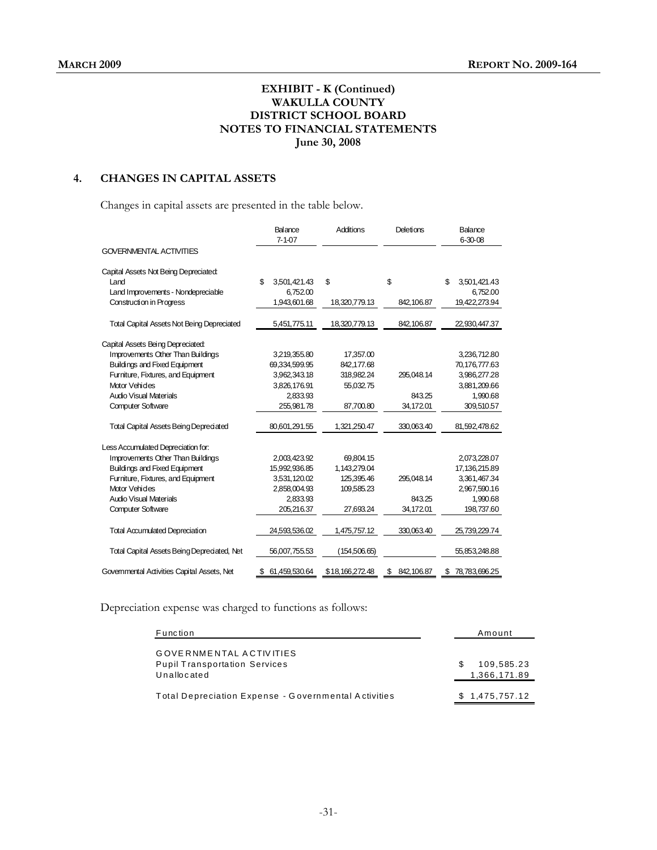## **4. CHANGES IN CAPITAL ASSETS**

Changes in capital assets are presented in the table below.

|                                                   | Balance<br>$7 - 1 - 07$ | <b>Additions</b> | Deletions         | Balance<br>6-30-08  |
|---------------------------------------------------|-------------------------|------------------|-------------------|---------------------|
| <b>GOVERNMENTAL ACTIVITIES</b>                    |                         |                  |                   |                     |
| Capital Assets Not Being Depreciated:             |                         |                  |                   |                     |
| Land                                              | \$<br>3,501,421.43      | \$               | \$                | \$<br>3,501,421.43  |
| Land Improvements - Nondepreciable                | 6.752.00                |                  |                   | 6,752.00            |
| <b>Construction in Progress</b>                   | 1,943,601.68            | 18,320,779.13    | 842, 106.87       | 19,422,273.94       |
| <b>Total Capital Assets Not Being Depreciated</b> | 5,451,775.11            | 18,320,779.13    | 842, 106.87       | 22,930,447.37       |
| Capital Assets Being Depreciated:                 |                         |                  |                   |                     |
| Improvements Other Than Buildings                 | 3,219,355.80            | 17,357.00        |                   | 3,236,712.80        |
| <b>Buildings and Fixed Equipment</b>              | 69,334,599.95           | 842,177.68       |                   | 70,176,777.63       |
| Furniture, Fixtures, and Equipment                | 3,962,343.18            | 318,982.24       | 295,048.14        | 3,986,277.28        |
| Motor Vehides                                     | 3,826,176.91            | 55,032.75        |                   | 3,881,209.66        |
| <b>Audio Visual Materials</b>                     | 2,833.93                |                  | 843.25            | 1,990.68            |
| <b>Computer Software</b>                          | 255,981.78              | 87,700.80        | 34,172.01         | 309,510.57          |
| <b>Total Capital Assets Being Depreciated</b>     | 80,601,291.55           | 1,321,250.47     | 330,063.40        | 81,592,478.62       |
| Less Accumulated Depreciation for:                |                         |                  |                   |                     |
| Improvements Other Than Buildings                 | 2,003,423.92            | 69,804.15        |                   | 2,073,228.07        |
| <b>Buildings and Fixed Equipment</b>              | 15,992,936.85           | 1,143,279.04     |                   | 17, 136, 215.89     |
| Furniture, Fixtures, and Equipment                | 3,531,120.02            | 125,395.46       | 295,048.14        | 3,361,467.34        |
| Motor Vehides                                     | 2,858,004.93            | 109.585.23       |                   | 2,967,590.16        |
| <b>Audio Visual Materials</b>                     | 2.833.93                |                  | 843.25            | 1,990.68            |
| <b>Computer Software</b>                          | 205,216.37              | 27,693.24        | 34,172.01         | 198,737.60          |
| Total Accumulated Depreciation                    | 24,593,536.02           | 1,475,757.12     | 330,063.40        | 25,739,229.74       |
| Total Capital Assets Being Depreciated, Net       | 56,007,755.53           | (154,506.65)     |                   | 55,853,248.88       |
| Governmental Activities Capital Assets, Net       | 61,459,530.64           | \$18,166,272.48  | 842, 106.87<br>\$ | 78,783,696.25<br>\$ |

Depreciation expense was charged to functions as follows:

| Function                                                                       | Amount                     |
|--------------------------------------------------------------------------------|----------------------------|
| GOVERNMENTAL ACTIVITIES<br><b>Pupil Transportation Services</b><br>Unallocated | 109.585.23<br>1,366,171.89 |
| Total Depreciation Expense - Governmental Activities                           | \$1,475,757.12             |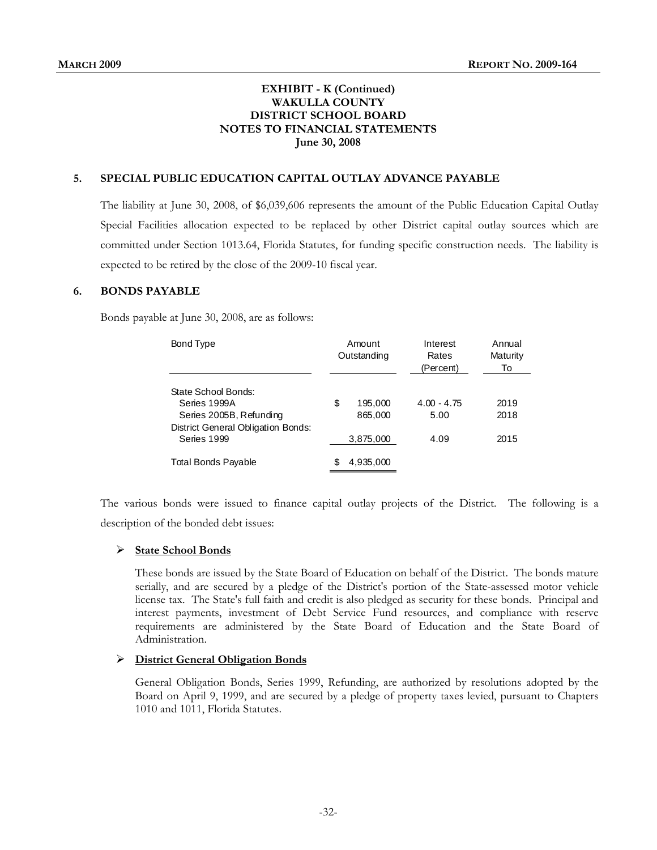## **5. SPECIAL PUBLIC EDUCATION CAPITAL OUTLAY ADVANCE PAYABLE**

The liability at June 30, 2008, of \$6,039,606 represents the amount of the Public Education Capital Outlay Special Facilities allocation expected to be replaced by other District capital outlay sources which are committed under Section 1013.64, Florida Statutes, for funding specific construction needs. The liability is expected to be retired by the close of the 2009-10 fiscal year.

#### **6. BONDS PAYABLE**

Bonds payable at June 30, 2008, are as follows:

| Bond Type                                                                    |    | Amount<br>Outstanding | Interest<br>Rates<br>(Percent) | Annual<br>Maturity<br>To |
|------------------------------------------------------------------------------|----|-----------------------|--------------------------------|--------------------------|
| State School Bonds:<br>Series 1999A                                          | \$ | 195,000               | $4.00 - 4.75$                  | 2019                     |
| Series 2005B, Refunding<br>District General Obligation Bonds:<br>Series 1999 |    | 865,000<br>3,875,000  | 5.00<br>4.09                   | 2018<br>2015             |
| Total Bonds Payable                                                          | S  | 4,935,000             |                                |                          |

The various bonds were issued to finance capital outlay projects of the District. The following is a description of the bonded debt issues:

#### ¾ **State School Bonds**

These bonds are issued by the State Board of Education on behalf of the District. The bonds mature serially, and are secured by a pledge of the District's portion of the State-assessed motor vehicle license tax. The State's full faith and credit is also pledged as security for these bonds.Principal and interest payments, investment of Debt Service Fund resources, and compliance with reserve requirements are administered by the State Board of Education and the State Board of Administration.

#### ¾ **District General Obligation Bonds**

General Obligation Bonds, Series 1999, Refunding, are authorized by resolutions adopted by the Board on April 9, 1999, and are secured by a pledge of property taxes levied, pursuant to Chapters 1010 and 1011, Florida Statutes.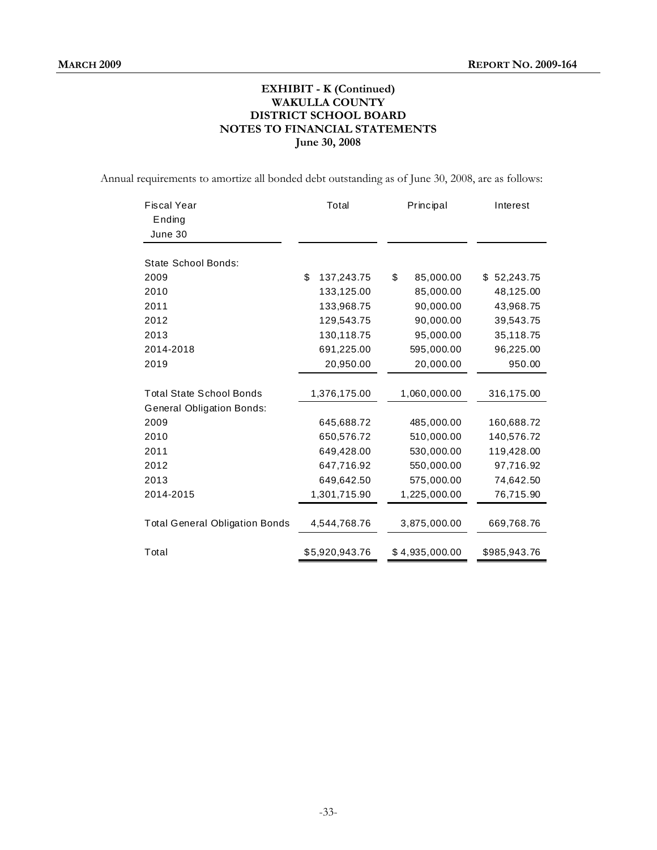Annual requirements to amortize all bonded debt outstanding as of June 30, 2008, are as follows:

| <b>Fiscal Year</b><br>Ending<br>June 30 | Total            | Principal       | Interest     |
|-----------------------------------------|------------------|-----------------|--------------|
|                                         |                  |                 |              |
| State School Bonds:                     |                  |                 |              |
| 2009                                    | \$<br>137,243.75 | \$<br>85,000.00 | \$52,243.75  |
| 2010                                    | 133,125.00       | 85,000.00       | 48,125.00    |
| 2011                                    | 133,968.75       | 90,000.00       | 43,968.75    |
| 2012                                    | 129,543.75       | 90,000.00       | 39,543.75    |
| 2013                                    | 130,118.75       | 95,000.00       | 35,118.75    |
| 2014-2018                               | 691,225.00       | 595,000.00      | 96,225.00    |
| 2019                                    | 20,950.00        | 20,000.00       | 950.00       |
|                                         |                  |                 |              |
| <b>Total State School Bonds</b>         | 1,376,175.00     | 1,060,000.00    | 316,175.00   |
| <b>General Obligation Bonds:</b>        |                  |                 |              |
| 2009                                    | 645,688.72       | 485,000.00      | 160,688.72   |
| 2010                                    | 650,576.72       | 510,000.00      | 140,576.72   |
| 2011                                    | 649,428.00       | 530,000.00      | 119,428.00   |
| 2012                                    | 647,716.92       | 550,000.00      | 97,716.92    |
| 2013                                    | 649,642.50       | 575,000.00      | 74,642.50    |
| 2014-2015                               | 1,301,715.90     | 1,225,000.00    | 76,715.90    |
| <b>Total General Obligation Bonds</b>   | 4,544,768.76     | 3,875,000.00    | 669,768.76   |
| Total                                   | \$5,920,943.76   | \$4,935,000.00  | \$985,943.76 |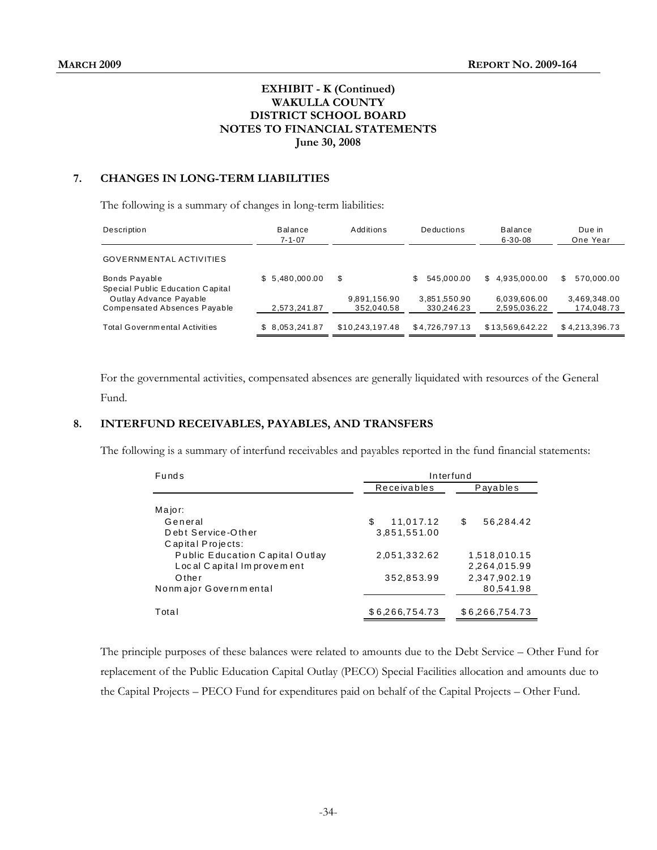### **7. CHANGES IN LONG-TERM LIABILITIES**

The following is a summary of changes in long-term liabilities:

| Description                                                   | <b>Balance</b><br>$7 - 1 - 07$ | Additions                  | Deductions                 | Balance<br>$6 - 30 - 08$     | Due in<br>One Year         |
|---------------------------------------------------------------|--------------------------------|----------------------------|----------------------------|------------------------------|----------------------------|
| <b>GOVERNMENTAL ACTIVITIES</b>                                |                                |                            |                            |                              |                            |
| Bonds Payable<br>Special Public Education Capital             | \$5,480,000.00                 | \$                         | 545.000.00<br>\$.          | \$4,935,000.00               | 570,000.00<br>S            |
| Outlay Advance Payable<br><b>Compensated Absences Payable</b> | 2,573,241.87                   | 9,891,156.90<br>352,040.58 | 3.851.550.90<br>330,246.23 | 6.039.606.00<br>2,595,036.22 | 3,469,348.00<br>174,048.73 |
| Total Governmental Activities                                 | \$8.053.241.87                 | \$10.243.197.48            | \$4.726.797.13             | \$13.569.642.22              | \$4.213.396.73             |

For the governmental activities, compensated absences are generally liquidated with resources of the General Fund.

#### **8. INTERFUND RECEIVABLES, PAYABLES, AND TRANSFERS**

The following is a summary of interfund receivables and payables reported in the fund financial statements:

| Funds                                                                        | Interfund                       |                                              |  |  |  |
|------------------------------------------------------------------------------|---------------------------------|----------------------------------------------|--|--|--|
|                                                                              | Receivables                     | Payables                                     |  |  |  |
| Major:<br>General<br>Debt Service-Other<br>Capital Projects:                 | \$<br>11,017.12<br>3,851,551.00 | \$<br>56.284.42                              |  |  |  |
| <b>Public Education Capital Outlay</b><br>Local Capital Improvement<br>Other | 2,051,332.62<br>352,853.99      | 1,518,010.15<br>2,264,015.99<br>2,347,902.19 |  |  |  |
| Nonmajor Governmental                                                        |                                 | 80.541.98                                    |  |  |  |
| Total                                                                        | \$6.266.754.73                  | \$6.266.754.73                               |  |  |  |

The principle purposes of these balances were related to amounts due to the Debt Service – Other Fund for replacement of the Public Education Capital Outlay (PECO) Special Facilities allocation and amounts due to the Capital Projects – PECO Fund for expenditures paid on behalf of the Capital Projects – Other Fund.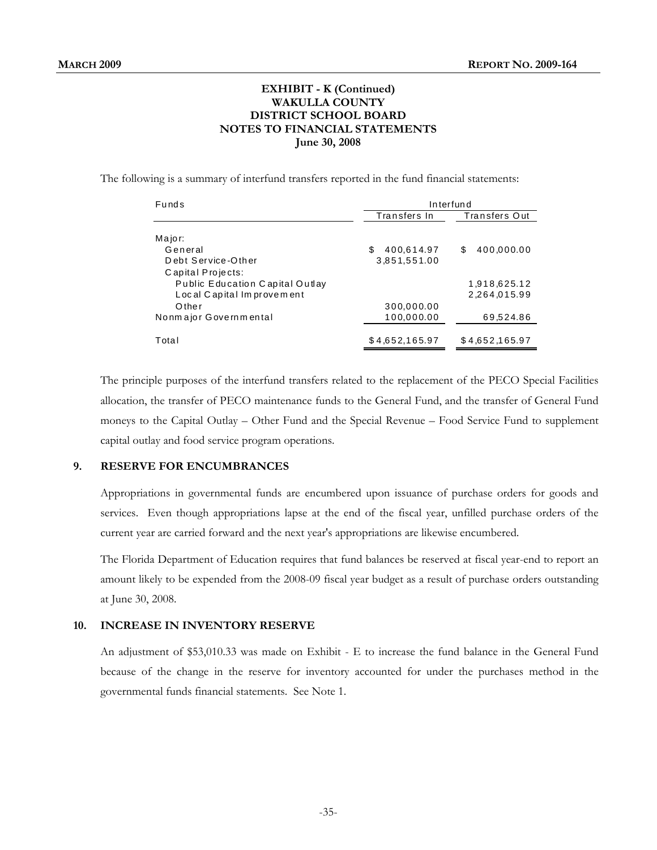The following is a summary of interfund transfers reported in the fund financial statements:

| Funds                           | Interfund       |                 |  |  |
|---------------------------------|-----------------|-----------------|--|--|
|                                 | Transfers In    | Transfers Out   |  |  |
|                                 |                 |                 |  |  |
| Major:                          |                 |                 |  |  |
| General                         | 400.614.97<br>S | 400,000.00<br>S |  |  |
| Debt Service-Other              | 3,851,551.00    |                 |  |  |
| Capital Projects:               |                 |                 |  |  |
| Public Education Capital Outlay |                 | 1,918,625.12    |  |  |
| Local Capital Improvement       |                 | 2.264.015.99    |  |  |
| Other                           | 300,000.00      |                 |  |  |
| Nonmajor Governmental           | 100,000.00      | 69.524.86       |  |  |
|                                 |                 |                 |  |  |
| Total                           | \$4,652,165.97  | \$4,652,165.97  |  |  |

The principle purposes of the interfund transfers related to the replacement of the PECO Special Facilities allocation, the transfer of PECO maintenance funds to the General Fund, and the transfer of General Fund moneys to the Capital Outlay – Other Fund and the Special Revenue – Food Service Fund to supplement capital outlay and food service program operations.

## **9. RESERVE FOR ENCUMBRANCES**

Appropriations in governmental funds are encumbered upon issuance of purchase orders for goods and services. Even though appropriations lapse at the end of the fiscal year, unfilled purchase orders of the current year are carried forward and the next year's appropriations are likewise encumbered.

The Florida Department of Education requires that fund balances be reserved at fiscal year-end to report an amount likely to be expended from the 2008-09 fiscal year budget as a result of purchase orders outstanding at June 30, 2008.

#### **10. INCREASE IN INVENTORY RESERVE**

An adjustment of \$53,010.33 was made on Exhibit - E to increase the fund balance in the General Fund because of the change in the reserve for inventory accounted for under the purchases method in the governmental funds financial statements. See Note 1.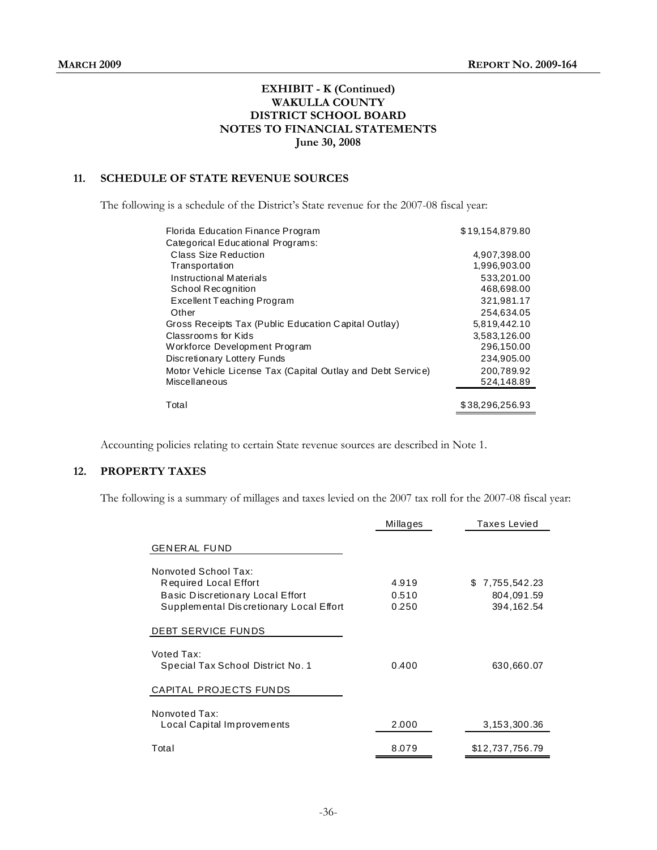## **11. SCHEDULE OF STATE REVENUE SOURCES**

The following is a schedule of the District's State revenue for the 2007-08 fiscal year:

| Florida Education Finance Program                           | \$19,154,879.80 |
|-------------------------------------------------------------|-----------------|
| Categorical Educational Programs:                           |                 |
| Class Size Reduction                                        | 4,907,398.00    |
| Transportation                                              | 1,996,903.00    |
| Instructional Materials                                     | 533,201.00      |
| School Recognition                                          | 468,698.00      |
| <b>Excellent Teaching Program</b>                           | 321,981.17      |
| Other                                                       | 254.634.05      |
| Gross Receipts Tax (Public Education Capital Outlay)        | 5,819,442.10    |
| Classrooms for Kids                                         | 3,583,126.00    |
| Workforce Development Program                               | 296,150.00      |
| Discretionary Lottery Funds                                 | 234.905.00      |
| Motor Vehicle License Tax (Capital Outlay and Debt Service) | 200,789.92      |
| Miscellaneous                                               | 524,148.89      |
|                                                             |                 |
| Total                                                       | \$38,296,256.93 |

Accounting policies relating to certain State revenue sources are described in Note 1.

#### **12. PROPERTY TAXES**

The following is a summary of millages and taxes levied on the 2007 tax roll for the 2007-08 fiscal year:

|                                                                                                                         | Millages | Taxes Levied        |
|-------------------------------------------------------------------------------------------------------------------------|----------|---------------------|
| <b>GENERAL FUND</b>                                                                                                     |          |                     |
| Nonvoted School Tax:                                                                                                    |          |                     |
| Required Local Effort                                                                                                   | 4.919    | \$.<br>7,755,542.23 |
| Basic Discretionary Local Effort                                                                                        | 0.510    | 804,091.59          |
| Supplemental Discretionary Local Effort                                                                                 | 0.250    | 394, 162.54         |
| <b>DEBT SERVICE FUNDS</b><br>Voted Tax:<br>Special Tax School District No. 1<br>CAPITAL PROJECTS FUNDS<br>Nonvoted Tax: | 0.400    | 630,660.07          |
| Local Capital Improvements                                                                                              | 2.000    | 3,153,300.36        |
| Total                                                                                                                   | 8.079    | \$12,737,756.79     |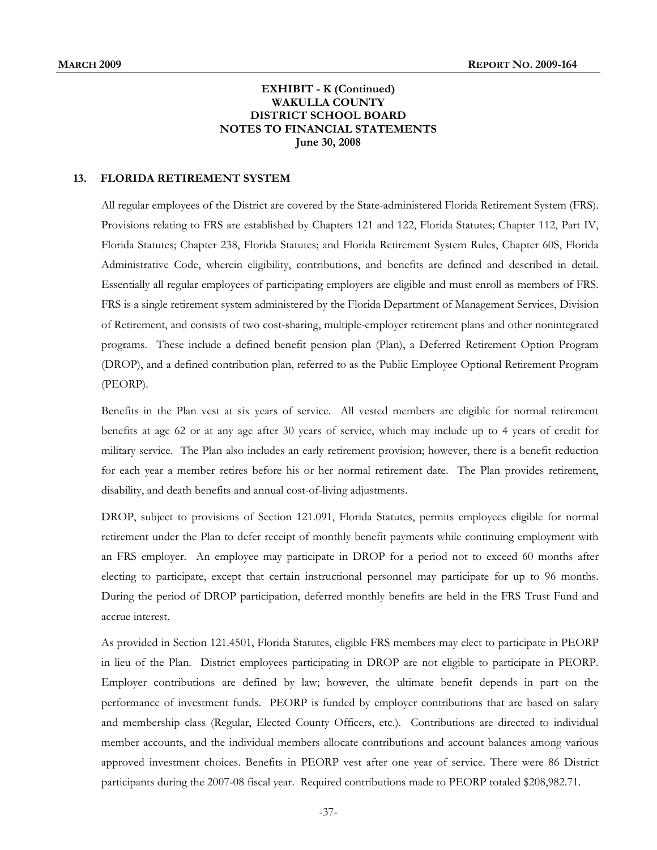#### **13. FLORIDA RETIREMENT SYSTEM**

All regular employees of the District are covered by the State-administered Florida Retirement System (FRS). Provisions relating to FRS are established by Chapters 121 and 122, Florida Statutes; Chapter 112, Part IV, Florida Statutes; Chapter 238, Florida Statutes; and Florida Retirement System Rules, Chapter 60S, Florida Administrative Code, wherein eligibility, contributions, and benefits are defined and described in detail. Essentially all regular employees of participating employers are eligible and must enroll as members of FRS. FRS is a single retirement system administered by the Florida Department of Management Services, Division of Retirement, and consists of two cost-sharing, multiple-employer retirement plans and other nonintegrated programs. These include a defined benefit pension plan (Plan), a Deferred Retirement Option Program (DROP), and a defined contribution plan, referred to as the Public Employee Optional Retirement Program (PEORP).

Benefits in the Plan vest at six years of service. All vested members are eligible for normal retirement benefits at age 62 or at any age after 30 years of service, which may include up to 4 years of credit for military service. The Plan also includes an early retirement provision; however, there is a benefit reduction for each year a member retires before his or her normal retirement date. The Plan provides retirement, disability, and death benefits and annual cost-of-living adjustments.

DROP, subject to provisions of Section 121.091, Florida Statutes, permits employees eligible for normal retirement under the Plan to defer receipt of monthly benefit payments while continuing employment with an FRS employer. An employee may participate in DROP for a period not to exceed 60 months after electing to participate, except that certain instructional personnel may participate for up to 96 months. During the period of DROP participation, deferred monthly benefits are held in the FRS Trust Fund and accrue interest.

As provided in Section 121.4501, Florida Statutes, eligible FRS members may elect to participate in PEORP in lieu of the Plan. District employees participating in DROP are not eligible to participate in PEORP. Employer contributions are defined by law; however, the ultimate benefit depends in part on the performance of investment funds. PEORP is funded by employer contributions that are based on salary and membership class (Regular, Elected County Officers, etc.). Contributions are directed to individual member accounts, and the individual members allocate contributions and account balances among various approved investment choices. Benefits in PEORP vest after one year of service. There were 86 District participants during the 2007-08 fiscal year. Required contributions made to PEORP totaled \$208,982.71.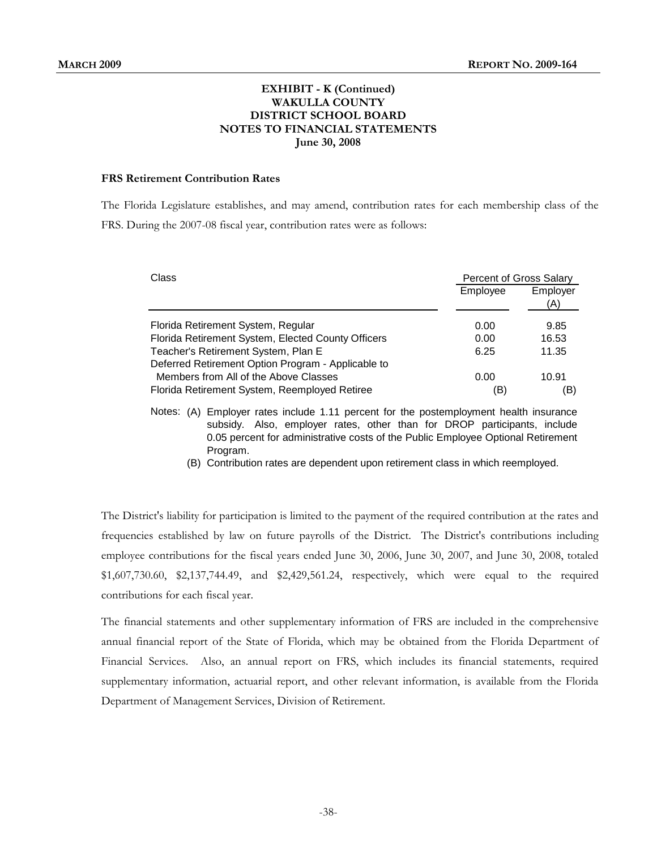#### **FRS Retirement Contribution Rates**

The Florida Legislature establishes, and may amend, contribution rates for each membership class of the FRS. During the 2007-08 fiscal year, contribution rates were as follows:

| Class                                              |          | Percent of Gross Salary |  |  |  |
|----------------------------------------------------|----------|-------------------------|--|--|--|
|                                                    | Employee | Employer<br>(A)         |  |  |  |
| Florida Retirement System, Regular                 | 0.00     | 9.85                    |  |  |  |
| Florida Retirement System, Elected County Officers | 0.00     | 16.53                   |  |  |  |
| Teacher's Retirement System, Plan E                | 6.25     | 11.35                   |  |  |  |
| Deferred Retirement Option Program - Applicable to |          |                         |  |  |  |
| Members from All of the Above Classes              | 0.00     | 10.91                   |  |  |  |
| Florida Retirement System, Reemployed Retiree      | (B       | B)                      |  |  |  |

Notes: (A) Employer rates include 1.11 percent for the postemployment health insurance subsidy. Also, employer rates, other than for DROP participants, include 0.05 percent for administrative costs of the Public Employee Optional Retirement Program.

(B) Contribution rates are dependent upon retirement class in which reemployed.

The District's liability for participation is limited to the payment of the required contribution at the rates and frequencies established by law on future payrolls of the District. The District's contributions including employee contributions for the fiscal years ended June 30, 2006, June 30, 2007, and June 30, 2008, totaled \$1,607,730.60, \$2,137,744.49, and \$2,429,561.24, respectively, which were equal to the required contributions for each fiscal year.

The financial statements and other supplementary information of FRS are included in the comprehensive annual financial report of the State of Florida, which may be obtained from the Florida Department of Financial Services. Also, an annual report on FRS, which includes its financial statements, required supplementary information, actuarial report, and other relevant information, is available from the Florida Department of Management Services, Division of Retirement.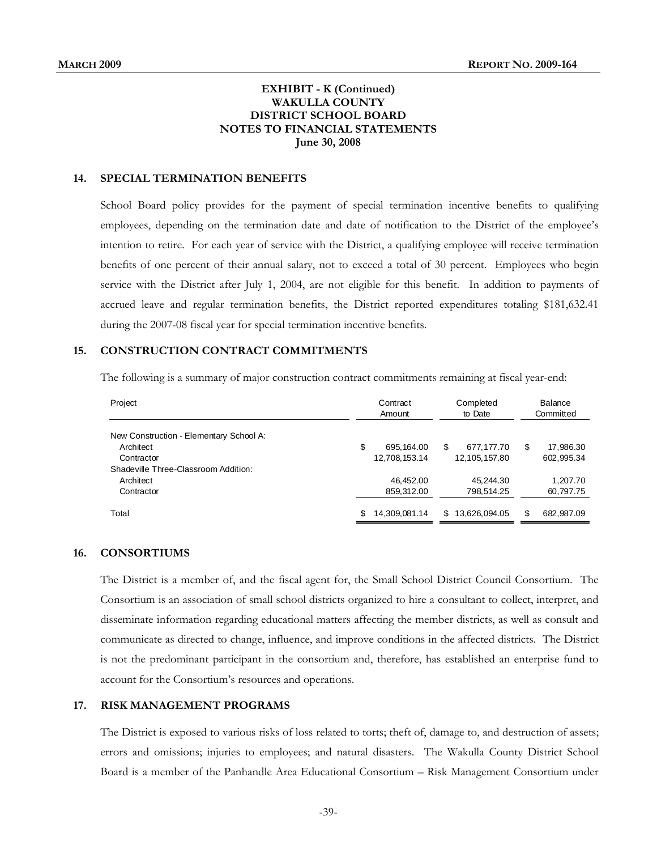#### **14. SPECIAL TERMINATION BENEFITS**

School Board policy provides for the payment of special termination incentive benefits to qualifying employees, depending on the termination date and date of notification to the District of the employee's intention to retire. For each year of service with the District, a qualifying employee will receive termination benefits of one percent of their annual salary, not to exceed a total of 30 percent. Employees who begin service with the District after July 1, 2004, are not eligible for this benefit. In addition to payments of accrued leave and regular termination benefits, the District reported expenditures totaling \$181,632.41 during the 2007-08 fiscal year for special termination incentive benefits.

#### **15. CONSTRUCTION CONTRACT COMMITMENTS**

The following is a summary of major construction contract commitments remaining at fiscal year-end:

| Project                                 |    | Contract<br>Amount |     | Completed<br>to Date |   | Balance<br>Committed |
|-----------------------------------------|----|--------------------|-----|----------------------|---|----------------------|
| New Construction - Elementary School A: |    |                    |     |                      |   |                      |
| Architect                               | \$ | 695.164.00         | \$. | 677,177.70           | S | 17.986.30            |
| Contractor                              |    | 12,708,153.14      |     | 12,105,157.80        |   | 602,995.34           |
| Shadeville Three-Classroom Addition:    |    |                    |     |                      |   |                      |
| Architect                               |    | 46.452.00          |     | 45.244.30            |   | 1,207.70             |
| Contractor                              |    | 859,312.00         |     | 798.514.25           |   | 60,797.75            |
|                                         |    |                    |     |                      |   |                      |
| Total                                   | S  | 14,309,081.14      | \$  | 13,626,094.05        |   | 682,987.09           |

#### **16. CONSORTIUMS**

The District is a member of, and the fiscal agent for, the Small School District Council Consortium. The Consortium is an association of small school districts organized to hire a consultant to collect, interpret, and disseminate information regarding educational matters affecting the member districts, as well as consult and communicate as directed to change, influence, and improve conditions in the affected districts. The District is not the predominant participant in the consortium and, therefore, has established an enterprise fund to account for the Consortium's resources and operations.

#### **17. RISK MANAGEMENT PROGRAMS**

The District is exposed to various risks of loss related to torts; theft of, damage to, and destruction of assets; errors and omissions; injuries to employees; and natural disasters. The Wakulla County District School Board is a member of the Panhandle Area Educational Consortium – Risk Management Consortium under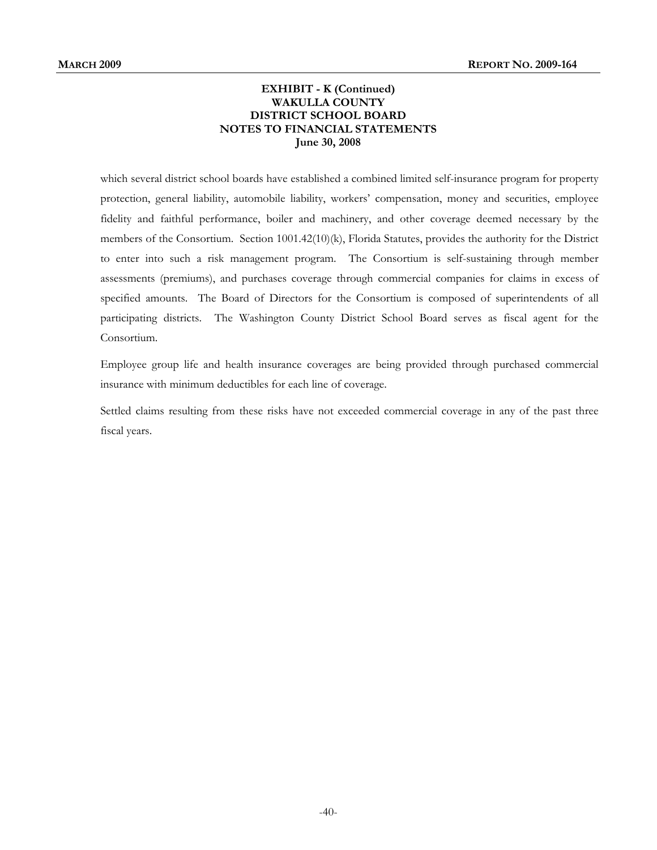which several district school boards have established a combined limited self-insurance program for property protection, general liability, automobile liability, workers' compensation, money and securities, employee fidelity and faithful performance, boiler and machinery, and other coverage deemed necessary by the members of the Consortium. Section 1001.42(10)(k), Florida Statutes, provides the authority for the District to enter into such a risk management program. The Consortium is self-sustaining through member assessments (premiums), and purchases coverage through commercial companies for claims in excess of specified amounts. The Board of Directors for the Consortium is composed of superintendents of all participating districts. The Washington County District School Board serves as fiscal agent for the Consortium.

Employee group life and health insurance coverages are being provided through purchased commercial insurance with minimum deductibles for each line of coverage.

Settled claims resulting from these risks have not exceeded commercial coverage in any of the past three fiscal years.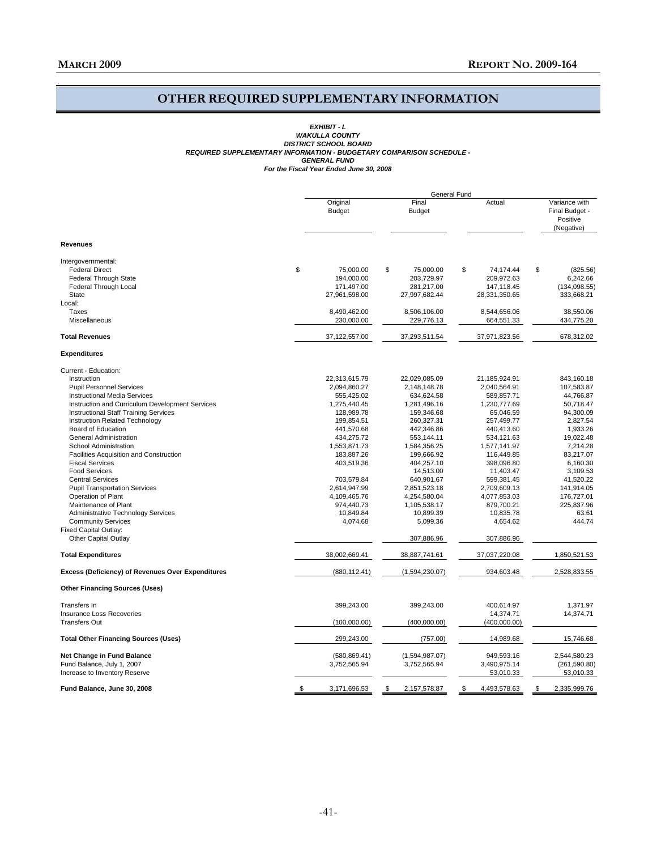## <span id="page-46-0"></span>**OTHER REQUIRED SUPPLEMENTARY INFORMATION**

#### *EXHIBIT - L WAKULLA COUNTY DISTRICT SCHOOL BOARD REQUIRED SUPPLEMENTARY INFORMATION - BUDGETARY COMPARISON SCHEDULE - GENERAL FUND For the Fiscal Year Ended June 30, 2008*

|                                                      |                           | General Fund           |                    |                                                           |
|------------------------------------------------------|---------------------------|------------------------|--------------------|-----------------------------------------------------------|
|                                                      | Original<br><b>Budget</b> | Final<br><b>Budget</b> | Actual             | Variance with<br>Final Budget -<br>Positive<br>(Negative) |
| Revenues                                             |                           |                        |                    |                                                           |
| Intergovernmental:                                   |                           |                        |                    |                                                           |
| <b>Federal Direct</b>                                | \$<br>75,000.00           | \$<br>75,000.00        | \$<br>74,174.44    | \$<br>(825.56)                                            |
| Federal Through State                                | 194,000.00                | 203,729.97             | 209,972.63         | 6.242.66                                                  |
| Federal Through Local                                | 171,497.00                | 281,217.00             | 147,118.45         | (134, 098.55)                                             |
| State                                                | 27,961,598.00             | 27,997,682.44          | 28,331,350.65      | 333,668.21                                                |
| Local:                                               |                           |                        |                    |                                                           |
| Taxes                                                | 8,490,462.00              | 8,506,106.00           | 8,544,656.06       | 38.550.06                                                 |
| Miscellaneous                                        | 230,000.00                | 229,776.13             | 664,551.33         | 434,775.20                                                |
| <b>Total Revenues</b>                                | 37,122,557.00             | 37,293,511.54          | 37,971,823.56      | 678,312.02                                                |
| <b>Expenditures</b>                                  |                           |                        |                    |                                                           |
| Current - Education:                                 |                           |                        |                    |                                                           |
| Instruction                                          | 22,313,615.79             | 22,029,085.09          | 21,185,924.91      | 843,160.18                                                |
| <b>Pupil Personnel Services</b>                      | 2,094,860.27              | 2,148,148.78           | 2,040,564.91       | 107,583.87                                                |
|                                                      |                           |                        |                    | 44,766.87                                                 |
| <b>Instructional Media Services</b>                  | 555,425.02                | 634,624.58             | 589,857.71         |                                                           |
| Instruction and Curriculum Development Services      | 1,275,440.45              | 1,281,496.16           | 1,230,777.69       | 50,718.47                                                 |
| <b>Instructional Staff Training Services</b>         | 128,989.78                | 159,346.68             | 65,046.59          | 94,300.09                                                 |
| Instruction Related Technology                       | 199,854.51                | 260,327.31             | 257,499.77         | 2,827.54                                                  |
| Board of Education                                   | 441,570.68                | 442,346.86             | 440,413.60         | 1,933.26                                                  |
| General Administration                               | 434,275.72                | 553,144.11             | 534,121.63         | 19,022.48                                                 |
| School Administration                                | 1,553,871.73              | 1,584,356.25           | 1,577,141.97       | 7,214.28                                                  |
| Facilities Acquisition and Construction              | 183,887.26                | 199,666.92             | 116,449.85         | 83,217.07                                                 |
| <b>Fiscal Services</b>                               | 403,519.36                | 404,257.10             | 398,096.80         | 6,160.30                                                  |
| <b>Food Services</b>                                 |                           | 14,513.00              | 11,403.47          | 3,109.53                                                  |
| <b>Central Services</b>                              | 703,579.84                | 640,901.67             | 599,381.45         | 41,520.22                                                 |
| <b>Pupil Transportation Services</b>                 | 2,614,947.99              | 2,851,523.18           | 2,709,609.13       | 141,914.05                                                |
| Operation of Plant                                   | 4,109,465.76              | 4,254,580.04           | 4,077,853.03       | 176,727.01                                                |
| Maintenance of Plant                                 | 974,440.73                | 1,105,538.17           | 879,700.21         | 225,837.96                                                |
| <b>Administrative Technology Services</b>            | 10,849.84                 | 10,899.39              | 10,835.78          | 63.61                                                     |
| <b>Community Services</b>                            | 4,074.68                  | 5,099.36               | 4,654.62           | 444.74                                                    |
| Fixed Capital Outlay:<br><b>Other Capital Outlay</b> |                           | 307,886.96             | 307,886.96         |                                                           |
|                                                      |                           |                        |                    |                                                           |
| <b>Total Expenditures</b>                            | 38,002,669.41             | 38,887,741.61          | 37,037,220.08      | 1,850,521.53                                              |
| Excess (Deficiency) of Revenues Over Expenditures    | (880, 112.41)             | (1,594,230.07)         | 934,603.48         | 2,528,833.55                                              |
| <b>Other Financing Sources (Uses)</b>                |                           |                        |                    |                                                           |
| Transfers In                                         | 399,243.00                | 399,243.00             | 400,614.97         | 1,371.97                                                  |
| <b>Insurance Loss Recoveries</b>                     |                           |                        | 14,374.71          | 14,374.71                                                 |
| <b>Transfers Out</b>                                 | (100,000.00)              | (400,000.00)           | (400,000.00)       |                                                           |
| <b>Total Other Financing Sources (Uses)</b>          | 299,243.00                | (757.00)               | 14,989.68          | 15,746.68                                                 |
| Net Change in Fund Balance                           | (580, 869.41)             | (1,594,987.07)         | 949,593.16         | 2,544,580.23                                              |
| Fund Balance, July 1, 2007                           | 3,752,565.94              | 3,752,565.94           | 3,490,975.14       | (261, 590.80)                                             |
| Increase to Inventory Reserve                        |                           |                        | 53,010.33          | 53,010.33                                                 |
|                                                      |                           |                        |                    |                                                           |
| Fund Balance, June 30, 2008                          | \$<br>3,171,696.53        | \$<br>2,157,578.87     | \$<br>4,493,578.63 | \$<br>2,335,999.76                                        |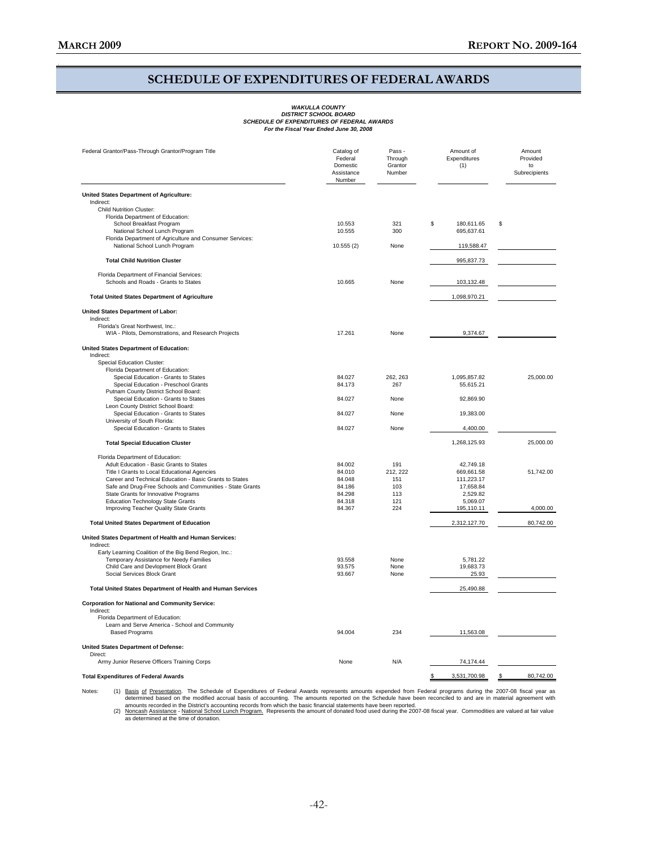## <span id="page-47-0"></span>**SCHEDULE OF EXPENDITURES OF FEDERAL AWARDS**

## *WAKULLA COUNTY DISTRICT SCHOOL BOARD*

*SCHEDULE OF EXPENDITURES OF FEDERAL AWARDS For the Fiscal Year Ended June 30, 2008*

| Federal Grantor/Pass-Through Grantor/Program Title                                        | Catalog of<br>Federal<br>Domestic<br>Assistance<br>Number | Pass -<br>Through<br>Grantor<br>Number | Amount of<br>Expenditures<br>(1) | Amount<br>Provided<br>to<br>Subrecipients |
|-------------------------------------------------------------------------------------------|-----------------------------------------------------------|----------------------------------------|----------------------------------|-------------------------------------------|
| United States Department of Agriculture:                                                  |                                                           |                                        |                                  |                                           |
| Indirect:<br>Child Nutrition Cluster:                                                     |                                                           |                                        |                                  |                                           |
| Florida Department of Education:                                                          |                                                           |                                        |                                  |                                           |
| School Breakfast Program                                                                  | 10.553                                                    | 321                                    | \$<br>180,611.65<br>\$           |                                           |
| National School Lunch Program                                                             | 10.555                                                    | 300                                    | 695,637.61                       |                                           |
| Florida Department of Agriculture and Consumer Services:<br>National School Lunch Program | 10.555(2)                                                 | None                                   | 119,588.47                       |                                           |
|                                                                                           |                                                           |                                        |                                  |                                           |
| <b>Total Child Nutrition Cluster</b>                                                      |                                                           |                                        | 995,837.73                       |                                           |
| Florida Department of Financial Services:                                                 |                                                           |                                        |                                  |                                           |
| Schools and Roads - Grants to States                                                      | 10.665                                                    | None                                   | 103,132.48                       |                                           |
| <b>Total United States Department of Agriculture</b>                                      |                                                           |                                        | 1,098,970.21                     |                                           |
| <b>United States Department of Labor:</b><br>Indirect:                                    |                                                           |                                        |                                  |                                           |
| Florida's Great Northwest, Inc.:                                                          |                                                           |                                        |                                  |                                           |
| WIA - Pilots, Demonstrations, and Research Projects                                       | 17.261                                                    | None                                   | 9,374.67                         |                                           |
| United States Department of Education:<br>Indirect:                                       |                                                           |                                        |                                  |                                           |
| <b>Special Education Cluster:</b>                                                         |                                                           |                                        |                                  |                                           |
| Florida Department of Education:                                                          |                                                           |                                        |                                  |                                           |
| Special Education - Grants to States                                                      | 84.027                                                    | 262, 263                               | 1,095,857.82                     | 25,000.00                                 |
| Special Education - Preschool Grants                                                      | 84.173                                                    | 267                                    | 55,615.21                        |                                           |
| Putnam County District School Board:                                                      |                                                           |                                        |                                  |                                           |
| Special Education - Grants to States                                                      | 84.027                                                    | None                                   | 92,869.90                        |                                           |
| Leon County District School Board:<br>Special Education - Grants to States                | 84.027                                                    | None                                   | 19,383.00                        |                                           |
| University of South Florida:                                                              |                                                           |                                        |                                  |                                           |
| Special Education - Grants to States                                                      | 84.027                                                    | None                                   | 4,400.00                         |                                           |
| <b>Total Special Education Cluster</b>                                                    |                                                           |                                        | 1,268,125.93                     | 25,000.00                                 |
| Florida Department of Education:                                                          |                                                           |                                        |                                  |                                           |
| Adult Education - Basic Grants to States                                                  | 84.002                                                    | 191                                    | 42,749.18                        |                                           |
| Title I Grants to Local Educational Agencies                                              | 84.010                                                    | 212, 222                               | 669,661.58                       | 51,742.00                                 |
| Career and Technical Education - Basic Grants to States                                   | 84.048                                                    | 151                                    | 111,223.17                       |                                           |
| Safe and Drug-Free Schools and Communities - State Grants                                 | 84.186                                                    | 103                                    | 17,658.84                        |                                           |
| State Grants for Innovative Programs                                                      | 84.298                                                    | 113                                    | 2,529.82                         |                                           |
| <b>Education Technology State Grants</b>                                                  | 84.318                                                    | 121                                    | 5,069.07                         |                                           |
| Improving Teacher Quality State Grants                                                    | 84.367                                                    | 224                                    | 195,110.11                       | 4,000.00                                  |
| <b>Total United States Department of Education</b>                                        |                                                           |                                        | 2,312,127.70                     | 80,742.00                                 |
| United States Department of Health and Human Services:<br>Indirect:                       |                                                           |                                        |                                  |                                           |
| Early Learning Coalition of the Big Bend Region, Inc.:                                    |                                                           |                                        |                                  |                                           |
| Temporary Assistance for Needy Families                                                   | 93.558                                                    | None                                   | 5,781.22                         |                                           |
| Child Care and Devlopment Block Grant                                                     | 93.575                                                    | None                                   | 19,683.73                        |                                           |
| Social Services Block Grant                                                               | 93.667                                                    | None                                   | 25.93                            |                                           |
| Total United States Department of Health and Human Services                               |                                                           |                                        | 25,490.88                        |                                           |
| <b>Corporation for National and Community Service:</b><br>Indirect:                       |                                                           |                                        |                                  |                                           |
| Florida Department of Education:                                                          |                                                           |                                        |                                  |                                           |
| Learn and Serve America - School and Community                                            |                                                           |                                        |                                  |                                           |
| <b>Based Programs</b>                                                                     | 94.004                                                    | 234                                    | 11,563.08                        |                                           |
| <b>United States Department of Defense:</b><br>Direct:                                    |                                                           |                                        |                                  |                                           |
| Army Junior Reserve Officers Training Corps                                               | None                                                      | N/A                                    | 74,174.44                        |                                           |
| <b>Total Expenditures of Federal Awards</b>                                               |                                                           |                                        | 3,531,700.98<br>\$<br>\$         | 80,742.00                                 |

Notes: Basis of Presentation. The Schedule of Expenditures of Federal Awards represents amounts expended from Federal programs during the 2007-08 fiscal year as<br>determined based on the modified accrual basis of accounting. The am

(2)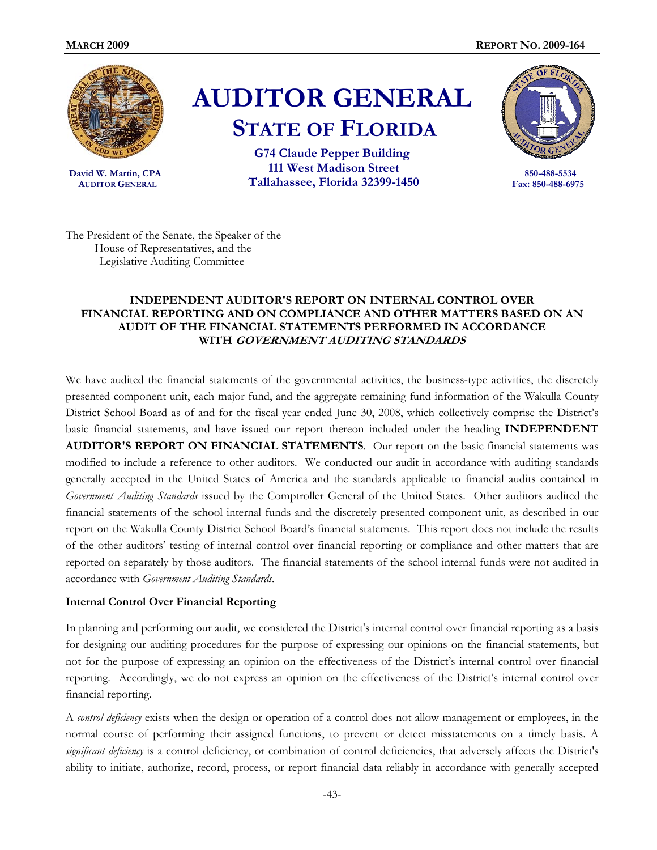<span id="page-48-0"></span>

**David W. Martin, CPA AUDITOR GENERAL**

# **AUDITOR GENERAL STATE OF FLORIDA**

**G74 Claude Pepper Building 111 West Madison Street Tallahassee, Florida 32399-1450** 



**850-488-5534 Fax: 850-488-6975** 

The President of the Senate, the Speaker of the House of Representatives, and the Legislative Auditing Committee

## **INDEPENDENT AUDITOR'S REPORT ON INTERNAL CONTROL OVER FINANCIAL REPORTING AND ON COMPLIANCE AND OTHER MATTERS BASED ON AN AUDIT OF THE FINANCIAL STATEMENTS PERFORMED IN ACCORDANCE WITH GOVERNMENT AUDITING STANDARDS**

We have audited the financial statements of the governmental activities, the business-type activities, the discretely presented component unit, each major fund, and the aggregate remaining fund information of the Wakulla County District School Board as of and for the fiscal year ended June 30, 2008, which collectively comprise the District's basic financial statements, and have issued our report thereon included under the heading **INDEPENDENT AUDITOR'S REPORT ON FINANCIAL STATEMENTS**. Our report on the basic financial statements was modified to include a reference to other auditors. We conducted our audit in accordance with auditing standards generally accepted in the United States of America and the standards applicable to financial audits contained in *Government Auditing Standards* issued by the Comptroller General of the United States. Other auditors audited the financial statements of the school internal funds and the discretely presented component unit, as described in our report on the Wakulla County District School Board's financial statements. This report does not include the results of the other auditors' testing of internal control over financial reporting or compliance and other matters that are reported on separately by those auditors. The financial statements of the school internal funds were not audited in accordance with *Government Auditing Standards.* 

## **Internal Control Over Financial Reporting**

In planning and performing our audit, we considered the District's internal control over financial reporting as a basis for designing our auditing procedures for the purpose of expressing our opinions on the financial statements, but not for the purpose of expressing an opinion on the effectiveness of the District's internal control over financial reporting. Accordingly, we do not express an opinion on the effectiveness of the District's internal control over financial reporting.

A *control deficiency* exists when the design or operation of a control does not allow management or employees, in the normal course of performing their assigned functions, to prevent or detect misstatements on a timely basis. A *significant deficiency* is a control deficiency, or combination of control deficiencies, that adversely affects the District's ability to initiate, authorize, record, process, or report financial data reliably in accordance with generally accepted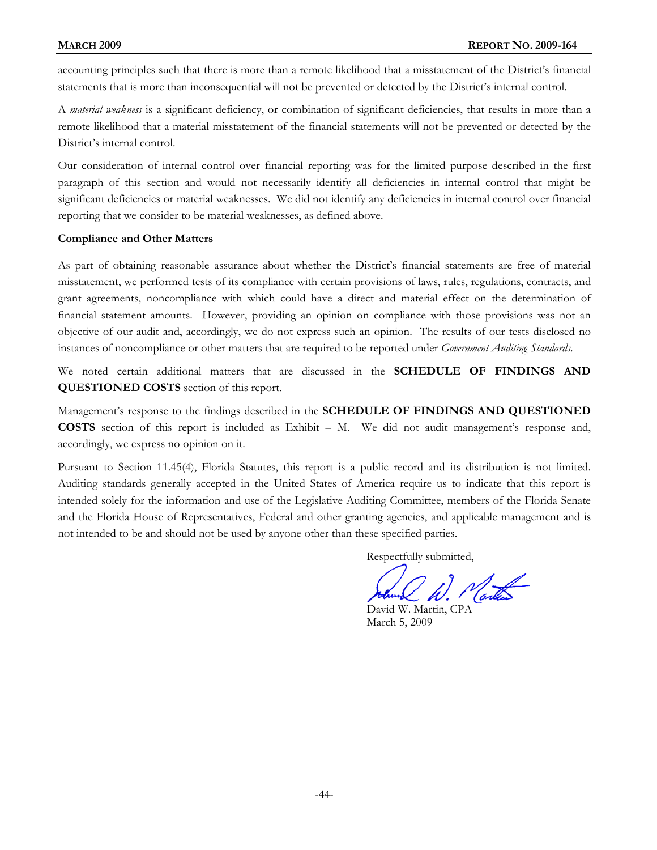accounting principles such that there is more than a remote likelihood that a misstatement of the District's financial statements that is more than inconsequential will not be prevented or detected by the District's internal control.

A *material weakness* is a significant deficiency, or combination of significant deficiencies, that results in more than a remote likelihood that a material misstatement of the financial statements will not be prevented or detected by the District's internal control.

Our consideration of internal control over financial reporting was for the limited purpose described in the first paragraph of this section and would not necessarily identify all deficiencies in internal control that might be significant deficiencies or material weaknesses. We did not identify any deficiencies in internal control over financial reporting that we consider to be material weaknesses, as defined above.

#### **Compliance and Other Matters**

As part of obtaining reasonable assurance about whether the District's financial statements are free of material misstatement, we performed tests of its compliance with certain provisions of laws, rules, regulations, contracts, and grant agreements, noncompliance with which could have a direct and material effect on the determination of financial statement amounts. However, providing an opinion on compliance with those provisions was not an objective of our audit and, accordingly, we do not express such an opinion. The results of our tests disclosed no instances of noncompliance or other matters that are required to be reported under *Government Auditing Standards*.

We noted certain additional matters that are discussed in the **SCHEDULE OF FINDINGS AND QUESTIONED COSTS** section of this report.

Management's response to the findings described in the **SCHEDULE OF FINDINGS AND QUESTIONED COSTS** section of this report is included as Exhibit – M. We did not audit management's response and, accordingly, we express no opinion on it.

Pursuant to Section 11.45(4), Florida Statutes, this report is a public record and its distribution is not limited. Auditing standards generally accepted in the United States of America require us to indicate that this report is intended solely for the information and use of the Legislative Auditing Committee, members of the Florida Senate and the Florida House of Representatives, Federal and other granting agencies, and applicable management and is not intended to be and should not be used by anyone other than these specified parties.

Respectfully submitted,

David W. Martin, CPA March 5, 2009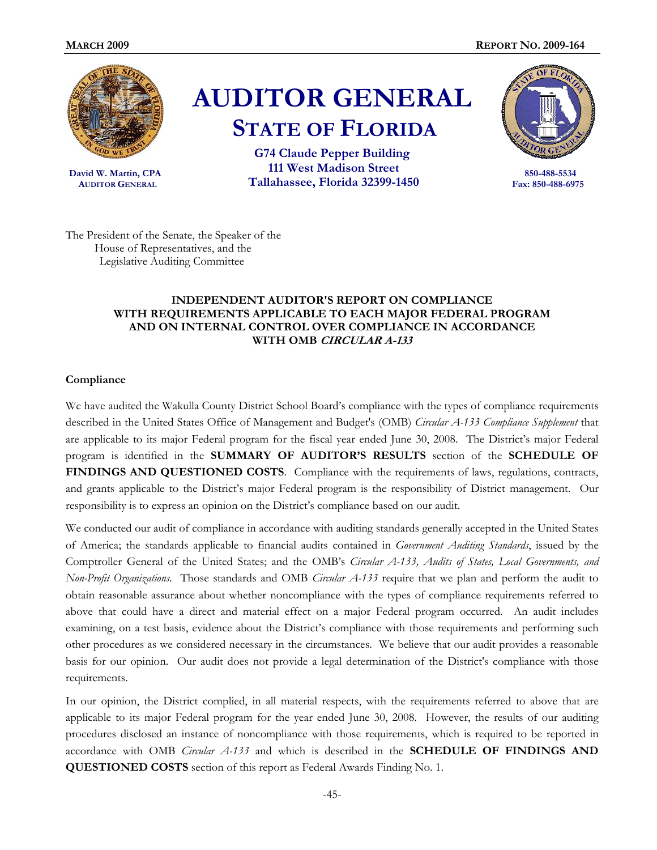<span id="page-50-0"></span>

**David W. Martin, CPA AUDITOR GENERAL**

## **AUDITOR GENERAL STATE OF FLORIDA**

**G74 Claude Pepper Building 111 West Madison Street Tallahassee, Florida 32399-1450** 



**850-488-5534 Fax: 850-488-6975** 

The President of the Senate, the Speaker of the House of Representatives, and the Legislative Auditing Committee

## **INDEPENDENT AUDITOR'S REPORT ON COMPLIANCE WITH REQUIREMENTS APPLICABLE TO EACH MAJOR FEDERAL PROGRAM AND ON INTERNAL CONTROL OVER COMPLIANCE IN ACCORDANCE WITH OMB CIRCULAR A-133**

#### **Compliance**

We have audited the Wakulla County District School Board's compliance with the types of compliance requirements described in the United States Office of Management and Budget's (OMB) *Circular A-133 Compliance Supplement* that are applicable to its major Federal program for the fiscal year ended June 30, 2008. The District's major Federal program is identified in the **SUMMARY OF AUDITOR'S RESULTS** section of the **SCHEDULE OF FINDINGS AND QUESTIONED COSTS**. Compliance with the requirements of laws, regulations, contracts, and grants applicable to the District's major Federal program is the responsibility of District management. Our responsibility is to express an opinion on the District's compliance based on our audit.

We conducted our audit of compliance in accordance with auditing standards generally accepted in the United States of America; the standards applicable to financial audits contained in *Government Auditing Standards*, issued by the Comptroller General of the United States; and the OMB's *Circular A-133, Audits of States, Local Governments, and Non-Profit Organizations*. Those standards and OMB *Circular A-133* require that we plan and perform the audit to obtain reasonable assurance about whether noncompliance with the types of compliance requirements referred to above that could have a direct and material effect on a major Federal program occurred. An audit includes examining, on a test basis, evidence about the District's compliance with those requirements and performing such other procedures as we considered necessary in the circumstances. We believe that our audit provides a reasonable basis for our opinion. Our audit does not provide a legal determination of the District's compliance with those requirements.

In our opinion, the District complied, in all material respects, with the requirements referred to above that are applicable to its major Federal program for the year ended June 30, 2008. However, the results of our auditing procedures disclosed an instance of noncompliance with those requirements, which is required to be reported in accordance with OMB *Circular A-133* and which is described in the **SCHEDULE OF FINDINGS AND QUESTIONED COSTS** section of this report as Federal Awards Finding No. 1.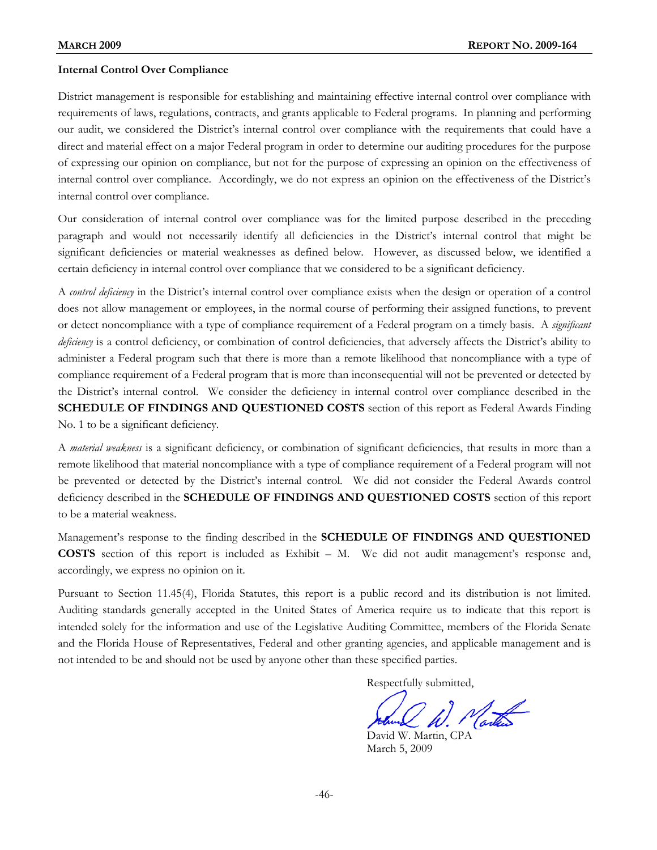#### **Internal Control Over Compliance**

District management is responsible for establishing and maintaining effective internal control over compliance with requirements of laws, regulations, contracts, and grants applicable to Federal programs. In planning and performing our audit, we considered the District's internal control over compliance with the requirements that could have a direct and material effect on a major Federal program in order to determine our auditing procedures for the purpose of expressing our opinion on compliance, but not for the purpose of expressing an opinion on the effectiveness of internal control over compliance. Accordingly, we do not express an opinion on the effectiveness of the District's internal control over compliance.

Our consideration of internal control over compliance was for the limited purpose described in the preceding paragraph and would not necessarily identify all deficiencies in the District's internal control that might be significant deficiencies or material weaknesses as defined below. However, as discussed below, we identified a certain deficiency in internal control over compliance that we considered to be a significant deficiency.

A *control deficiency* in the District's internal control over compliance exists when the design or operation of a control does not allow management or employees, in the normal course of performing their assigned functions, to prevent or detect noncompliance with a type of compliance requirement of a Federal program on a timely basis. A *significant deficiency* is a control deficiency, or combination of control deficiencies, that adversely affects the District's ability to administer a Federal program such that there is more than a remote likelihood that noncompliance with a type of compliance requirement of a Federal program that is more than inconsequential will not be prevented or detected by the District's internal control. We consider the deficiency in internal control over compliance described in the **SCHEDULE OF FINDINGS AND QUESTIONED COSTS** section of this report as Federal Awards Finding No. 1 to be a significant deficiency.

A *material weakness* is a significant deficiency, or combination of significant deficiencies, that results in more than a remote likelihood that material noncompliance with a type of compliance requirement of a Federal program will not be prevented or detected by the District's internal control. We did not consider the Federal Awards control deficiency described in the **SCHEDULE OF FINDINGS AND QUESTIONED COSTS** section of this report to be a material weakness.

Management's response to the finding described in the **SCHEDULE OF FINDINGS AND QUESTIONED COSTS** section of this report is included as Exhibit – M. We did not audit management's response and, accordingly, we express no opinion on it.

Pursuant to Section 11.45(4), Florida Statutes, this report is a public record and its distribution is not limited. Auditing standards generally accepted in the United States of America require us to indicate that this report is intended solely for the information and use of the Legislative Auditing Committee, members of the Florida Senate and the Florida House of Representatives, Federal and other granting agencies, and applicable management and is not intended to be and should not be used by anyone other than these specified parties.

Respectfully submitted,

David W. Martin, CPA March 5, 2009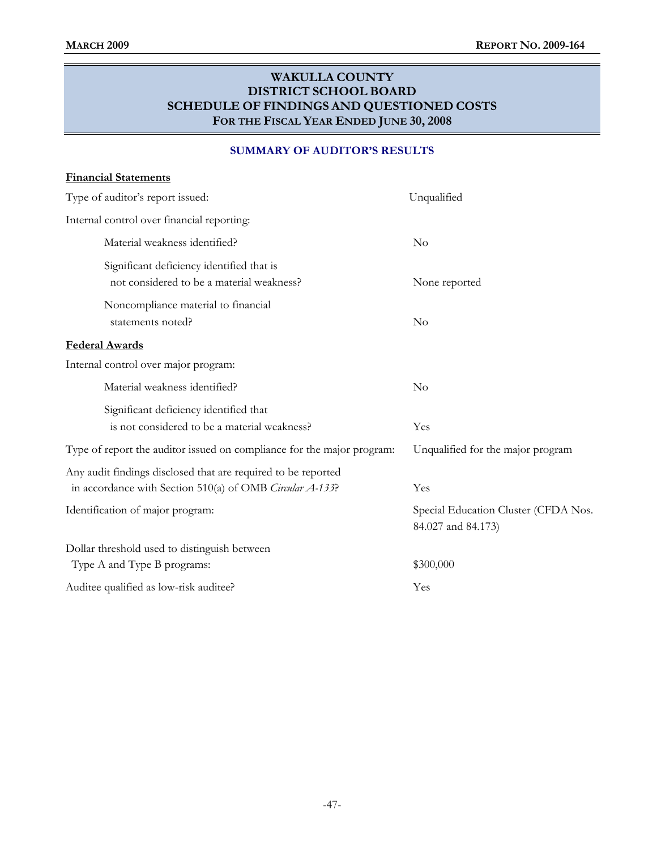## <span id="page-52-0"></span>**WAKULLA COUNTY DISTRICT SCHOOL BOARD SCHEDULE OF FINDINGS AND QUESTIONED COSTS FOR THE FISCAL YEAR ENDED JUNE 30, 2008**

## **SUMMARY OF AUDITOR'S RESULTS**

| <b>Financial Statements</b>                                                                                               |                                                            |
|---------------------------------------------------------------------------------------------------------------------------|------------------------------------------------------------|
| Type of auditor's report issued:                                                                                          | Unqualified                                                |
| Internal control over financial reporting:                                                                                |                                                            |
| Material weakness identified?                                                                                             | $\rm No$                                                   |
| Significant deficiency identified that is<br>not considered to be a material weakness?                                    | None reported                                              |
| Noncompliance material to financial<br>statements noted?                                                                  | $\rm No$                                                   |
| <b>Federal Awards</b>                                                                                                     |                                                            |
| Internal control over major program:                                                                                      |                                                            |
| Material weakness identified?                                                                                             | $\rm No$                                                   |
| Significant deficiency identified that<br>is not considered to be a material weakness?                                    | Yes                                                        |
| Type of report the auditor issued on compliance for the major program:                                                    | Unqualified for the major program                          |
| Any audit findings disclosed that are required to be reported<br>in accordance with Section 510(a) of OMB Circular A-133? | Yes                                                        |
| Identification of major program:                                                                                          | Special Education Cluster (CFDA Nos.<br>84.027 and 84.173) |
| Dollar threshold used to distinguish between<br>Type A and Type B programs:                                               | \$300,000                                                  |
| Auditee qualified as low-risk auditee?                                                                                    | Yes                                                        |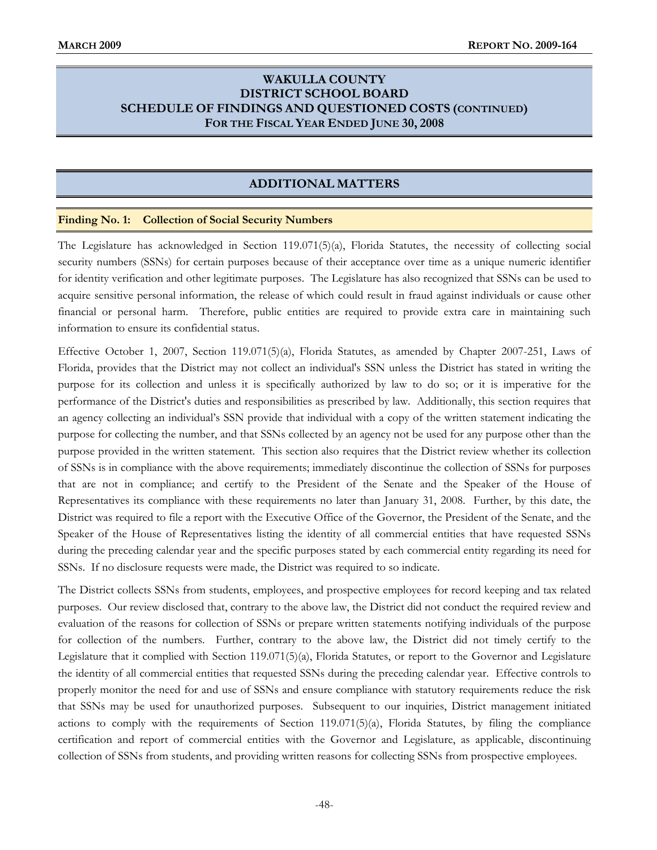## **WAKULLA COUNTY DISTRICT SCHOOL BOARD SCHEDULE OF FINDINGS AND QUESTIONED COSTS (CONTINUED) FOR THE FISCAL YEAR ENDED JUNE 30, 2008**

## **ADDITIONAL MATTERS**

#### **Finding No. 1: Collection of Social Security Numbers**

The Legislature has acknowledged in Section 119.071(5)(a), Florida Statutes, the necessity of collecting social security numbers (SSNs) for certain purposes because of their acceptance over time as a unique numeric identifier for identity verification and other legitimate purposes. The Legislature has also recognized that SSNs can be used to acquire sensitive personal information, the release of which could result in fraud against individuals or cause other financial or personal harm. Therefore, public entities are required to provide extra care in maintaining such information to ensure its confidential status.

Effective October 1, 2007, Section 119.071(5)(a), Florida Statutes, as amended by Chapter 2007-251, Laws of Florida, provides that the District may not collect an individual's SSN unless the District has stated in writing the purpose for its collection and unless it is specifically authorized by law to do so; or it is imperative for the performance of the District's duties and responsibilities as prescribed by law. Additionally, this section requires that an agency collecting an individual's SSN provide that individual with a copy of the written statement indicating the purpose for collecting the number, and that SSNs collected by an agency not be used for any purpose other than the purpose provided in the written statement. This section also requires that the District review whether its collection of SSNs is in compliance with the above requirements; immediately discontinue the collection of SSNs for purposes that are not in compliance; and certify to the President of the Senate and the Speaker of the House of Representatives its compliance with these requirements no later than January 31, 2008. Further, by this date, the District was required to file a report with the Executive Office of the Governor, the President of the Senate, and the Speaker of the House of Representatives listing the identity of all commercial entities that have requested SSNs during the preceding calendar year and the specific purposes stated by each commercial entity regarding its need for SSNs. If no disclosure requests were made, the District was required to so indicate.

The District collects SSNs from students, employees, and prospective employees for record keeping and tax related purposes. Our review disclosed that, contrary to the above law, the District did not conduct the required review and evaluation of the reasons for collection of SSNs or prepare written statements notifying individuals of the purpose for collection of the numbers. Further, contrary to the above law, the District did not timely certify to the Legislature that it complied with Section 119.071(5)(a), Florida Statutes, or report to the Governor and Legislature the identity of all commercial entities that requested SSNs during the preceding calendar year. Effective controls to properly monitor the need for and use of SSNs and ensure compliance with statutory requirements reduce the risk that SSNs may be used for unauthorized purposes. Subsequent to our inquiries, District management initiated actions to comply with the requirements of Section 119.071(5)(a), Florida Statutes, by filing the compliance certification and report of commercial entities with the Governor and Legislature, as applicable, discontinuing collection of SSNs from students, and providing written reasons for collecting SSNs from prospective employees.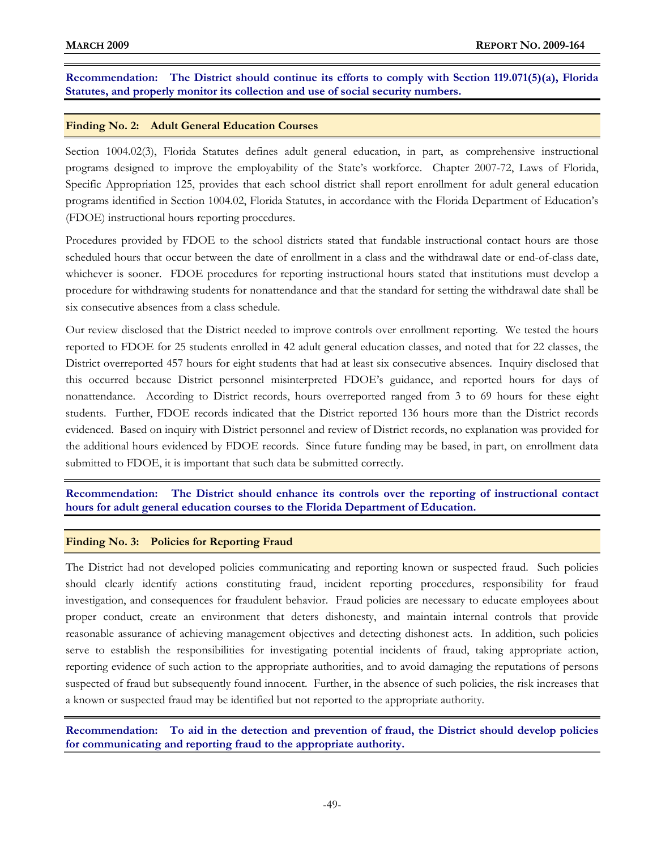**Recommendation: The District should continue its efforts to comply with Section 119.071(5)(a), Florida Statutes, and properly monitor its collection and use of social security numbers.** 

#### **Finding No. 2: Adult General Education Courses**

Section 1004.02(3), Florida Statutes defines adult general education, in part, as comprehensive instructional programs designed to improve the employability of the State's workforce. Chapter 2007-72, Laws of Florida, Specific Appropriation 125, provides that each school district shall report enrollment for adult general education programs identified in Section 1004.02, Florida Statutes, in accordance with the Florida Department of Education's (FDOE) instructional hours reporting procedures.

Procedures provided by FDOE to the school districts stated that fundable instructional contact hours are those scheduled hours that occur between the date of enrollment in a class and the withdrawal date or end-of-class date, whichever is sooner. FDOE procedures for reporting instructional hours stated that institutions must develop a procedure for withdrawing students for nonattendance and that the standard for setting the withdrawal date shall be six consecutive absences from a class schedule.

Our review disclosed that the District needed to improve controls over enrollment reporting. We tested the hours reported to FDOE for 25 students enrolled in 42 adult general education classes, and noted that for 22 classes, the District overreported 457 hours for eight students that had at least six consecutive absences. Inquiry disclosed that this occurred because District personnel misinterpreted FDOE's guidance, and reported hours for days of nonattendance. According to District records, hours overreported ranged from 3 to 69 hours for these eight students. Further, FDOE records indicated that the District reported 136 hours more than the District records evidenced. Based on inquiry with District personnel and review of District records, no explanation was provided for the additional hours evidenced by FDOE records. Since future funding may be based, in part, on enrollment data submitted to FDOE, it is important that such data be submitted correctly.

**Recommendation: The District should enhance its controls over the reporting of instructional contact hours for adult general education courses to the Florida Department of Education.** 

**Finding No. 3: Policies for Reporting Fraud** 

The District had not developed policies communicating and reporting known or suspected fraud. Such policies should clearly identify actions constituting fraud, incident reporting procedures, responsibility for fraud investigation, and consequences for fraudulent behavior. Fraud policies are necessary to educate employees about proper conduct, create an environment that deters dishonesty, and maintain internal controls that provide reasonable assurance of achieving management objectives and detecting dishonest acts. In addition, such policies serve to establish the responsibilities for investigating potential incidents of fraud, taking appropriate action, reporting evidence of such action to the appropriate authorities, and to avoid damaging the reputations of persons suspected of fraud but subsequently found innocent. Further, in the absence of such policies, the risk increases that a known or suspected fraud may be identified but not reported to the appropriate authority.

**Recommendation: To aid in the detection and prevention of fraud, the District should develop policies for communicating and reporting fraud to the appropriate authority.**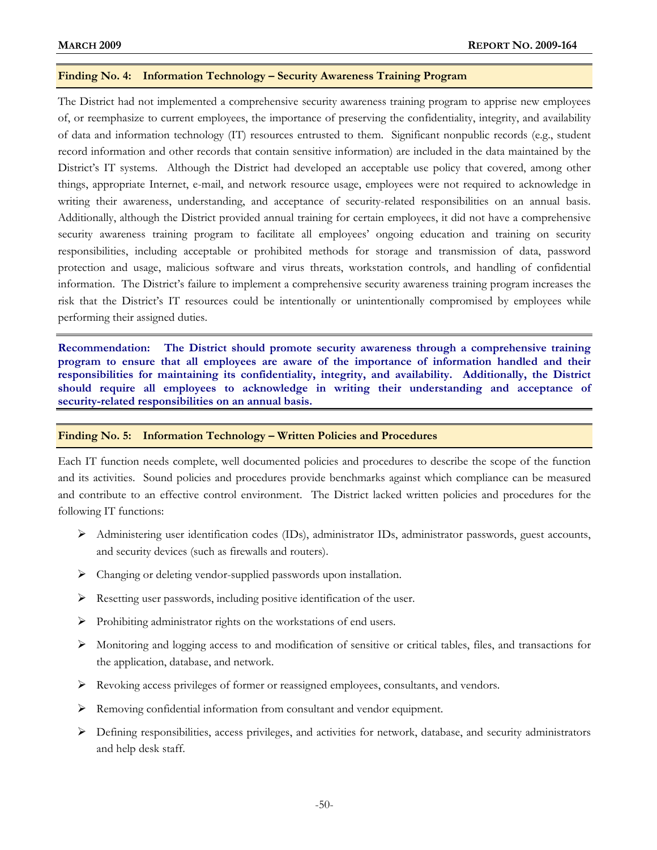#### **Finding No. 4: Information Technology – Security Awareness Training Program**

The District had not implemented a comprehensive security awareness training program to apprise new employees of, or reemphasize to current employees, the importance of preserving the confidentiality, integrity, and availability of data and information technology (IT) resources entrusted to them. Significant nonpublic records (e.g., student record information and other records that contain sensitive information) are included in the data maintained by the District's IT systems. Although the District had developed an acceptable use policy that covered, among other things, appropriate Internet, e-mail, and network resource usage, employees were not required to acknowledge in writing their awareness, understanding, and acceptance of security-related responsibilities on an annual basis. Additionally, although the District provided annual training for certain employees, it did not have a comprehensive security awareness training program to facilitate all employees' ongoing education and training on security responsibilities, including acceptable or prohibited methods for storage and transmission of data, password protection and usage, malicious software and virus threats, workstation controls, and handling of confidential information. The District's failure to implement a comprehensive security awareness training program increases the risk that the District's IT resources could be intentionally or unintentionally compromised by employees while performing their assigned duties.

**Recommendation: The District should promote security awareness through a comprehensive training program to ensure that all employees are aware of the importance of information handled and their responsibilities for maintaining its confidentiality, integrity, and availability. Additionally, the District should require all employees to acknowledge in writing their understanding and acceptance of security-related responsibilities on an annual basis.** 

#### **Finding No. 5: Information Technology – Written Policies and Procedures**

Each IT function needs complete, well documented policies and procedures to describe the scope of the function and its activities. Sound policies and procedures provide benchmarks against which compliance can be measured and contribute to an effective control environment. The District lacked written policies and procedures for the following IT functions:

- ¾ Administering user identification codes (IDs), administrator IDs, administrator passwords, guest accounts, and security devices (such as firewalls and routers).
- $\triangleright$  Changing or deleting vendor-supplied passwords upon installation.
- ¾ Resetting user passwords, including positive identification of the user.
- ¾ Prohibiting administrator rights on the workstations of end users.
- ¾ Monitoring and logging access to and modification of sensitive or critical tables, files, and transactions for the application, database, and network.
- ¾ Revoking access privileges of former or reassigned employees, consultants, and vendors.
- ¾ Removing confidential information from consultant and vendor equipment.
- ¾ Defining responsibilities, access privileges, and activities for network, database, and security administrators and help desk staff.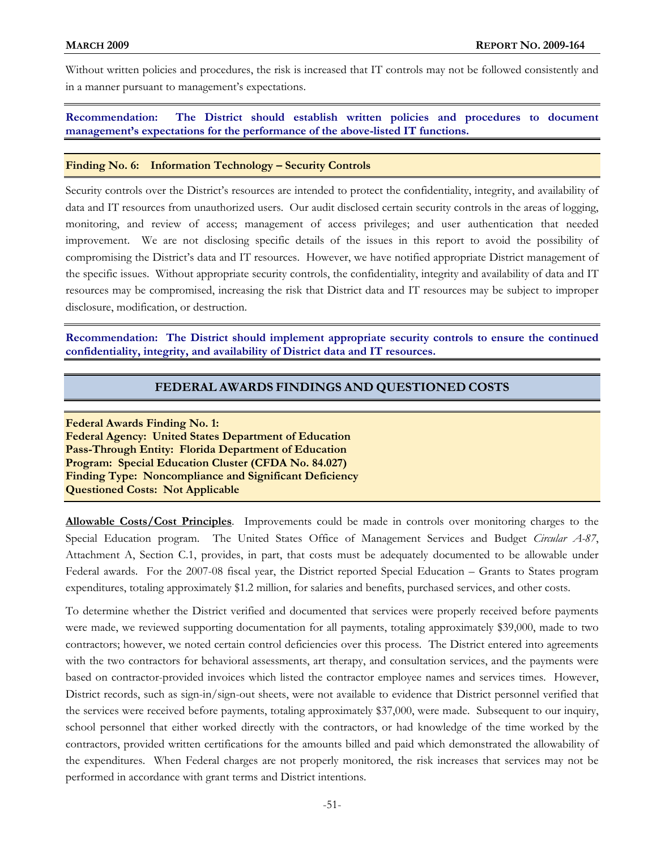Without written policies and procedures, the risk is increased that IT controls may not be followed consistently and in a manner pursuant to management's expectations.

#### **Recommendation: The District should establish written policies and procedures to document management's expectations for the performance of the above-listed IT functions.**

#### **Finding No. 6: Information Technology – Security Controls**

Security controls over the District's resources are intended to protect the confidentiality, integrity, and availability of data and IT resources from unauthorized users. Our audit disclosed certain security controls in the areas of logging, monitoring, and review of access; management of access privileges; and user authentication that needed improvement. We are not disclosing specific details of the issues in this report to avoid the possibility of compromising the District's data and IT resources. However, we have notified appropriate District management of the specific issues. Without appropriate security controls, the confidentiality, integrity and availability of data and IT resources may be compromised, increasing the risk that District data and IT resources may be subject to improper disclosure, modification, or destruction.

## **Recommendation: The District should implement appropriate security controls to ensure the continued confidentiality, integrity, and availability of District data and IT resources.**

#### **FEDERAL AWARDS FINDINGS AND QUESTIONED COSTS**

**Federal Awards Finding No. 1: Federal Agency: United States Department of Education Pass-Through Entity: Florida Department of Education Program: Special Education Cluster (CFDA No. 84.027) Finding Type: Noncompliance and Significant Deficiency Questioned Costs: Not Applicable** 

**Allowable Costs/Cost Principles**. Improvements could be made in controls over monitoring charges to the Special Education program. The United States Office of Management Services and Budget *Circular A-87*, Attachment A, Section C.1, provides, in part, that costs must be adequately documented to be allowable under Federal awards. For the 2007-08 fiscal year, the District reported Special Education – Grants to States program expenditures, totaling approximately \$1.2 million, for salaries and benefits, purchased services, and other costs.

To determine whether the District verified and documented that services were properly received before payments were made, we reviewed supporting documentation for all payments, totaling approximately \$39,000, made to two contractors; however, we noted certain control deficiencies over this process. The District entered into agreements with the two contractors for behavioral assessments, art therapy, and consultation services, and the payments were based on contractor-provided invoices which listed the contractor employee names and services times. However, District records, such as sign-in/sign-out sheets, were not available to evidence that District personnel verified that the services were received before payments, totaling approximately \$37,000, were made. Subsequent to our inquiry, school personnel that either worked directly with the contractors, or had knowledge of the time worked by the contractors, provided written certifications for the amounts billed and paid which demonstrated the allowability of the expenditures. When Federal charges are not properly monitored, the risk increases that services may not be performed in accordance with grant terms and District intentions.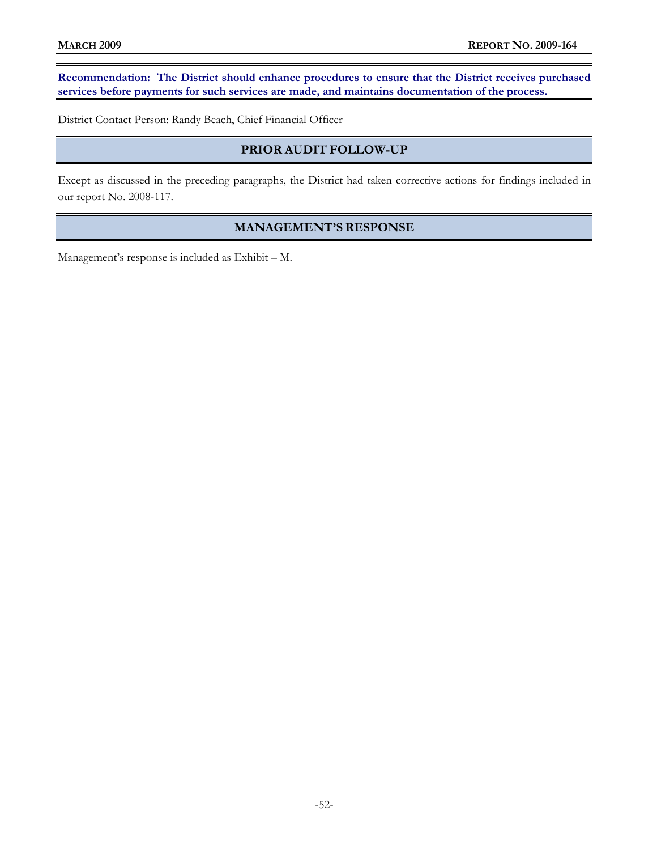**Recommendation: The District should enhance procedures to ensure that the District receives purchased services before payments for such services are made, and maintains documentation of the process.** 

District Contact Person: Randy Beach, Chief Financial Officer

## **PRIOR AUDIT FOLLOW-UP**

Except as discussed in the preceding paragraphs, the District had taken corrective actions for findings included in our report No. 2008-117.

## **MANAGEMENT'S RESPONSE**

Management's response is included as Exhibit – M.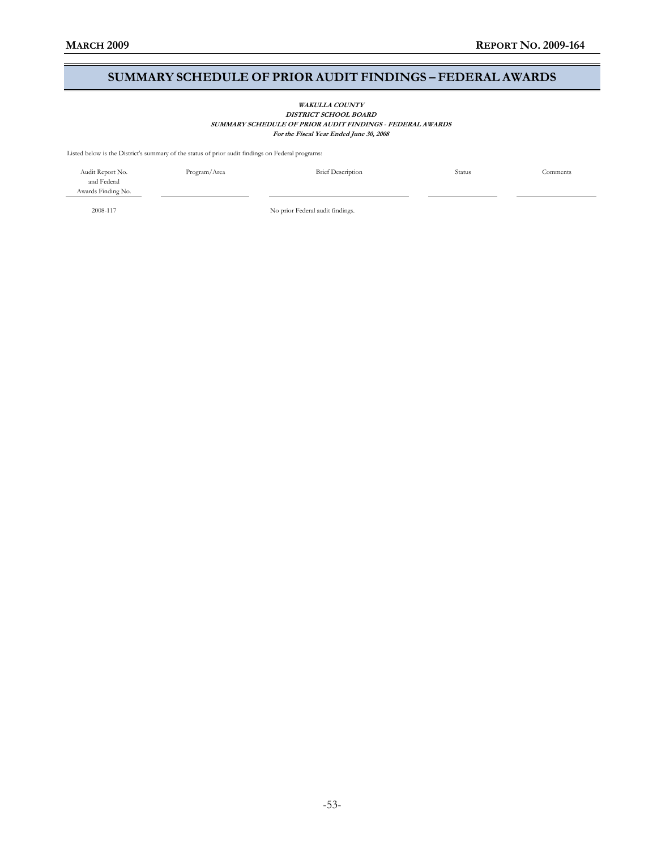## <span id="page-58-0"></span>**SUMMARY SCHEDULE OF PRIOR AUDIT FINDINGS – FEDERAL AWARDS**

#### **WAKULLA COUNTY DISTRICT SCHOOL BOARD SUMMARY SCHEDULE OF PRIOR AUDIT FINDINGS - FEDERAL AWARDS For the Fiscal Year Ended June 30, 2008**

Listed below is the District's summary of the status of prior audit findings on Federal programs:

| Audit Report No.   | Program/Area | <b>Brief Description</b>         | <b>Status</b> | Comments |
|--------------------|--------------|----------------------------------|---------------|----------|
| and Federal        |              |                                  |               |          |
| Awards Finding No. |              |                                  |               |          |
|                    |              |                                  |               |          |
| 2008-117           |              | No prior Federal audit findings. |               |          |

-53-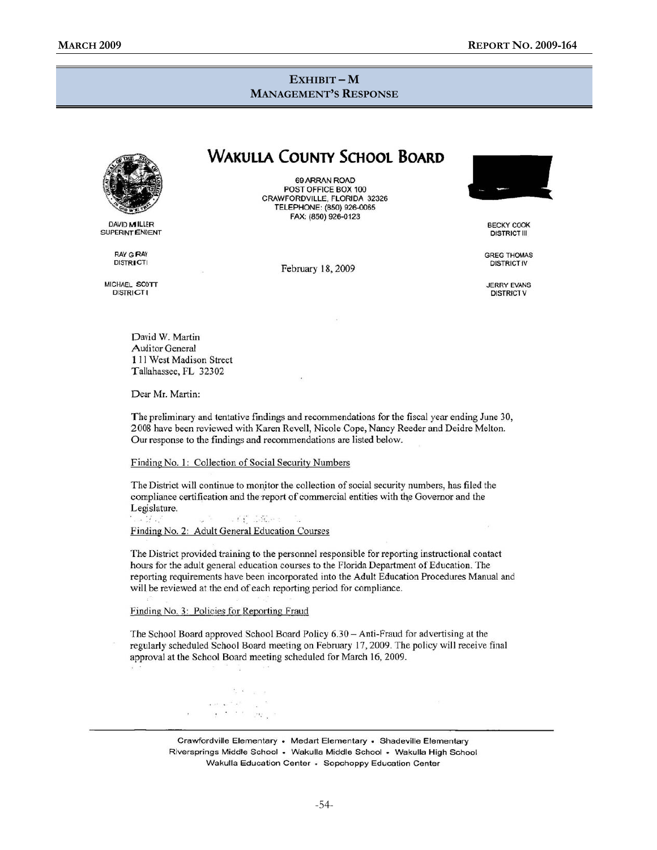## **EXHIBIT – M MANAGEMENT'S RESPONSE**

<span id="page-59-0"></span>

DAVID MILLER SUPERINT ENDENT

> **RAY G RAY DISTRICTI**

MICHAEL SCOTT **DISTRICTI** 

**WAKULLA COUNTY SCHOOL BOARD** 

69 ARRAN ROAD POST OFFICE BOX 100 CRAWFORDVILLE, FLORIDA 32326 TELEPHONE: (850) 926-0065 FAX: (850) 926-0123

February 18, 2009



**BECKY COOK DISTRICT III** 

**GREG THOMAS DISTRICT IV** 

**JERRY FVANS DISTRICT V** 

David W. Martin **Auditor General** 111 West Madison Street Tallahassee, FL 32302

Dear Mr. Martin:

The preliminary and tentative findings and recommendations for the fiscal year ending June 30, 2008 have been reviewed with Karen Revell, Nicole Cope, Nancy Reeder and Deidre Melton. Our response to the findings and recommendations are listed below.

Finding No. 1: Collection of Social Security Numbers

The District will continue to monitor the collection of social security numbers, has filed the compliance certification and the report of commercial entities with the Governor and the Legislature.  $\mathcal{L} \left( \begin{array}{ccc} 0 & 0 \\ 0 & 0 \end{array} \right)$ 

 $\mathcal{L} = \frac{1}{2} \int \frac{d^2x}{dx^2}$ Finding No. 2: Adult General Education Courses

The District provided training to the personnel responsible for reporting instructional contact hours for the adult general education courses to the Florida Department of Education. The reporting requirements have been incorporated into the Adult Education Procedures Manual and will be reviewed at the end of each reporting period for compliance.

Finding No. 3: Policies for Reporting Fraud

 $\sigma$  ,  $\sigma$  ,  $\sigma$  ,  $\sigma$  $\epsilon$  ,  $\epsilon$  ,  $\epsilon$  ,  $\epsilon$ 

 $\ddot{\phantom{1}}$ 

 $\frac{1}{\sqrt{2}}$  ,  $\frac{2}{\sqrt{2}}$  ,  $\frac{1}{\sqrt{2}}$  ,  $\frac{1}{\sqrt{2}}$ 

 $\mathcal{O}_{\mathcal{C}}$  .

The School Board approved School Board Policy 6.30 - Anti-Fraud for advertising at the regularly scheduled School Board meeting on February 17, 2009. The policy will receive final approval at the School Board meeting scheduled for March 16, 2009.

> Crawfordville Elementary • Medart Elementary • Shadeville Elementary Riversprings Middle School • Wakulla Middle School • Wakulla High School Wakulla Education Center - Sopchoppy Education Center